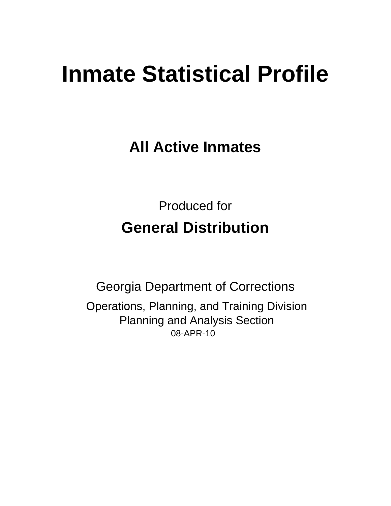# **Inmate Statistical Profile**

**All Active Inmates** 

**Produced for General Distribution** 

**Georgia Department of Corrections** Operations, Planning, and Training Division **Planning and Analysis Section** 08-APR-10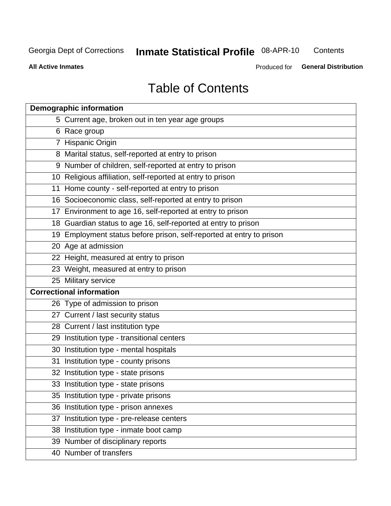Inmate Statistical Profile 08-APR-10

Contents

**All Active Inmates** 

Produced for General Distribution

## **Table of Contents**

|    | <b>Demographic information</b>                                       |  |  |  |  |  |  |
|----|----------------------------------------------------------------------|--|--|--|--|--|--|
|    | 5 Current age, broken out in ten year age groups                     |  |  |  |  |  |  |
|    | 6 Race group                                                         |  |  |  |  |  |  |
|    | 7 Hispanic Origin                                                    |  |  |  |  |  |  |
|    | 8 Marital status, self-reported at entry to prison                   |  |  |  |  |  |  |
|    | 9 Number of children, self-reported at entry to prison               |  |  |  |  |  |  |
|    | 10 Religious affiliation, self-reported at entry to prison           |  |  |  |  |  |  |
|    | 11 Home county - self-reported at entry to prison                    |  |  |  |  |  |  |
|    | 16 Socioeconomic class, self-reported at entry to prison             |  |  |  |  |  |  |
|    | 17 Environment to age 16, self-reported at entry to prison           |  |  |  |  |  |  |
|    | 18 Guardian status to age 16, self-reported at entry to prison       |  |  |  |  |  |  |
|    | 19 Employment status before prison, self-reported at entry to prison |  |  |  |  |  |  |
|    | 20 Age at admission                                                  |  |  |  |  |  |  |
|    | 22 Height, measured at entry to prison                               |  |  |  |  |  |  |
|    | 23 Weight, measured at entry to prison                               |  |  |  |  |  |  |
|    | 25 Military service                                                  |  |  |  |  |  |  |
|    | <b>Correctional information</b>                                      |  |  |  |  |  |  |
|    | 26 Type of admission to prison                                       |  |  |  |  |  |  |
|    | 27 Current / last security status                                    |  |  |  |  |  |  |
|    | 28 Current / last institution type                                   |  |  |  |  |  |  |
|    | 29 Institution type - transitional centers                           |  |  |  |  |  |  |
|    | 30 Institution type - mental hospitals                               |  |  |  |  |  |  |
|    | 31 Institution type - county prisons                                 |  |  |  |  |  |  |
|    | 32 Institution type - state prisons                                  |  |  |  |  |  |  |
|    | 33 Institution type - state prisons                                  |  |  |  |  |  |  |
|    | 35 Institution type - private prisons                                |  |  |  |  |  |  |
|    | 36 Institution type - prison annexes                                 |  |  |  |  |  |  |
| 37 | Institution type - pre-release centers                               |  |  |  |  |  |  |
|    | 38 Institution type - inmate boot camp                               |  |  |  |  |  |  |
|    | 39 Number of disciplinary reports                                    |  |  |  |  |  |  |
|    | 40 Number of transfers                                               |  |  |  |  |  |  |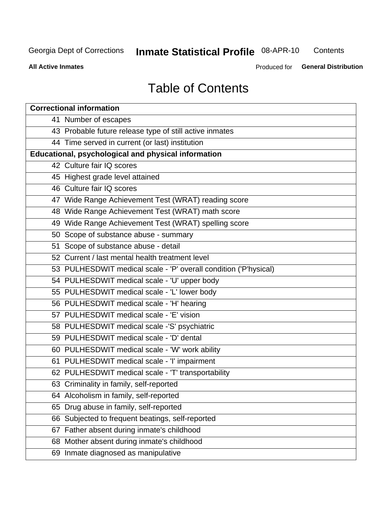## Inmate Statistical Profile 08-APR-10

Contents

**All Active Inmates** 

Produced for General Distribution

## **Table of Contents**

| <b>Correctional information</b>                                  |
|------------------------------------------------------------------|
| 41 Number of escapes                                             |
| 43 Probable future release type of still active inmates          |
| 44 Time served in current (or last) institution                  |
| <b>Educational, psychological and physical information</b>       |
| 42 Culture fair IQ scores                                        |
| 45 Highest grade level attained                                  |
| 46 Culture fair IQ scores                                        |
| 47 Wide Range Achievement Test (WRAT) reading score              |
| 48 Wide Range Achievement Test (WRAT) math score                 |
| 49 Wide Range Achievement Test (WRAT) spelling score             |
| 50 Scope of substance abuse - summary                            |
| 51 Scope of substance abuse - detail                             |
| 52 Current / last mental health treatment level                  |
| 53 PULHESDWIT medical scale - 'P' overall condition ('P'hysical) |
| 54 PULHESDWIT medical scale - 'U' upper body                     |
| 55 PULHESDWIT medical scale - 'L' lower body                     |
| 56 PULHESDWIT medical scale - 'H' hearing                        |
| 57 PULHESDWIT medical scale - 'E' vision                         |
| 58 PULHESDWIT medical scale -'S' psychiatric                     |
| 59 PULHESDWIT medical scale - 'D' dental                         |
| 60 PULHESDWIT medical scale - 'W' work ability                   |
| 61 PULHESDWIT medical scale - 'I' impairment                     |
| 62 PULHESDWIT medical scale - 'T' transportability               |
| 63 Criminality in family, self-reported                          |
| 64 Alcoholism in family, self-reported                           |
| Drug abuse in family, self-reported<br>65                        |
| 66 Subjected to frequent beatings, self-reported                 |
| Father absent during inmate's childhood<br>67                    |
| 68 Mother absent during inmate's childhood                       |
| 69 Inmate diagnosed as manipulative                              |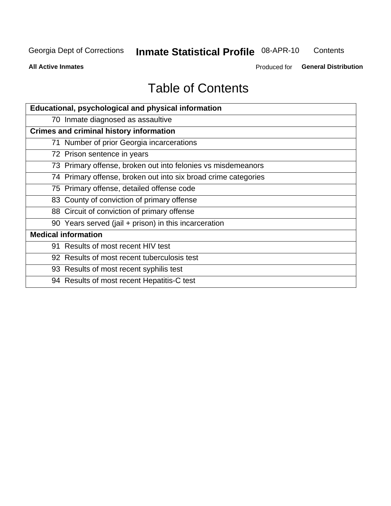## Inmate Statistical Profile 08-APR-10

Contents

**All Active Inmates** 

Produced for General Distribution

## **Table of Contents**

| Educational, psychological and physical information            |  |  |  |  |  |
|----------------------------------------------------------------|--|--|--|--|--|
| 70 Inmate diagnosed as assaultive                              |  |  |  |  |  |
| <b>Crimes and criminal history information</b>                 |  |  |  |  |  |
| 71 Number of prior Georgia incarcerations                      |  |  |  |  |  |
| 72 Prison sentence in years                                    |  |  |  |  |  |
| 73 Primary offense, broken out into felonies vs misdemeanors   |  |  |  |  |  |
| 74 Primary offense, broken out into six broad crime categories |  |  |  |  |  |
| 75 Primary offense, detailed offense code                      |  |  |  |  |  |
| 83 County of conviction of primary offense                     |  |  |  |  |  |
| 88 Circuit of conviction of primary offense                    |  |  |  |  |  |
| 90 Years served (jail + prison) in this incarceration          |  |  |  |  |  |
| <b>Medical information</b>                                     |  |  |  |  |  |
| 91 Results of most recent HIV test                             |  |  |  |  |  |
| 92 Results of most recent tuberculosis test                    |  |  |  |  |  |
| 93 Results of most recent syphilis test                        |  |  |  |  |  |
| 94 Results of most recent Hepatitis-C test                     |  |  |  |  |  |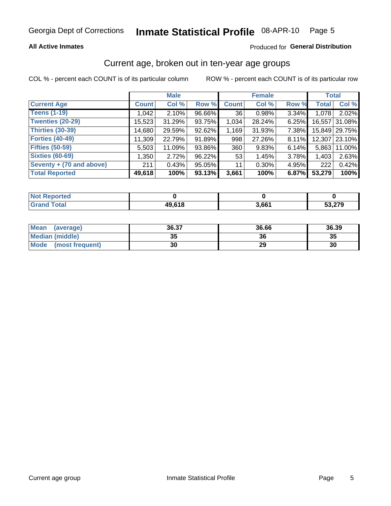## **All Active Inmates**

## Produced for General Distribution

## Current age, broken out in ten-year age groups

COL % - percent each COUNT is of its particular column

|                          |              | <b>Male</b> |        |                 | <b>Female</b> |       | <b>Total</b> |               |
|--------------------------|--------------|-------------|--------|-----------------|---------------|-------|--------------|---------------|
| <b>Current Age</b>       | <b>Count</b> | Col %       | Row %  | <b>Count</b>    | Col %         | Row % | <b>Total</b> | Col %         |
| <b>Teens (1-19)</b>      | 1,042        | 2.10%       | 96.66% | 36 <sub>1</sub> | 0.98%         | 3.34% | 1,078        | 2.02%         |
| <b>Twenties (20-29)</b>  | 15,523       | 31.29%      | 93.75% | 1,034           | 28.24%        | 6.25% | 16.557       | 31.08%        |
| <b>Thirties (30-39)</b>  | 14,680       | 29.59%      | 92.62% | 1,169           | 31.93%        | 7.38% |              | 15,849 29.75% |
| <b>Forties (40-49)</b>   | 11,309       | 22.79%      | 91.89% | 998             | 27.26%        | 8.11% |              | 12,307 23.10% |
| <b>Fifties (50-59)</b>   | 5,503        | 11.09%      | 93.86% | 360             | 9.83%         | 6.14% | 5.863        | 11.00%        |
| <b>Sixties (60-69)</b>   | 1,350        | 2.72%       | 96.22% | 53              | 1.45%         | 3.78% | 1,403        | 2.63%         |
| Seventy + (70 and above) | 211          | 0.43%       | 95.05% | 11              | $0.30\%$      | 4.95% | 222          | 0.42%         |
| <b>Total Reported</b>    | 49,618       | 100%        | 93.13% | 3,661           | 100%          | 6.87% | 53,279       | 100%          |

| <b>Not Reported</b> |              |                   |        |
|---------------------|--------------|-------------------|--------|
| Total               | <b>49618</b> | 3.66 <sup>4</sup> | מדה הי |

| Mean<br>(average)       | 36.37 | 36.66 | 36.39 |
|-------------------------|-------|-------|-------|
| <b>Median (middle)</b>  | 35    | 36    | 35    |
| Mode<br>(most frequent) | 30    | 29    | 30    |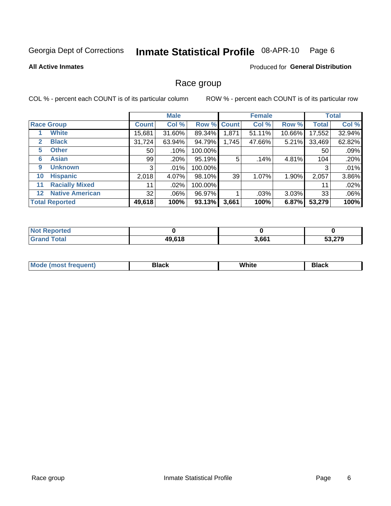#### Inmate Statistical Profile 08-APR-10 Page 6

### **All Active Inmates**

## **Produced for General Distribution**

## Race group

COL % - percent each COUNT is of its particular column

|         |                        | <b>Male</b>     |         |         | <b>Female</b>       |        |        | <b>Total</b> |        |
|---------|------------------------|-----------------|---------|---------|---------------------|--------|--------|--------------|--------|
|         | <b>Race Group</b>      | <b>Count</b>    | Col %   |         | Row % Count         | Col %  | Row %  | <b>Total</b> | Col %  |
|         | <b>White</b>           | 15,681          | 31.60%  | 89.34%  | $,871$ <sup>1</sup> | 51.11% | 10.66% | 17,552       | 32.94% |
| 2       | <b>Black</b>           | 31,724          | 63.94%  | 94.79%  | 1,745               | 47.66% | 5.21%  | 33,469       | 62.82% |
| 5.      | <b>Other</b>           | 50 <sub>1</sub> | .10%    | 100.00% |                     |        |        | 50           | .09%   |
| 6       | <b>Asian</b>           | 99              | .20%    | 95.19%  | 5                   | .14%   | 4.81%  | 104          | .20%   |
| 9       | <b>Unknown</b>         | 3               | $.01\%$ | 100.00% |                     |        |        | 3            | .01%   |
| 10      | <b>Hispanic</b>        | 2,018           | 4.07%   | 98.10%  | 39                  | 1.07%  | 1.90%  | 2,057        | 3.86%  |
| 11      | <b>Racially Mixed</b>  | 11              | $.02\%$ | 100.00% |                     |        |        | 11           | .02%   |
| $12 \,$ | <b>Native American</b> | 32              | $.06\%$ | 96.97%  |                     | .03%   | 3.03%  | 33           | .06%   |
|         | <b>Total Reported</b>  | 49,618          | 100%    | 93.13%  | 3,661               | 100%   | 6.87%  | 53,279       | 100%   |

| Reported<br><b>NOT</b> |        |       |        |
|------------------------|--------|-------|--------|
| <b>Total</b>           | 49,618 | 3,661 | 53,279 |

| Mode (most frequent) | Black | White | Black |
|----------------------|-------|-------|-------|
|                      |       |       |       |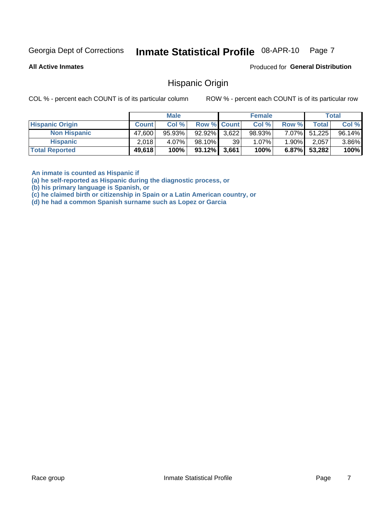#### Inmate Statistical Profile 08-APR-10 Page 7

**All Active Inmates** 

Produced for General Distribution

## **Hispanic Origin**

COL % - percent each COUNT is of its particular column

ROW % - percent each COUNT is of its particular row

|                        |              | <b>Male</b> |                    |       | <b>Female</b> |          |        | <b>Total</b> |
|------------------------|--------------|-------------|--------------------|-------|---------------|----------|--------|--------------|
| <b>Hispanic Origin</b> | <b>Count</b> | Col %       | <b>Row % Count</b> |       | Col %         | Row %    | Total  | Col %        |
| <b>Non Hispanic</b>    | 47,600       | 95.93%      | 92.92%             | 3,622 | 98.93%        | 7.07%    | 51,225 | 96.14%       |
| <b>Hispanic</b>        | 2,018        | 4.07%       | 98.10% <b>I</b>    | 39    | $1.07\%$      | $1.90\%$ | 2.057  | 3.86%        |
| <b>Total Reported</b>  | 49,618       | 100%        | $93.12\%$ 3,661    |       | 100%          | $6.87\%$ | 53,282 | 100%         |

An inmate is counted as Hispanic if

(a) he self-reported as Hispanic during the diagnostic process, or

(b) his primary language is Spanish, or

(c) he claimed birth or citizenship in Spain or a Latin American country, or

(d) he had a common Spanish surname such as Lopez or Garcia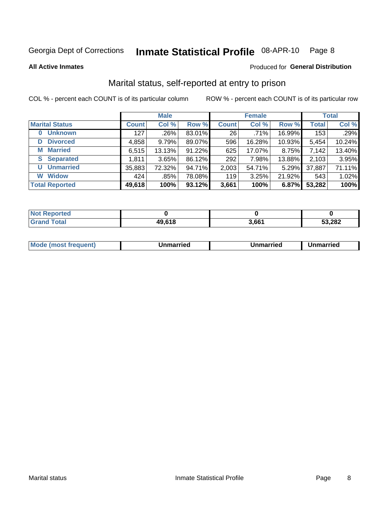#### Inmate Statistical Profile 08-APR-10 Page 8

**All Active Inmates** 

## Produced for General Distribution

## Marital status, self-reported at entry to prison

COL % - percent each COUNT is of its particular column

|                            | <b>Male</b>  |         |        | <b>Female</b> |        |        | <b>Total</b> |        |
|----------------------------|--------------|---------|--------|---------------|--------|--------|--------------|--------|
| <b>Marital Status</b>      | <b>Count</b> | Col %   | Row %  | <b>Count</b>  | Col %  | Row %  | <b>Total</b> | Col %  |
| <b>Unknown</b><br>$\bf{0}$ | 127          | .26%    | 83.01% | 26            | .71%   | 16.99% | 153          | .29%   |
| <b>Divorced</b><br>D       | 4,858        | 9.79%   | 89.07% | 596           | 16.28% | 10.93% | 5,454        | 10.24% |
| <b>Married</b><br>М        | 6,515        | 13.13%  | 91.22% | 625           | 17.07% | 8.75%  | 7,142        | 13.40% |
| <b>Separated</b><br>S.     | 1,811        | 3.65%   | 86.12% | 292           | 7.98%  | 13.88% | 2,103        | 3.95%  |
| <b>Unmarried</b><br>U      | 35,883       | 72.32%  | 94.71% | 2,003         | 54.71% | 5.29%  | 37,887       | 71.11% |
| <b>Widow</b><br>W          | 424          | $.85\%$ | 78.08% | 119           | 3.25%  | 21.92% | 543          | 1.02%  |
| <b>Total Reported</b>      | 49,618       | 100%    | 93.12% | 3,661         | 100%   | 6.87%  | 53,282       | 100%   |

| orted<br>NOT     |              |       |        |
|------------------|--------------|-------|--------|
| $i$ ntal<br>. Gr | <b>10612</b> | s cc4 | 53,282 |

|--|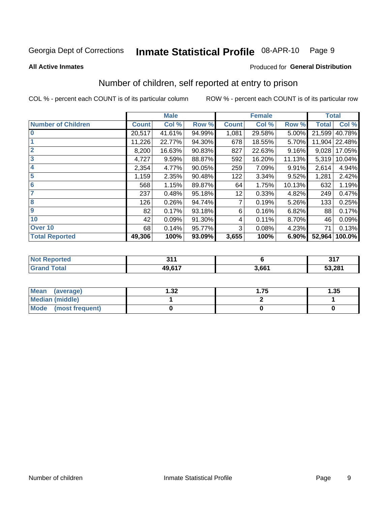#### Inmate Statistical Profile 08-APR-10 Page 9

### **All Active Inmates**

## **Produced for General Distribution**

## Number of children, self reported at entry to prison

COL % - percent each COUNT is of its particular column

|                           | <b>Male</b>  |        |        |              | <b>Female</b> |        | <b>Total</b> |        |
|---------------------------|--------------|--------|--------|--------------|---------------|--------|--------------|--------|
| <b>Number of Children</b> | <b>Count</b> | Col %  | Row %  | <b>Count</b> | Col %         | Row %  | <b>Total</b> | Col %  |
| $\bf{0}$                  | 20,517       | 41.61% | 94.99% | 1,081        | 29.58%        | 5.00%  | 21,599       | 40.78% |
|                           | 11,226       | 22.77% | 94.30% | 678          | 18.55%        | 5.70%  | 11,904       | 22.48% |
| $\overline{2}$            | 8,200        | 16.63% | 90.83% | 827          | 22.63%        | 9.16%  | 9,028        | 17.05% |
| 3                         | 4,727        | 9.59%  | 88.87% | 592          | 16.20%        | 11.13% | 5,319        | 10.04% |
| 4                         | 2,354        | 4.77%  | 90.05% | 259          | 7.09%         | 9.91%  | 2,614        | 4.94%  |
| 5                         | 1,159        | 2.35%  | 90.48% | 122          | 3.34%         | 9.52%  | 1,281        | 2.42%  |
| 6                         | 568          | 1.15%  | 89.87% | 64           | 1.75%         | 10.13% | 632          | 1.19%  |
| 7                         | 237          | 0.48%  | 95.18% | 12           | 0.33%         | 4.82%  | 249          | 0.47%  |
| 8                         | 126          | 0.26%  | 94.74% | 7            | 0.19%         | 5.26%  | 133          | 0.25%  |
| $\boldsymbol{9}$          | 82           | 0.17%  | 93.18% | 6            | 0.16%         | 6.82%  | 88           | 0.17%  |
| 10                        | 42           | 0.09%  | 91.30% | 4            | 0.11%         | 8.70%  | 46           | 0.09%  |
| Over 10                   | 68           | 0.14%  | 95.77% | 3            | 0.08%         | 4.23%  | 71           | 0.13%  |
| <b>Total Reported</b>     | 49,306       | 100%   | 93.09% | 3,655        | 100%          | 6.90%  | 52,964       | 100.0% |

| N | O.A.<br>₩. |       | 247<br><u>.</u> |
|---|------------|-------|-----------------|
|   | $AQ$ $617$ | 3.661 | 53,281          |

| <b>Mean</b><br>(average)       | .32 | . 75 | 1.35 |
|--------------------------------|-----|------|------|
| <b>Median (middle)</b>         |     |      |      |
| <b>Mode</b><br>(most frequent) |     |      |      |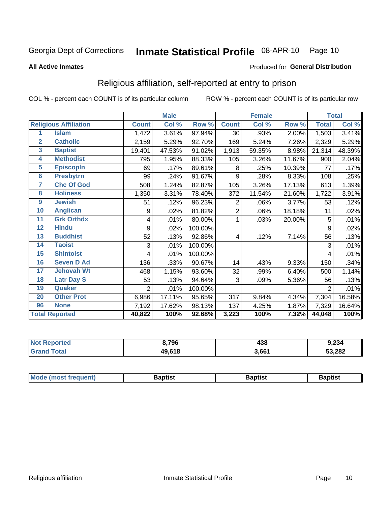#### Inmate Statistical Profile 08-APR-10 Page 10

**All Active Inmates** 

### Produced for General Distribution

## Religious affiliation, self-reported at entry to prison

COL % - percent each COUNT is of its particular column

| <b>Male</b>           |                              |                |        | <b>Female</b> |                |                           | <b>Total</b> |              |        |
|-----------------------|------------------------------|----------------|--------|---------------|----------------|---------------------------|--------------|--------------|--------|
|                       | <b>Religious Affiliation</b> | <b>Count</b>   | Col %  | Row %         | <b>Count</b>   | $\overline{\text{Col}}$ % | Row %        | <b>Total</b> | Col %  |
| 1                     | <b>Islam</b>                 | 1,472          | 3.61%  | 97.94%        | 30             | .93%                      | 2.00%        | 1,503        | 3.41%  |
| $\overline{2}$        | <b>Catholic</b>              | 2,159          | 5.29%  | 92.70%        | 169            | 5.24%                     | 7.26%        | 2,329        | 5.29%  |
| 3                     | <b>Baptist</b>               | 19,401         | 47.53% | 91.02%        | 1,913          | 59.35%                    | 8.98%        | 21,314       | 48.39% |
| 4                     | <b>Methodist</b>             | 795            | 1.95%  | 88.33%        | 105            | 3.26%                     | 11.67%       | 900          | 2.04%  |
| 5                     | <b>EpiscopIn</b>             | 69             | .17%   | 89.61%        | 8              | .25%                      | 10.39%       | 77           | .17%   |
| 6                     | <b>Presbytrn</b>             | 99             | .24%   | 91.67%        | 9              | .28%                      | 8.33%        | 108          | .25%   |
| 7                     | <b>Chc Of God</b>            | 508            | 1.24%  | 82.87%        | 105            | 3.26%                     | 17.13%       | 613          | 1.39%  |
| 8                     | <b>Holiness</b>              | 1,350          | 3.31%  | 78.40%        | 372            | 11.54%                    | 21.60%       | 1,722        | 3.91%  |
| 9                     | <b>Jewish</b>                | 51             | .12%   | 96.23%        | $\overline{2}$ | .06%                      | 3.77%        | 53           | .12%   |
| 10                    | <b>Anglican</b>              | 9              | .02%   | 81.82%        | $\overline{2}$ | .06%                      | 18.18%       | 11           | .02%   |
| 11                    | <b>Grk Orthdx</b>            | 4              | .01%   | 80.00%        | 1              | .03%                      | 20.00%       | 5            | .01%   |
| 12                    | <b>Hindu</b>                 | 9              | .02%   | 100.00%       |                |                           |              | 9            | .02%   |
| 13                    | <b>Buddhist</b>              | 52             | .13%   | 92.86%        | 4              | .12%                      | 7.14%        | 56           | .13%   |
| 14                    | <b>Taoist</b>                | 3              | .01%   | 100.00%       |                |                           |              | 3            | .01%   |
| 15                    | <b>Shintoist</b>             | 4              | .01%   | 100.00%       |                |                           |              | 4            | .01%   |
| 16                    | <b>Seven D Ad</b>            | 136            | .33%   | 90.67%        | 14             | .43%                      | 9.33%        | 150          | .34%   |
| 17                    | <b>Jehovah Wt</b>            | 468            | 1.15%  | 93.60%        | 32             | .99%                      | 6.40%        | 500          | 1.14%  |
| 18                    | <b>Latr Day S</b>            | 53             | .13%   | 94.64%        | 3              | .09%                      | 5.36%        | 56           | .13%   |
| 19                    | Quaker                       | $\overline{2}$ | .01%   | 100.00%       |                |                           |              | 2            | .01%   |
| 20                    | <b>Other Prot</b>            | 6,986          | 17.11% | 95.65%        | 317            | 9.84%                     | 4.34%        | 7,304        | 16.58% |
| 96                    | <b>None</b>                  | 7,192          | 17.62% | 98.13%        | 137            | 4.25%                     | 1.87%        | 7,329        | 16.64% |
| <b>Total Reported</b> |                              | 40,822         | 100%   | 92.68%        | 3,223          | 100%                      | 7.32%        | 44,048       | 100%   |

| Reported<br>∵N∩t∶ | 8,796  | 438   | 9,234  |
|-------------------|--------|-------|--------|
| Total             | 49,618 | 3,661 | 53,282 |

| Mode<br>: (most frequent) | }aptist | 3aptist<br>____<br>__ | 3aptist |
|---------------------------|---------|-----------------------|---------|
|                           |         |                       |         |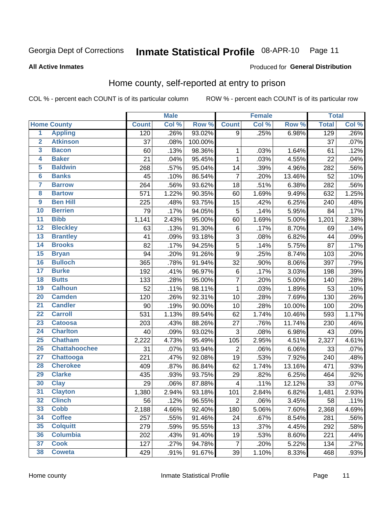#### Inmate Statistical Profile 08-APR-10 Page 11

### **All Active Inmates**

## Produced for General Distribution

## Home county, self-reported at entry to prison

COL % - percent each COUNT is of its particular column

|                         |                      |              | <b>Male</b> |         |                         | <b>Female</b> |        | <b>Total</b> |       |
|-------------------------|----------------------|--------------|-------------|---------|-------------------------|---------------|--------|--------------|-------|
|                         | <b>Home County</b>   | <b>Count</b> | Col %       | Row %   | <b>Count</b>            | Col %         | Row %  | <b>Total</b> | Col % |
| 1                       | <b>Appling</b>       | 120          | .26%        | 93.02%  | 9                       | .25%          | 6.98%  | 129          | .26%  |
| $\overline{2}$          | <b>Atkinson</b>      | 37           | .08%        | 100.00% |                         |               |        | 37           | .07%  |
| $\overline{\mathbf{3}}$ | <b>Bacon</b>         | 60           | .13%        | 98.36%  | 1                       | .03%          | 1.64%  | 61           | .12%  |
| 4                       | <b>Baker</b>         | 21           | .04%        | 95.45%  | $\mathbf{1}$            | .03%          | 4.55%  | 22           | .04%  |
| 5                       | <b>Baldwin</b>       | 268          | .57%        | 95.04%  | 14                      | .39%          | 4.96%  | 282          | .56%  |
| $6\phantom{a}$          | <b>Banks</b>         | 45           | .10%        | 86.54%  | $\overline{7}$          | .20%          | 13.46% | 52           | .10%  |
| $\overline{\mathbf{7}}$ | <b>Barrow</b>        | 264          | .56%        | 93.62%  | 18                      | .51%          | 6.38%  | 282          | .56%  |
| 8                       | <b>Bartow</b>        | 571          | 1.22%       | 90.35%  | 60                      | 1.69%         | 9.49%  | 632          | 1.25% |
| $\overline{9}$          | <b>Ben Hill</b>      | 225          | .48%        | 93.75%  | 15                      | .42%          | 6.25%  | 240          | .48%  |
| 10                      | <b>Berrien</b>       | 79           | .17%        | 94.05%  | 5                       | .14%          | 5.95%  | 84           | .17%  |
| $\overline{11}$         | <b>Bibb</b>          | 1,141        | 2.43%       | 95.00%  | 60                      | 1.69%         | 5.00%  | 1,201        | 2.38% |
| $\overline{12}$         | <b>Bleckley</b>      | 63           | .13%        | 91.30%  | $\,6$                   | .17%          | 8.70%  | 69           | .14%  |
| 13                      | <b>Brantley</b>      | 41           | .09%        | 93.18%  | 3                       | .08%          | 6.82%  | 44           | .09%  |
| 14                      | <b>Brooks</b>        | 82           | .17%        | 94.25%  | $\overline{5}$          | .14%          | 5.75%  | 87           | .17%  |
| 15                      | <b>Bryan</b>         | 94           | .20%        | 91.26%  | 9                       | .25%          | 8.74%  | 103          | .20%  |
| 16                      | <b>Bulloch</b>       | 365          | .78%        | 91.94%  | 32                      | .90%          | 8.06%  | 397          | .79%  |
| 17                      | <b>Burke</b>         | 192          | .41%        | 96.97%  | 6                       | .17%          | 3.03%  | 198          | .39%  |
| 18                      | <b>Butts</b>         | 133          | .28%        | 95.00%  | $\overline{7}$          | .20%          | 5.00%  | 140          | .28%  |
| 19                      | <b>Calhoun</b>       | 52           | .11%        | 98.11%  | $\mathbf 1$             | .03%          | 1.89%  | 53           | .10%  |
| 20                      | <b>Camden</b>        | 120          | .26%        | 92.31%  | 10                      | .28%          | 7.69%  | 130          | .26%  |
| $\overline{21}$         | <b>Candler</b>       | 90           | .19%        | 90.00%  | 10                      | .28%          | 10.00% | 100          | .20%  |
| $\overline{22}$         | <b>Carroll</b>       | 531          | 1.13%       | 89.54%  | 62                      | 1.74%         | 10.46% | 593          | 1.17% |
| 23                      | <b>Catoosa</b>       | 203          | .43%        | 88.26%  | 27                      | .76%          | 11.74% | 230          | .46%  |
| $\overline{24}$         | <b>Charlton</b>      | 40           | .09%        | 93.02%  | 3                       | .08%          | 6.98%  | 43           | .09%  |
| 25                      | <b>Chatham</b>       | 2,222        | 4.73%       | 95.49%  | 105                     | 2.95%         | 4.51%  | 2,327        | 4.61% |
| 26                      | <b>Chattahoochee</b> | 31           | .07%        | 93.94%  | $\overline{c}$          | .06%          | 6.06%  | 33           | .07%  |
| $\overline{27}$         | <b>Chattooga</b>     | 221          | .47%        | 92.08%  | 19                      | .53%          | 7.92%  | 240          | .48%  |
| 28                      | <b>Cherokee</b>      | 409          | .87%        | 86.84%  | 62                      | 1.74%         | 13.16% | 471          | .93%  |
| 29                      | <b>Clarke</b>        | 435          | .93%        | 93.75%  | 29                      | .82%          | 6.25%  | 464          | .92%  |
| 30                      | <b>Clay</b>          | 29           | .06%        | 87.88%  | $\overline{\mathbf{4}}$ | .11%          | 12.12% | 33           | .07%  |
| $\overline{31}$         | <b>Clayton</b>       | 1,380        | 2.94%       | 93.18%  | 101                     | 2.84%         | 6.82%  | 1,481        | 2.93% |
| 32                      | <b>Clinch</b>        | 56           | .12%        | 96.55%  | 2                       | .06%          | 3.45%  | 58           | .11%  |
| 33                      | <b>Cobb</b>          | 2,188        | 4.66%       | 92.40%  | 180                     | 5.06%         | 7.60%  | 2,368        | 4.69% |
| 34                      | <b>Coffee</b>        | 257          | .55%        | 91.46%  | 24                      | .67%          | 8.54%  | 281          | .56%  |
| 35                      | <b>Colquitt</b>      | 279          | .59%        | 95.55%  | 13                      | .37%          | 4.45%  | 292          | .58%  |
| 36                      | <b>Columbia</b>      | 202          | .43%        | 91.40%  | 19                      | .53%          | 8.60%  | 221          | .44%  |
| 37                      | <b>Cook</b>          | 127          | .27%        | 94.78%  | $\overline{7}$          | .20%          | 5.22%  | 134          | .27%  |
| 38                      | <b>Coweta</b>        | 429          | .91%        | 91.67%  | 39                      | 1.10%         | 8.33%  | 468          | .93%  |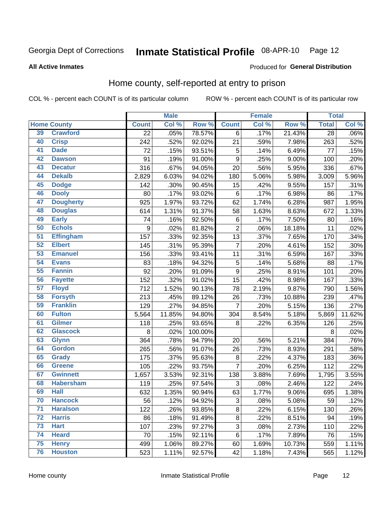#### Inmate Statistical Profile 08-APR-10 Page 12

**All Active Inmates** 

## Produced for General Distribution

## Home county, self-reported at entry to prison

COL % - percent each COUNT is of its particular column

|                 |                    |                  | <b>Male</b> |         |                 | <b>Female</b> |        | <b>Total</b>    |        |
|-----------------|--------------------|------------------|-------------|---------|-----------------|---------------|--------|-----------------|--------|
|                 | <b>Home County</b> | <b>Count</b>     | Col %       | Row %   | <b>Count</b>    | Col %         | Row %  | <b>Total</b>    | Col %  |
| 39              | <b>Crawford</b>    | $\overline{22}$  | .05%        | 78.57%  | 6               | .17%          | 21.43% | $\overline{28}$ | .06%   |
| 40              | <b>Crisp</b>       | 242              | .52%        | 92.02%  | 21              | .59%          | 7.98%  | 263             | .52%   |
| 41              | <b>Dade</b>        | 72               | .15%        | 93.51%  | 5               | .14%          | 6.49%  | 77              | .15%   |
| 42              | <b>Dawson</b>      | 91               | .19%        | 91.00%  | 9               | .25%          | 9.00%  | 100             | .20%   |
| 43              | <b>Decatur</b>     | 316              | .67%        | 94.05%  | 20              | .56%          | 5.95%  | 336             | .67%   |
| 44              | <b>Dekalb</b>      | 2,829            | 6.03%       | 94.02%  | 180             | 5.06%         | 5.98%  | 3,009           | 5.96%  |
| 45              | <b>Dodge</b>       | 142              | .30%        | 90.45%  | 15              | .42%          | 9.55%  | 157             | .31%   |
| 46              | <b>Dooly</b>       | 80               | .17%        | 93.02%  | 6               | .17%          | 6.98%  | 86              | .17%   |
| 47              | <b>Dougherty</b>   | 925              | 1.97%       | 93.72%  | 62              | 1.74%         | 6.28%  | 987             | 1.95%  |
| 48              | <b>Douglas</b>     | 614              | 1.31%       | 91.37%  | 58              | 1.63%         | 8.63%  | 672             | 1.33%  |
| 49              | <b>Early</b>       | 74               | .16%        | 92.50%  | $\,6$           | .17%          | 7.50%  | 80              | .16%   |
| 50              | <b>Echols</b>      | $\boldsymbol{9}$ | .02%        | 81.82%  | $\overline{2}$  | .06%          | 18.18% | 11              | .02%   |
| 51              | <b>Effingham</b>   | 157              | .33%        | 92.35%  | 13              | .37%          | 7.65%  | 170             | .34%   |
| 52              | <b>Elbert</b>      | 145              | .31%        | 95.39%  | $\overline{7}$  | .20%          | 4.61%  | 152             | .30%   |
| 53              | <b>Emanuel</b>     | 156              | .33%        | 93.41%  | 11              | .31%          | 6.59%  | 167             | .33%   |
| 54              | <b>Evans</b>       | 83               | .18%        | 94.32%  | 5               | .14%          | 5.68%  | 88              | .17%   |
| 55              | <b>Fannin</b>      | 92               | .20%        | 91.09%  | 9               | .25%          | 8.91%  | 101             | .20%   |
| 56              | <b>Fayette</b>     | 152              | .32%        | 91.02%  | 15              | .42%          | 8.98%  | 167             | .33%   |
| 57              | <b>Floyd</b>       | 712              | 1.52%       | 90.13%  | $\overline{78}$ | 2.19%         | 9.87%  | 790             | 1.56%  |
| 58              | <b>Forsyth</b>     | 213              | .45%        | 89.12%  | 26              | .73%          | 10.88% | 239             | .47%   |
| 59              | <b>Franklin</b>    | 129              | .27%        | 94.85%  | $\overline{7}$  | .20%          | 5.15%  | 136             | .27%   |
| 60              | <b>Fulton</b>      | 5,564            | 11.85%      | 94.80%  | 304             | 8.54%         | 5.18%  | 5,869           | 11.62% |
| 61              | Gilmer             | 118              | .25%        | 93.65%  | 8               | .22%          | 6.35%  | 126             | .25%   |
| 62              | <b>Glascock</b>    | 8                | .02%        | 100.00% |                 |               |        | 8               | .02%   |
| 63              | <b>Glynn</b>       | 364              | .78%        | 94.79%  | 20              | .56%          | 5.21%  | 384             | .76%   |
| 64              | <b>Gordon</b>      | 265              | .56%        | 91.07%  | 26              | .73%          | 8.93%  | 291             | .58%   |
| 65              | <b>Grady</b>       | 175              | .37%        | 95.63%  | $\bf 8$         | .22%          | 4.37%  | 183             | .36%   |
| 66              | <b>Greene</b>      | 105              | .22%        | 93.75%  | $\overline{7}$  | .20%          | 6.25%  | 112             | .22%   |
| 67              | <b>Gwinnett</b>    | 1,657            | 3.53%       | 92.31%  | 138             | 3.88%         | 7.69%  | 1,795           | 3.55%  |
| 68              | <b>Habersham</b>   | 119              | .25%        | 97.54%  | 3               | .08%          | 2.46%  | 122             | .24%   |
| 69              | <b>Hall</b>        | 632              | 1.35%       | 90.94%  | 63              | 1.77%         | 9.06%  | 695             | 1.38%  |
| 70              | <b>Hancock</b>     | 56               | .12%        | 94.92%  | 3               | .08%          | 5.08%  | 59              | .12%   |
| $\overline{71}$ | <b>Haralson</b>    | 122              | .26%        | 93.85%  | 8               | .22%          | 6.15%  | 130             | .26%   |
| 72              | <b>Harris</b>      | 86               | .18%        | 91.49%  | $\bf 8$         | .22%          | 8.51%  | 94              | .19%   |
| 73              | <b>Hart</b>        | 107              | .23%        | 97.27%  | $\overline{3}$  | .08%          | 2.73%  | 110             | .22%   |
| 74              | <b>Heard</b>       | 70               | .15%        | 92.11%  | $\,6$           | .17%          | 7.89%  | 76              | .15%   |
| 75              | <b>Henry</b>       | 499              | 1.06%       | 89.27%  | 60              | 1.69%         | 10.73% | 559             | 1.11%  |
| 76              | <b>Houston</b>     | 523              | 1.11%       | 92.57%  | 42              | 1.18%         | 7.43%  | 565             | 1.12%  |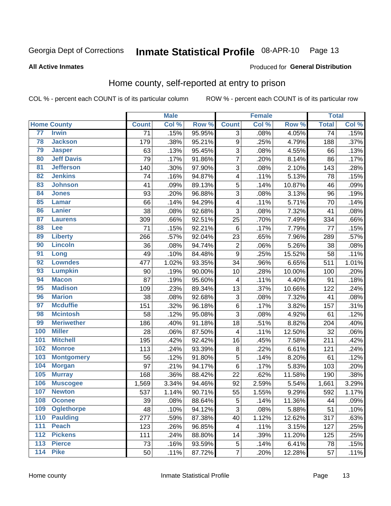#### Inmate Statistical Profile 08-APR-10 Page 13

### **All Active Inmates**

### Produced for General Distribution

## Home county, self-reported at entry to prison

COL % - percent each COUNT is of its particular column

|     |                    |                 | <b>Male</b> |        |                         | <b>Female</b> |        | <b>Total</b>    |       |
|-----|--------------------|-----------------|-------------|--------|-------------------------|---------------|--------|-----------------|-------|
|     | <b>Home County</b> | <b>Count</b>    | Col %       | Row %  | <b>Count</b>            | Col %         | Row %  | <b>Total</b>    | Col % |
| 77  | <b>Irwin</b>       | $\overline{71}$ | .15%        | 95.95% | $\overline{3}$          | .08%          | 4.05%  | $\overline{74}$ | .15%  |
| 78  | <b>Jackson</b>     | 179             | .38%        | 95.21% | $\boldsymbol{9}$        | .25%          | 4.79%  | 188             | .37%  |
| 79  | <b>Jasper</b>      | 63              | .13%        | 95.45% | $\overline{3}$          | .08%          | 4.55%  | 66              | .13%  |
| 80  | <b>Jeff Davis</b>  | 79              | .17%        | 91.86% | $\overline{7}$          | .20%          | 8.14%  | 86              | .17%  |
| 81  | <b>Jefferson</b>   | 140             | .30%        | 97.90% | $\sqrt{3}$              | .08%          | 2.10%  | 143             | .28%  |
| 82  | <b>Jenkins</b>     | 74              | .16%        | 94.87% | $\overline{\mathbf{4}}$ | .11%          | 5.13%  | 78              | .15%  |
| 83  | <b>Johnson</b>     | 41              | .09%        | 89.13% | $\overline{5}$          | .14%          | 10.87% | 46              | .09%  |
| 84  | <b>Jones</b>       | 93              | .20%        | 96.88% | 3                       | .08%          | 3.13%  | 96              | .19%  |
| 85  | <b>Lamar</b>       | 66              | .14%        | 94.29% | 4                       | .11%          | 5.71%  | 70              | .14%  |
| 86  | Lanier             | 38              | .08%        | 92.68% | $\overline{3}$          | .08%          | 7.32%  | 41              | .08%  |
| 87  | <b>Laurens</b>     | 309             | .66%        | 92.51% | 25                      | .70%          | 7.49%  | 334             | .66%  |
| 88  | <b>Lee</b>         | 71              | .15%        | 92.21% | 6                       | .17%          | 7.79%  | 77              | .15%  |
| 89  | <b>Liberty</b>     | 266             | .57%        | 92.04% | 23                      | .65%          | 7.96%  | 289             | .57%  |
| 90  | <b>Lincoln</b>     | 36              | .08%        | 94.74% | $\overline{2}$          | .06%          | 5.26%  | 38              | .08%  |
| 91  | Long               | 49              | .10%        | 84.48% | $\overline{9}$          | .25%          | 15.52% | 58              | .11%  |
| 92  | <b>Lowndes</b>     | 477             | 1.02%       | 93.35% | 34                      | .96%          | 6.65%  | 511             | 1.01% |
| 93  | <b>Lumpkin</b>     | 90              | .19%        | 90.00% | 10                      | .28%          | 10.00% | 100             | .20%  |
| 94  | <b>Macon</b>       | 87              | .19%        | 95.60% | 4                       | .11%          | 4.40%  | 91              | .18%  |
| 95  | <b>Madison</b>     | 109             | .23%        | 89.34% | 13                      | .37%          | 10.66% | 122             | .24%  |
| 96  | <b>Marion</b>      | 38              | .08%        | 92.68% | $\mathbf{3}$            | .08%          | 7.32%  | 41              | .08%  |
| 97  | <b>Mcduffie</b>    | 151             | .32%        | 96.18% | $\,6$                   | .17%          | 3.82%  | 157             | .31%  |
| 98  | <b>Mcintosh</b>    | 58              | .12%        | 95.08% | 3                       | .08%          | 4.92%  | 61              | .12%  |
| 99  | <b>Meriwether</b>  | 186             | .40%        | 91.18% | 18                      | .51%          | 8.82%  | 204             | .40%  |
| 100 | <b>Miller</b>      | 28              | .06%        | 87.50% | 4                       | .11%          | 12.50% | 32              | .06%  |
| 101 | <b>Mitchell</b>    | 195             | .42%        | 92.42% | 16                      | .45%          | 7.58%  | 211             | .42%  |
| 102 | <b>Monroe</b>      | 113             | .24%        | 93.39% | $\bf 8$                 | .22%          | 6.61%  | 121             | .24%  |
| 103 | <b>Montgomery</b>  | 56              | .12%        | 91.80% | $\overline{5}$          | .14%          | 8.20%  | 61              | .12%  |
| 104 | <b>Morgan</b>      | 97              | .21%        | 94.17% | $\,6$                   | .17%          | 5.83%  | 103             | .20%  |
| 105 | <b>Murray</b>      | 168             | .36%        | 88.42% | 22                      | .62%          | 11.58% | 190             | .38%  |
| 106 | <b>Muscogee</b>    | 1,569           | 3.34%       | 94.46% | 92                      | 2.59%         | 5.54%  | 1,661           | 3.29% |
| 107 | <b>Newton</b>      | 537             | 1.14%       | 90.71% | 55                      | 1.55%         | 9.29%  | 592             | 1.17% |
| 108 | <b>Oconee</b>      | 39              | .08%        | 88.64% | $\sqrt{5}$              | .14%          | 11.36% | 44              | .09%  |
| 109 | <b>Oglethorpe</b>  | 48              | .10%        | 94.12% | 3                       | .08%          | 5.88%  | 51              | .10%  |
| 110 | <b>Paulding</b>    | 277             | .59%        | 87.38% | 40                      | 1.12%         | 12.62% | 317             | .63%  |
| 111 | <b>Peach</b>       | 123             | .26%        | 96.85% | 4                       | .11%          | 3.15%  | 127             | .25%  |
| 112 | <b>Pickens</b>     | 111             | .24%        | 88.80% | 14                      | .39%          | 11.20% | 125             | .25%  |
| 113 | <b>Pierce</b>      | 73              | .16%        | 93.59% | 5                       | .14%          | 6.41%  | 78              | .15%  |
| 114 | <b>Pike</b>        | 50              | .11%        | 87.72% | $\overline{7}$          | .20%          | 12.28% | 57              | .11%  |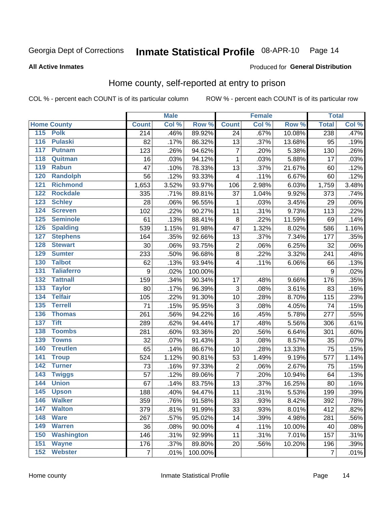#### Inmate Statistical Profile 08-APR-10 Page 14

### **All Active Inmates**

### Produced for General Distribution

## Home county, self-reported at entry to prison

COL % - percent each COUNT is of its particular column

|                  |                    |                  | <b>Male</b> |         |                           | <b>Female</b> |        | <b>Total</b>   |       |
|------------------|--------------------|------------------|-------------|---------|---------------------------|---------------|--------|----------------|-------|
|                  | <b>Home County</b> | <b>Count</b>     | Col %       | Row %   | <b>Count</b>              | Col %         | Row %  | <b>Total</b>   | Col % |
|                  | 115 Polk           | 214              | .46%        | 89.92%  | 24                        | .67%          | 10.08% | 238            | .47%  |
| $\overline{116}$ | <b>Pulaski</b>     | 82               | .17%        | 86.32%  | 13                        | .37%          | 13.68% | 95             | .19%  |
| 117              | <b>Putnam</b>      | 123              | .26%        | 94.62%  | $\overline{7}$            | .20%          | 5.38%  | 130            | .26%  |
| 118              | Quitman            | 16               | .03%        | 94.12%  | $\mathbf 1$               | .03%          | 5.88%  | 17             | .03%  |
| 119              | <b>Rabun</b>       | 47               | .10%        | 78.33%  | 13                        | .37%          | 21.67% | 60             | .12%  |
| 120              | <b>Randolph</b>    | 56               | .12%        | 93.33%  | 4                         | .11%          | 6.67%  | 60             | .12%  |
| 121              | <b>Richmond</b>    | 1,653            | 3.52%       | 93.97%  | 106                       | 2.98%         | 6.03%  | 1,759          | 3.48% |
| 122              | <b>Rockdale</b>    | 335              | .71%        | 89.81%  | 37                        | 1.04%         | 9.92%  | 373            | .74%  |
| 123              | <b>Schley</b>      | 28               | .06%        | 96.55%  | 1                         | .03%          | 3.45%  | 29             | .06%  |
| 124              | <b>Screven</b>     | 102              | .22%        | 90.27%  | 11                        | .31%          | 9.73%  | 113            | .22%  |
| 125              | <b>Seminole</b>    | 61               | .13%        | 88.41%  | $\, 8$                    | .22%          | 11.59% | 69             | .14%  |
| 126              | <b>Spalding</b>    | 539              | 1.15%       | 91.98%  | 47                        | 1.32%         | 8.02%  | 586            | 1.16% |
| 127              | <b>Stephens</b>    | 164              | .35%        | 92.66%  | 13                        | .37%          | 7.34%  | 177            | .35%  |
| 128              | <b>Stewart</b>     | 30               | .06%        | 93.75%  | $\overline{\mathbf{c}}$   | .06%          | 6.25%  | 32             | .06%  |
| 129              | <b>Sumter</b>      | 233              | .50%        | 96.68%  | $\bf8$                    | .22%          | 3.32%  | 241            | .48%  |
| 130              | <b>Talbot</b>      | 62               | .13%        | 93.94%  | 4                         | .11%          | 6.06%  | 66             | .13%  |
| 131              | <b>Taliaferro</b>  | $\boldsymbol{9}$ | .02%        | 100.00% |                           |               |        | 9              | .02%  |
| 132              | <b>Tattnall</b>    | 159              | .34%        | 90.34%  | 17                        | .48%          | 9.66%  | 176            | .35%  |
| 133              | <b>Taylor</b>      | 80               | .17%        | 96.39%  | $\ensuremath{\mathsf{3}}$ | .08%          | 3.61%  | 83             | .16%  |
| 134              | <b>Telfair</b>     | 105              | .22%        | 91.30%  | 10                        | .28%          | 8.70%  | 115            | .23%  |
| 135              | <b>Terrell</b>     | 71               | .15%        | 95.95%  | 3                         | .08%          | 4.05%  | 74             | .15%  |
| 136              | <b>Thomas</b>      | 261              | .56%        | 94.22%  | 16                        | .45%          | 5.78%  | 277            | .55%  |
| 137              | <b>Tift</b>        | 289              | .62%        | 94.44%  | 17                        | .48%          | 5.56%  | 306            | .61%  |
| 138              | <b>Toombs</b>      | 281              | .60%        | 93.36%  | 20                        | .56%          | 6.64%  | 301            | .60%  |
| 139              | <b>Towns</b>       | 32               | .07%        | 91.43%  | 3                         | .08%          | 8.57%  | 35             | .07%  |
| 140              | <b>Treutlen</b>    | 65               | .14%        | 86.67%  | 10                        | .28%          | 13.33% | 75             | .15%  |
| 141              | <b>Troup</b>       | 524              | 1.12%       | 90.81%  | 53                        | 1.49%         | 9.19%  | 577            | 1.14% |
| 142              | <b>Turner</b>      | 73               | .16%        | 97.33%  | $\overline{2}$            | .06%          | 2.67%  | 75             | .15%  |
| $\overline{143}$ | <b>Twiggs</b>      | 57               | .12%        | 89.06%  | $\overline{7}$            | .20%          | 10.94% | 64             | .13%  |
| 144              | <b>Union</b>       | 67               | .14%        | 83.75%  | 13                        | .37%          | 16.25% | 80             | .16%  |
| 145              | <b>Upson</b>       | 188              | .40%        | 94.47%  | 11                        | .31%          | 5.53%  | 199            | .39%  |
| 146              | <b>Walker</b>      | 359              | .76%        | 91.58%  | 33                        | .93%          | 8.42%  | 392            | .78%  |
| 147              | <b>Walton</b>      | 379              | .81%        | 91.99%  | 33                        | .93%          | 8.01%  | 412            | .82%  |
| 148              | <b>Ware</b>        | 267              | .57%        | 95.02%  | 14                        | .39%          | 4.98%  | 281            | .56%  |
| 149              | <b>Warren</b>      | 36               | .08%        | 90.00%  | 4                         | .11%          | 10.00% | 40             | .08%  |
| 150              | <b>Washington</b>  | 146              | .31%        | 92.99%  | 11                        | .31%          | 7.01%  | 157            | .31%  |
| 151              | <b>Wayne</b>       | 176              | .37%        | 89.80%  | 20                        | .56%          | 10.20% | 196            | .39%  |
| 152              | <b>Webster</b>     | $\overline{7}$   | .01%        | 100.00% |                           |               |        | $\overline{7}$ | .01%  |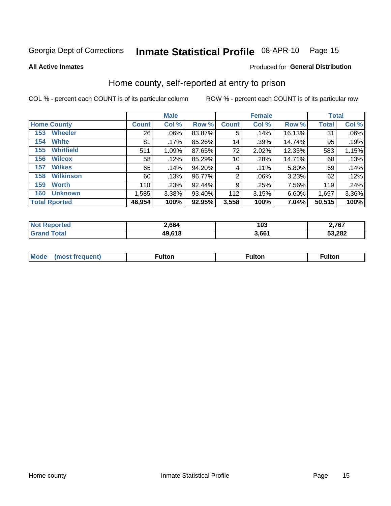#### Inmate Statistical Profile 08-APR-10 Page 15

**All Active Inmates** 

## Produced for General Distribution

## Home county, self-reported at entry to prison

COL % - percent each COUNT is of its particular column

|                         |              | <b>Male</b> |        |                 | <b>Female</b> |        | <b>Total</b> |       |  |
|-------------------------|--------------|-------------|--------|-----------------|---------------|--------|--------------|-------|--|
| <b>Home County</b>      | <b>Count</b> | Col %       | Row %  | <b>Count</b>    | Col %         | Row %  | <b>Total</b> | Col % |  |
| <b>Wheeler</b><br>153   | 26           | $.06\%$     | 83.87% | 5               | .14%          | 16.13% | 31           | .06%  |  |
| <b>White</b><br>154     | 81           | $.17\%$     | 85.26% | 14 <sub>1</sub> | .39%          | 14.74% | 95           | .19%  |  |
| <b>Whitfield</b><br>155 | 511          | 1.09%       | 87.65% | 72              | 2.02%         | 12.35% | 583          | 1.15% |  |
| <b>Wilcox</b><br>156    | 58           | .12%        | 85.29% | 10 <sup>1</sup> | .28%          | 14.71% | 68           | .13%  |  |
| <b>Wilkes</b><br>157    | 65           | .14%        | 94.20% | 4               | .11%          | 5.80%  | 69           | .14%  |  |
| <b>Wilkinson</b><br>158 | 60           | .13%        | 96.77% | $\overline{2}$  | $.06\%$       | 3.23%  | 62           | .12%  |  |
| 159<br><b>Worth</b>     | 110          | .23%        | 92.44% | 9               | .25%          | 7.56%  | 119          | .24%  |  |
| <b>Unknown</b><br>160   | 1,585        | 3.38%       | 93.40% | 112             | 3.15%         | 6.60%  | 1,697        | 3.36% |  |
| <b>Total Rported</b>    | 46,954       | 100%        | 92.95% | 3,558           | 100%          | 7.04%  | 50,515       | 100%  |  |

| rted<br>-N. | 2,664  | 103   | 2,767  |
|-------------|--------|-------|--------|
| <b>otal</b> | 49,618 | 3,661 | 53,282 |

|  | Mode | ™ulton | ∶ulton | ™ulton |
|--|------|--------|--------|--------|
|--|------|--------|--------|--------|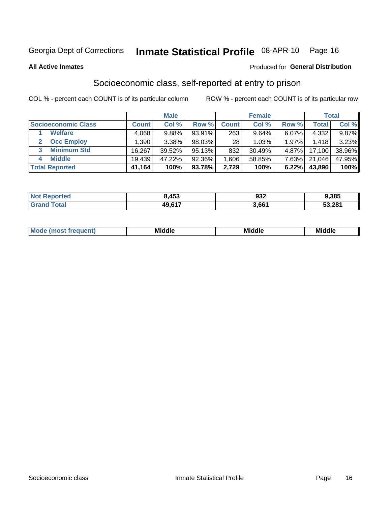## Inmate Statistical Profile 08-APR-10 Page 16

**All Active Inmates** 

## **Produced for General Distribution**

## Socioeconomic class, self-reported at entry to prison

COL % - percent each COUNT is of its particular column

|                       |                   | <b>Male</b> |        |              | <b>Female</b> |          |        | <b>Total</b> |
|-----------------------|-------------------|-------------|--------|--------------|---------------|----------|--------|--------------|
| Socioeconomic Class   | <b>Count</b>      | Col %       | Row %  | <b>Count</b> | Col %         | Row %    | Total  | Col %        |
| <b>Welfare</b>        | 4,068             | 9.88%       | 93.91% | 263          | 9.64%         | 6.07%    | 4,332  | 9.87%        |
| <b>Occ Employ</b>     | .390 <sup>1</sup> | 3.38%       | 98.03% | 28           | 1.03%         | 1.97%    | 1,418  | 3.23%        |
| <b>Minimum Std</b>    | 16,267            | 39.52%      | 95.13% | 832          | 30.49%        | $4.87\%$ | 17,100 | 38.96%       |
| <b>Middle</b><br>4    | 19.439            | 47.22%      | 92.36% | .606 ا       | 58.85%        | 7.63%    | 21,046 | 47.95%       |
| <b>Total Reported</b> | 41,164            | 100%        | 93.78% | 2,729        | 100%          | 6.22%    | 43,896 | 100%         |

| <b>Not Repo</b><br>onteo | გ.453      | 932   | 9,385  |
|--------------------------|------------|-------|--------|
|                          | $AQ$ $617$ | . 661 | 53,281 |

| Mo<br>'dle<br>Middle<br>Mid<br><b>Middle</b><br>____<br>____<br>____ |
|----------------------------------------------------------------------|
|----------------------------------------------------------------------|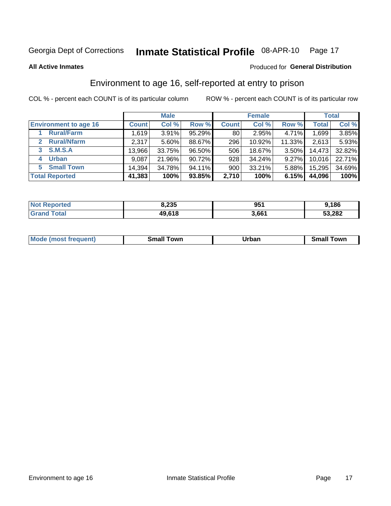## Inmate Statistical Profile 08-APR-10 Page 17

Produced for General Distribution

### **All Active Inmates**

## Environment to age 16, self-reported at entry to prison

COL % - percent each COUNT is of its particular column

|                                    |              | <b>Male</b> |           |              | <b>Female</b> |          |              | <b>Total</b> |
|------------------------------------|--------------|-------------|-----------|--------------|---------------|----------|--------------|--------------|
| <b>Environment to age 16</b>       | <b>Count</b> | Col %       | Row %     | <b>Count</b> | Col %         | Row %    | <b>Total</b> | Col %        |
| <b>Rural/Farm</b>                  | 1,619        | 3.91%       | 95.29%    | 80           | 2.95%         | 4.71%    | 1,699        | 3.85%        |
| <b>Rural/Nfarm</b><br>$\mathbf{2}$ | 2,317        | $5.60\%$    | 88.67%    | 296          | 10.92%        | 11.33%   | 2,613        | 5.93%        |
| S.M.S.A<br>3                       | 13,966       | 33.75%      | 96.50%    | 506          | 18.67%        | $3.50\%$ | 14,473       | 32.82%       |
| <b>Urban</b><br>4                  | 9,087        | 21.96%      | 90.72%    | 928          | 34.24%        | 9.27%    | 10,016       | 22.71%       |
| <b>Small Town</b><br>5.            | 14.394       | 34.78%      | $94.11\%$ | 900          | 33.21%        | 5.88%    | 15,295       | 34.69%       |
| <b>Total Reported</b>              | 41,383       | 100%        | 93.85%    | 2,710        | 100%          | 6.15%    | 44,096       | 100%         |

| <b>Not Reported</b> | 8,235  | 951   | 9,186  |
|---------------------|--------|-------|--------|
| <b>Grand Total</b>  | 49,618 | 3,661 | 53,282 |

| <b>Mode</b><br>auent)<br>ns. | owr<br>Small | Jrban<br>____ | <b>TOWE</b><br>51 |
|------------------------------|--------------|---------------|-------------------|
|                              |              |               |                   |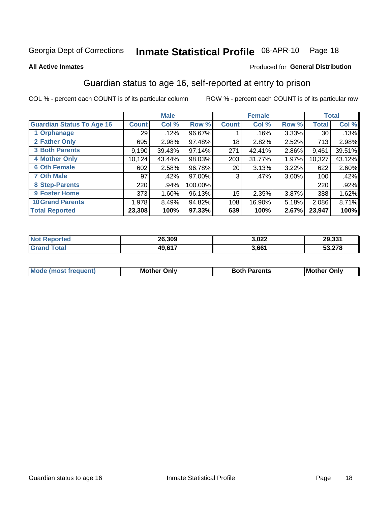## Inmate Statistical Profile 08-APR-10 Page 18

### **All Active Inmates**

## Produced for General Distribution

## Guardian status to age 16, self-reported at entry to prison

COL % - percent each COUNT is of its particular column

|                                  |              | <b>Male</b> |         |                 | <b>Female</b> |          |        | <b>Total</b> |
|----------------------------------|--------------|-------------|---------|-----------------|---------------|----------|--------|--------------|
| <b>Guardian Status To Age 16</b> | <b>Count</b> | Col %       | Row %   | <b>Count</b>    | Col %         | Row %    | Total  | Col %        |
| 1 Orphanage                      | 29           | .12%        | 96.67%  |                 | .16%          | 3.33%    | 30     | .13%         |
| 2 Father Only                    | 695          | 2.98%       | 97.48%  | 18              | 2.82%         | 2.52%    | 713    | 2.98%        |
| <b>3 Both Parents</b>            | 9,190        | 39.43%      | 97.14%  | 271             | 42.41%        | 2.86%    | 9,461  | 39.51%       |
| <b>4 Mother Only</b>             | 10,124       | 43.44%      | 98.03%  | 203             | 31.77%        | 1.97%    | 10,327 | 43.12%       |
| <b>6 Oth Female</b>              | 602          | 2.58%       | 96.78%  | 20 <sub>1</sub> | 3.13%         | 3.22%    | 622    | 2.60%        |
| <b>7 Oth Male</b>                | 97           | .42%        | 97.00%  | 3               | .47%          | $3.00\%$ | 100    | .42%         |
| 8 Step-Parents                   | 220          | .94%        | 100.00% |                 |               |          | 220    | $.92\%$      |
| 9 Foster Home                    | 373          | 1.60%       | 96.13%  | 15              | 2.35%         | 3.87%    | 388    | 1.62%        |
| <b>10 Grand Parents</b>          | 1,978        | 8.49%       | 94.82%  | 108             | 16.90%        | 5.18%    | 2,086  | 8.71%        |
| <b>Total Reported</b>            | 23,308       | 100%        | 97.33%  | 639             | 100%          | 2.67%    | 23,947 | 100%         |

| <b>Not</b><br><b>Reported</b> | 26,309        | 3,022 | 29,331 |
|-------------------------------|---------------|-------|--------|
| ™otai                         | <b>49.617</b> | 3,661 | 53,278 |

| Mode | วทIv<br>Mot | <b>Both Parents</b><br>Parents | lM.<br>Only<br>. |
|------|-------------|--------------------------------|------------------|
|      |             |                                |                  |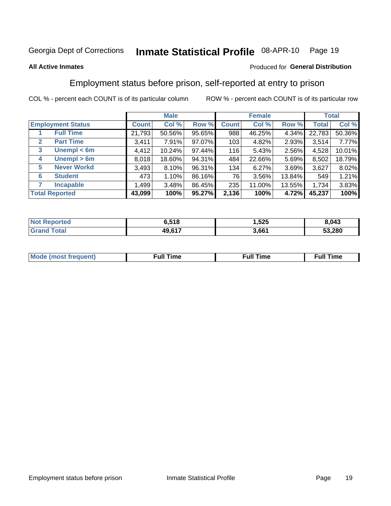#### Inmate Statistical Profile 08-APR-10 Page 19

## **All Active Inmates**

## Produced for General Distribution

## Employment status before prison, self-reported at entry to prison

COL % - percent each COUNT is of its particular column

|                                  |              | <b>Male</b> |        |              | <b>Female</b> |          |              | <b>Total</b> |
|----------------------------------|--------------|-------------|--------|--------------|---------------|----------|--------------|--------------|
| <b>Employment Status</b>         | <b>Count</b> | Col %       | Row %  | <b>Count</b> | Col %         | Row %    | <b>Total</b> | Col %        |
| <b>Full Time</b>                 | 21,793       | 50.56%      | 95.65% | 988          | 46.25%        | 4.34%    | 22,783       | 50.36%       |
| <b>Part Time</b><br>$\mathbf{2}$ | 3,411        | 7.91%       | 97.07% | 103          | 4.82%         | $2.93\%$ | 3,514        | 7.77%        |
| Unempl $<$ 6m<br>3               | 4,412        | 10.24%      | 97.44% | 116          | 5.43%         | 2.56%    | 4,528        | 10.01%       |
| Unempl > 6m<br>4                 | 8,018        | 18.60%      | 94.31% | 484          | 22.66%        | 5.69%    | 8,502        | 18.79%       |
| <b>Never Workd</b><br>5          | 3,493        | 8.10%       | 96.31% | 134          | 6.27%         | 3.69%    | 3,627        | 8.02%        |
| <b>Student</b><br>6              | 473          | 1.10%       | 86.16% | 76           | 3.56%         | 13.84%   | 549          | 1.21%        |
| <b>Incapable</b>                 | 1,499        | 3.48%       | 86.45% | 235          | 11.00%        | 13.55%   | 1,734        | 3.83%        |
| <b>Total Reported</b>            | 43,099       | 100%        | 95.27% | 2,136        | 100%          | 4.72%    | 45,237       | 100%         |

| <b>orteo</b><br><b>NOT</b> | ა.518                | ,525  | ,043   |
|----------------------------|----------------------|-------|--------|
| int<br>Grr                 | <b>49617</b><br>4Y.O | 3,661 | 53,280 |

| Mc | ∴ull | ----<br>ıme<br>w |
|----|------|------------------|
|    |      |                  |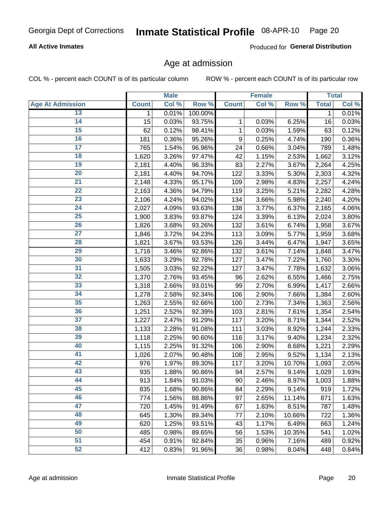## **All Active Inmates**

Produced for General Distribution

## Age at admission

COL % - percent each COUNT is of its particular column

|                         |              | <b>Male</b> |         |              | <b>Female</b> |        |              | <b>Total</b> |
|-------------------------|--------------|-------------|---------|--------------|---------------|--------|--------------|--------------|
| <b>Age At Admission</b> | <b>Count</b> | Col %       | Row %   | <b>Count</b> | Col %         | Row %  | <b>Total</b> | Col %        |
| 13                      | 1            | 0.01%       | 100.00% |              |               |        | 1            | 0.01%        |
| $\overline{14}$         | 15           | 0.03%       | 93.75%  | 1            | 0.03%         | 6.25%  | 16           | 0.03%        |
| 15                      | 62           | 0.12%       | 98.41%  | 1            | 0.03%         | 1.59%  | 63           | 0.12%        |
| 16                      | 181          | 0.36%       | 95.26%  | 9            | 0.25%         | 4.74%  | 190          | 0.36%        |
| $\overline{17}$         | 765          | 1.54%       | 96.96%  | 24           | 0.66%         | 3.04%  | 789          | 1.48%        |
| 18                      | 1,620        | 3.26%       | 97.47%  | 42           | 1.15%         | 2.53%  | 1,662        | 3.12%        |
| 19                      | 2,181        | 4.40%       | 96.33%  | 83           | 2.27%         | 3.67%  | 2,264        | 4.25%        |
| $\overline{20}$         | 2,181        | 4.40%       | 94.70%  | 122          | 3.33%         | 5.30%  | 2,303        | 4.32%        |
| $\overline{21}$         | 2,148        | 4.33%       | 95.17%  | 109          | 2.98%         | 4.83%  | 2,257        | 4.24%        |
| $\overline{22}$         | 2,163        | 4.36%       | 94.79%  | 119          | 3.25%         | 5.21%  | 2,282        | 4.28%        |
| 23                      | 2,106        | 4.24%       | 94.02%  | 134          | 3.66%         | 5.98%  | 2,240        | 4.20%        |
| $\overline{24}$         | 2,027        | 4.09%       | 93.63%  | 138          | 3.77%         | 6.37%  | 2,165        | 4.06%        |
| $\overline{25}$         | 1,900        | 3.83%       | 93.87%  | 124          | 3.39%         | 6.13%  | 2,024        | 3.80%        |
| 26                      | 1,826        | 3.68%       | 93.26%  | 132          | 3.61%         | 6.74%  | 1,958        | 3.67%        |
| 27                      | 1,846        | 3.72%       | 94.23%  | 113          | 3.09%         | 5.77%  | 1,959        | 3.68%        |
| 28                      | 1,821        | 3.67%       | 93.53%  | 126          | 3.44%         | 6.47%  | 1,947        | 3.65%        |
| 29                      | 1,716        | 3.46%       | 92.86%  | 132          | 3.61%         | 7.14%  | 1,848        | 3.47%        |
| 30                      | 1,633        | 3.29%       | 92.78%  | 127          | 3.47%         | 7.22%  | 1,760        | 3.30%        |
| 31                      | 1,505        | 3.03%       | 92.22%  | 127          | 3.47%         | 7.78%  | 1,632        | 3.06%        |
| $\overline{32}$         | 1,370        | 2.76%       | 93.45%  | 96           | 2.62%         | 6.55%  | 1,466        | 2.75%        |
| 33                      | 1,318        | 2.66%       | 93.01%  | 99           | 2.70%         | 6.99%  | 1,417        | 2.66%        |
| 34                      | 1,278        | 2.58%       | 92.34%  | 106          | 2.90%         | 7.66%  | 1,384        | 2.60%        |
| 35                      | 1,263        | 2.55%       | 92.66%  | 100          | 2.73%         | 7.34%  | 1,363        | 2.56%        |
| 36                      | 1,251        | 2.52%       | 92.39%  | 103          | 2.81%         | 7.61%  | 1,354        | 2.54%        |
| $\overline{37}$         | 1,227        | 2.47%       | 91.29%  | 117          | 3.20%         | 8.71%  | 1,344        | 2.52%        |
| 38                      | 1,133        | 2.28%       | 91.08%  | 111          | 3.03%         | 8.92%  | 1,244        | 2.33%        |
| 39                      | 1,118        | 2.25%       | 90.60%  | 116          | 3.17%         | 9.40%  | 1,234        | 2.32%        |
| 40                      | 1,115        | 2.25%       | 91.32%  | 106          | 2.90%         | 8.68%  | 1,221        | 2.29%        |
| 41                      | 1,026        | 2.07%       | 90.48%  | 108          | 2.95%         | 9.52%  | 1,134        | 2.13%        |
| 42                      | 976          | 1.97%       | 89.30%  | 117          | 3.20%         | 10.70% | 1,093        | 2.05%        |
| 43                      | 935          | 1.88%       | 90.86%  | 94           | 2.57%         | 9.14%  | 1,029        | 1.93%        |
| 44                      | 913          | 1.84%       | 91.03%  | 90           | 2.46%         | 8.97%  | 1,003        | 1.88%        |
| 45                      | 835          | 1.68%       | 90.86%  | 84           | 2.29%         | 9.14%  | 919          | 1.72%        |
| 46                      | 774          | 1.56%       | 88.86%  | 97           | 2.65%         | 11.14% | 871          | 1.63%        |
| 47                      | 720          | 1.45%       | 91.49%  | 67           | 1.83%         | 8.51%  | 787          | 1.48%        |
| 48                      | 645          | 1.30%       | 89.34%  | 77           | 2.10%         | 10.66% | 722          | 1.36%        |
| 49                      | 620          | 1.25%       | 93.51%  | 43           | 1.17%         | 6.49%  | 663          | 1.24%        |
| 50                      | 485          | 0.98%       | 89.65%  | 56           | 1.53%         | 10.35% | 541          | 1.02%        |
| 51                      | 454          | 0.91%       | 92.84%  | 35           | 0.96%         | 7.16%  | 489          | 0.92%        |
| 52                      | 412          | 0.83%       | 91.96%  | 36           | 0.98%         | 8.04%  | 448          | 0.84%        |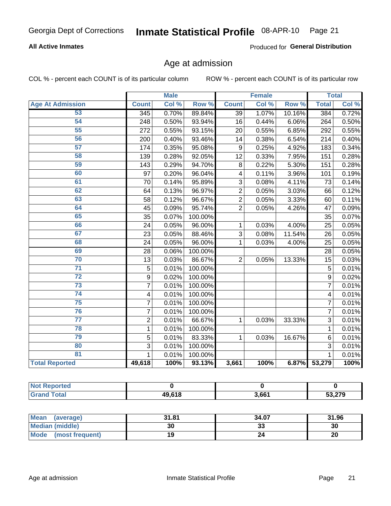## **All Active Inmates**

Produced for General Distribution

## Age at admission

COL % - percent each COUNT is of its particular column

|                         |                         | <b>Male</b> |         |                         | <b>Female</b> |        |                         | <b>Total</b> |
|-------------------------|-------------------------|-------------|---------|-------------------------|---------------|--------|-------------------------|--------------|
| <b>Age At Admission</b> | <b>Count</b>            | Col %       | Row %   | <b>Count</b>            | Col %         | Row %  | <b>Total</b>            | Col %        |
| 53                      | 345                     | 0.70%       | 89.84%  | 39                      | 1.07%         | 10.16% | 384                     | 0.72%        |
| 54                      | 248                     | 0.50%       | 93.94%  | 16                      | 0.44%         | 6.06%  | 264                     | 0.50%        |
| $\overline{55}$         | 272                     | 0.55%       | 93.15%  | 20                      | 0.55%         | 6.85%  | 292                     | 0.55%        |
| 56                      | 200                     | 0.40%       | 93.46%  | 14                      | 0.38%         | 6.54%  | 214                     | 0.40%        |
| 57                      | 174                     | 0.35%       | 95.08%  | 9                       | 0.25%         | 4.92%  | 183                     | 0.34%        |
| 58                      | 139                     | 0.28%       | 92.05%  | 12                      | 0.33%         | 7.95%  | 151                     | 0.28%        |
| 59                      | 143                     | 0.29%       | 94.70%  | 8                       | 0.22%         | 5.30%  | 151                     | 0.28%        |
| 60                      | 97                      | 0.20%       | 96.04%  | $\overline{\mathbf{4}}$ | 0.11%         | 3.96%  | 101                     | 0.19%        |
| 61                      | 70                      | 0.14%       | 95.89%  | 3                       | 0.08%         | 4.11%  | 73                      | 0.14%        |
| 62                      | 64                      | 0.13%       | 96.97%  | $\overline{2}$          | 0.05%         | 3.03%  | 66                      | 0.12%        |
| 63                      | 58                      | 0.12%       | 96.67%  | $\overline{2}$          | 0.05%         | 3.33%  | 60                      | 0.11%        |
| 64                      | 45                      | 0.09%       | 95.74%  | $\overline{2}$          | 0.05%         | 4.26%  | 47                      | 0.09%        |
| 65                      | 35                      | 0.07%       | 100.00% |                         |               |        | 35                      | 0.07%        |
| 66                      | 24                      | 0.05%       | 96.00%  | 1                       | 0.03%         | 4.00%  | 25                      | 0.05%        |
| 67                      | 23                      | 0.05%       | 88.46%  | 3                       | 0.08%         | 11.54% | 26                      | 0.05%        |
| 68                      | 24                      | 0.05%       | 96.00%  | 1                       | 0.03%         | 4.00%  | 25                      | 0.05%        |
| 69                      | 28                      | 0.06%       | 100.00% |                         |               |        | 28                      | 0.05%        |
| 70                      | 13                      | 0.03%       | 86.67%  | $\overline{2}$          | 0.05%         | 13.33% | 15                      | 0.03%        |
| $\overline{71}$         | 5                       | 0.01%       | 100.00% |                         |               |        | 5                       | 0.01%        |
| $\overline{72}$         | 9                       | 0.02%       | 100.00% |                         |               |        | 9                       | 0.02%        |
| $\overline{73}$         | $\overline{7}$          | 0.01%       | 100.00% |                         |               |        | $\overline{7}$          | 0.01%        |
| 74                      | $\overline{\mathbf{4}}$ | 0.01%       | 100.00% |                         |               |        | $\overline{\mathbf{4}}$ | 0.01%        |
| 75                      | $\overline{7}$          | 0.01%       | 100.00% |                         |               |        | $\overline{7}$          | 0.01%        |
| 76                      | $\overline{7}$          | 0.01%       | 100.00% |                         |               |        | $\overline{7}$          | 0.01%        |
| 77                      | $\overline{2}$          | 0.01%       | 66.67%  | 1                       | 0.03%         | 33.33% | 3                       | 0.01%        |
| 78                      | 1                       | 0.01%       | 100.00% |                         |               |        | $\mathbf{1}$            | 0.01%        |
| 79                      | 5                       | 0.01%       | 83.33%  | 1                       | 0.03%         | 16.67% | 6                       | 0.01%        |
| 80                      | 3                       | 0.01%       | 100.00% |                         |               |        | $\overline{3}$          | 0.01%        |
| $\overline{81}$         | 1                       | 0.01%       | 100.00% |                         |               |        | 1                       | 0.01%        |
| <b>Total Reported</b>   | 49,618                  | 100%        | 93.13%  | 3,661                   | 100%          | 6.87%  | 53,279                  | 100%         |

| <b>Not</b><br>ported |            |       |        |
|----------------------|------------|-------|--------|
| <b>Total</b>         | $AQ$ $619$ | 3,661 | 53,279 |

| Mean (average)         | 31.81 | 34.07   | 31.96 |
|------------------------|-------|---------|-------|
| <b>Median (middle)</b> | 30    | ົ<br>دد | 30    |
| Mode (most frequent)   |       |         | 20    |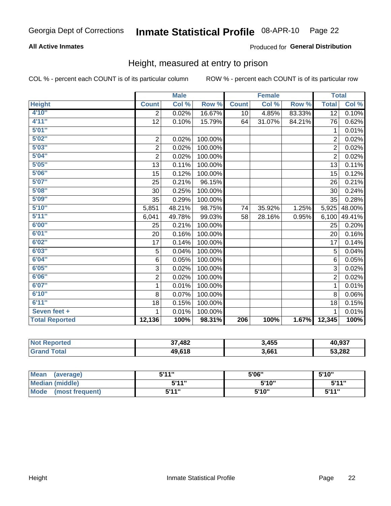## **All Active Inmates**

## Produced for General Distribution

## Height, measured at entry to prison

COL % - percent each COUNT is of its particular column

|                       |                | <b>Male</b> |         |              | <b>Female</b> |        | <b>Total</b>   |        |
|-----------------------|----------------|-------------|---------|--------------|---------------|--------|----------------|--------|
| <b>Height</b>         | <b>Count</b>   | Col %       | Row %   | <b>Count</b> | Col %         | Row %  | <b>Total</b>   | Col %  |
| 4'10"                 | $\overline{2}$ | 0.02%       | 16.67%  | 10           | 4.85%         | 83.33% | 12             | 0.10%  |
| 4'11''                | 12             | 0.10%       | 15.79%  | 64           | 31.07%        | 84.21% | 76             | 0.62%  |
| 5'01''                |                |             |         |              |               |        | 1              | 0.01%  |
| 5'02''                | $\mathbf 2$    | 0.02%       | 100.00% |              |               |        | $\overline{2}$ | 0.02%  |
| 5'03''                | $\overline{c}$ | 0.02%       | 100.00% |              |               |        | $\overline{2}$ | 0.02%  |
| 5'04''                | $\overline{2}$ | 0.02%       | 100.00% |              |               |        | $\overline{2}$ | 0.02%  |
| 5'05''                | 13             | 0.11%       | 100.00% |              |               |        | 13             | 0.11%  |
| 5'06''                | 15             | 0.12%       | 100.00% |              |               |        | 15             | 0.12%  |
| 5'07''                | 25             | 0.21%       | 96.15%  |              |               |        | 26             | 0.21%  |
| 5'08''                | 30             | 0.25%       | 100.00% |              |               |        | 30             | 0.24%  |
| 5'09''                | 35             | 0.29%       | 100.00% |              |               |        | 35             | 0.28%  |
| 5'10''                | 5,851          | 48.21%      | 98.75%  | 74           | 35.92%        | 1.25%  | 5,925          | 48.00% |
| 5'11''                | 6,041          | 49.78%      | 99.03%  | 58           | 28.16%        | 0.95%  | 6,100          | 49.41% |
| 6'00''                | 25             | 0.21%       | 100.00% |              |               |        | 25             | 0.20%  |
| 6'01''                | 20             | 0.16%       | 100.00% |              |               |        | 20             | 0.16%  |
| 6'02''                | 17             | 0.14%       | 100.00% |              |               |        | 17             | 0.14%  |
| 6'03''                | $\sqrt{5}$     | 0.04%       | 100.00% |              |               |        | 5              | 0.04%  |
| 6'04''                | 6              | 0.05%       | 100.00% |              |               |        | 6              | 0.05%  |
| 6'05''                | 3              | 0.02%       | 100.00% |              |               |        | 3              | 0.02%  |
| 6'06''                | $\overline{2}$ | 0.02%       | 100.00% |              |               |        | $\overline{2}$ | 0.02%  |
| 6'07''                | 1              | 0.01%       | 100.00% |              |               |        | 1              | 0.01%  |
| 6'10''                | 8              | 0.07%       | 100.00% |              |               |        | 8              | 0.06%  |
| 6'11''                | 18             | 0.15%       | 100.00% |              |               |        | 18             | 0.15%  |
| Seven feet +          | 1              | 0.01%       | 100.00% |              |               |        | 1              | 0.01%  |
| <b>Total Reported</b> | 12,136         | 100%        | 98.31%  | 206          | 100%          | 1.67%  | 12,345         | 100%   |

| <b>o</b> rted<br>NO. | .482<br>57 | 3,455 | 40,937 |
|----------------------|------------|-------|--------|
| <b>Tota</b><br>Gra   | 49,618     | 3,661 | 53,282 |

| <b>Mean</b><br>(average) | 5'11" | 5'06" | 5'10"  |
|--------------------------|-------|-------|--------|
| Median (middle)          | 544"  | 5'10" | 5'11'' |
| Mode<br>(most frequent)  | 5'11" | 5'10" | 5'11"  |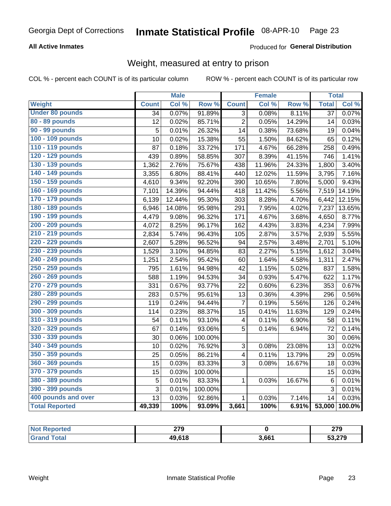## **All Active Inmates**

## Produced for General Distribution

## Weight, measured at entry to prison

COL % - percent each COUNT is of its particular column

|                        |                 | <b>Male</b> |         |                         | <b>Female</b> |        | <b>Total</b>    |        |
|------------------------|-----------------|-------------|---------|-------------------------|---------------|--------|-----------------|--------|
| <b>Weight</b>          | <b>Count</b>    | Col %       | Row %   | <b>Count</b>            | Col %         | Row %  | <b>Total</b>    | Col %  |
| <b>Under 80 pounds</b> | $\overline{34}$ | 0.07%       | 91.89%  | $\overline{3}$          | 0.08%         | 8.11%  | $\overline{37}$ | 0.07%  |
| 80 - 89 pounds         | 12              | 0.02%       | 85.71%  | $\overline{2}$          | 0.05%         | 14.29% | 14              | 0.03%  |
| 90 - 99 pounds         | 5               | 0.01%       | 26.32%  | 14                      | 0.38%         | 73.68% | 19              | 0.04%  |
| 100 - 109 pounds       | 10              | 0.02%       | 15.38%  | 55                      | 1.50%         | 84.62% | 65              | 0.12%  |
| 110 - 119 pounds       | 87              | 0.18%       | 33.72%  | 171                     | 4.67%         | 66.28% | 258             | 0.49%  |
| 120 - 129 pounds       | 439             | 0.89%       | 58.85%  | 307                     | 8.39%         | 41.15% | 746             | 1.41%  |
| 130 - 139 pounds       | 1,362           | 2.76%       | 75.67%  | 438                     | 11.96%        | 24.33% | 1,800           | 3.40%  |
| 140 - 149 pounds       | 3,355           | 6.80%       | 88.41%  | 440                     | 12.02%        | 11.59% | 3,795           | 7.16%  |
| 150 - 159 pounds       | 4,610           | 9.34%       | 92.20%  | 390                     | 10.65%        | 7.80%  | 5,000           | 9.43%  |
| 160 - 169 pounds       | 7,101           | 14.39%      | 94.44%  | 418                     | 11.42%        | 5.56%  | 7,519           | 14.19% |
| 170 - 179 pounds       | 6,139           | 12.44%      | 95.30%  | 303                     | 8.28%         | 4.70%  | 6,442           | 12.15% |
| 180 - 189 pounds       | 6,946           | 14.08%      | 95.98%  | 291                     | 7.95%         | 4.02%  | 7,237           | 13.65% |
| 190 - 199 pounds       | 4,479           | 9.08%       | 96.32%  | 171                     | 4.67%         | 3.68%  | 4,650           | 8.77%  |
| 200 - 209 pounds       | 4,072           | 8.25%       | 96.17%  | 162                     | 4.43%         | 3.83%  | 4,234           | 7.99%  |
| 210 - 219 pounds       | 2,834           | 5.74%       | 96.43%  | 105                     | 2.87%         | 3.57%  | 2,939           | 5.55%  |
| 220 - 229 pounds       | 2,607           | 5.28%       | 96.52%  | 94                      | 2.57%         | 3.48%  | 2,701           | 5.10%  |
| 230 - 239 pounds       | 1,529           | 3.10%       | 94.85%  | 83                      | 2.27%         | 5.15%  | 1,612           | 3.04%  |
| 240 - 249 pounds       | 1,251           | 2.54%       | 95.42%  | 60                      | 1.64%         | 4.58%  | 1,311           | 2.47%  |
| 250 - 259 pounds       | 795             | 1.61%       | 94.98%  | 42                      | 1.15%         | 5.02%  | 837             | 1.58%  |
| 260 - 269 pounds       | 588             | 1.19%       | 94.53%  | 34                      | 0.93%         | 5.47%  | 622             | 1.17%  |
| 270 - 279 pounds       | 331             | 0.67%       | 93.77%  | 22                      | 0.60%         | 6.23%  | 353             | 0.67%  |
| 280 - 289 pounds       | 283             | 0.57%       | 95.61%  | 13                      | 0.36%         | 4.39%  | 296             | 0.56%  |
| 290 - 299 pounds       | 119             | 0.24%       | 94.44%  | 7                       | 0.19%         | 5.56%  | 126             | 0.24%  |
| 300 - 309 pounds       | 114             | 0.23%       | 88.37%  | 15                      | 0.41%         | 11.63% | 129             | 0.24%  |
| 310 - 319 pounds       | 54              | 0.11%       | 93.10%  | 4                       | 0.11%         | 6.90%  | 58              | 0.11%  |
| 320 - 329 pounds       | 67              | 0.14%       | 93.06%  | 5                       | 0.14%         | 6.94%  | 72              | 0.14%  |
| 330 - 339 pounds       | 30              | 0.06%       | 100.00% |                         |               |        | 30              | 0.06%  |
| 340 - 349 pounds       | 10              | 0.02%       | 76.92%  | 3                       | 0.08%         | 23.08% | 13              | 0.02%  |
| 350 - 359 pounds       | 25              | 0.05%       | 86.21%  | $\overline{\mathbf{4}}$ | 0.11%         | 13.79% | 29              | 0.05%  |
| 360 - 369 pounds       | 15              | 0.03%       | 83.33%  | 3                       | 0.08%         | 16.67% | 18              | 0.03%  |
| 370 - 379 pounds       | 15              | 0.03%       | 100.00% |                         |               |        | 15              | 0.03%  |
| 380 - 389 pounds       | 5               | 0.01%       | 83.33%  | $\mathbf{1}$            | 0.03%         | 16.67% | $\,6$           | 0.01%  |
| 390 - 399 pounds       | 3               | 0.01%       | 100.00% |                         |               |        | 3               | 0.01%  |
| 400 pounds and over    | 13              | 0.03%       | 92.86%  | $\mathbf{1}$            | 0.03%         | 7.14%  | 14              | 0.03%  |
| <b>Total Reported</b>  | 49,339          | 100%        | 93.09%  | 3,661                   | 100%          | 6.91%  | 53,000          | 100.0% |

| <b>Not</b><br>oorted | 270<br>21 J |       | 279    |
|----------------------|-------------|-------|--------|
|                      | 49,618      | 3,661 | 53,279 |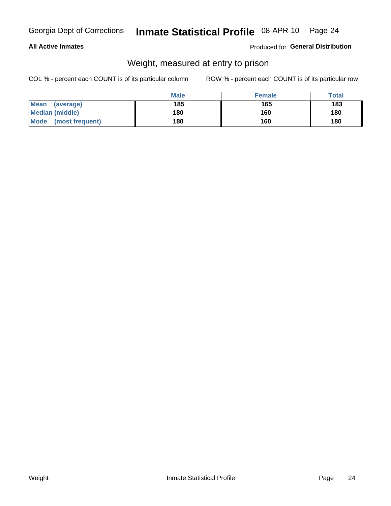## **All Active Inmates**

## Produced for General Distribution

## Weight, measured at entry to prison

COL % - percent each COUNT is of its particular column

|                          | <b>Male</b> | <b>Female</b> | Total |
|--------------------------|-------------|---------------|-------|
| <b>Mean</b><br>(average) | 185         | 165           | 183   |
| <b>Median (middle)</b>   | 180         | 160           | 180   |
| Mode<br>(most frequent)  | 180         | 160           | 180   |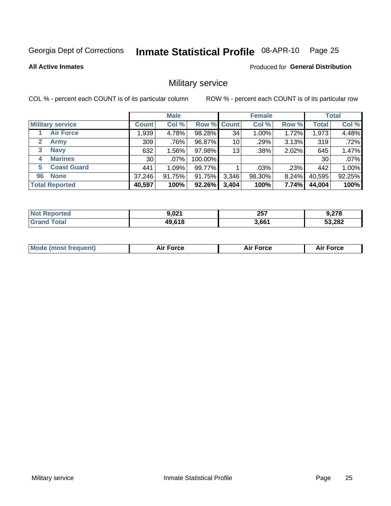#### Inmate Statistical Profile 08-APR-10 Page 25

## **All Active Inmates**

**Produced for General Distribution** 

## Military service

COL % - percent each COUNT is of its particular column

|                             |              | <b>Male</b> |                    |       | <b>Female</b> |          |              | <b>Total</b> |
|-----------------------------|--------------|-------------|--------------------|-------|---------------|----------|--------------|--------------|
| <b>Military service</b>     | <b>Count</b> | Col %       | <b>Row % Count</b> |       | Col %         | Row %    | <b>Total</b> | Col %        |
| <b>Air Force</b>            | .939         | 4.78%       | 98.28%             | 34    | $1.00\%$      | 1.72%    | 1,973        | 4.48%        |
| $\mathbf{2}$<br><b>Army</b> | 309          | .76%        | 96.87%             | 10    | .29%          | 3.13%    | 319          | .72%         |
| <b>Navy</b><br>3            | 632          | 1.56%       | 97.98%             | 13    | .38%          | 2.02%    | 645          | 1.47%        |
| <b>Marines</b><br>4         | 30           | $.07\%$     | 100.00%            |       |               |          | 30           | .07%         |
| <b>Coast Guard</b><br>5.    | 441          | 1.09%       | 99.77%             |       | .03%          | .23%     | 442          | 1.00%        |
| <b>None</b><br>96           | 37,246       | 91.75%      | 91.75%             | 3,346 | 98.30%        | $8.24\%$ | 40,595       | 92.25%       |
| <b>Total Reported</b>       | 40,597       | 100%        | $92.26\%$          | 3,404 | 100%          | 7.74%    | 44,004       | 100%         |

| "teo<br>N             | a no+  | 257   | ,278   |
|-----------------------|--------|-------|--------|
| <b>otal</b><br>''Gra. | 49.618 | 3,661 | 53,282 |

| <b>Mode (most frequent)</b><br>Force<br><b>Force</b><br>orce<br>Aır |
|---------------------------------------------------------------------|
|---------------------------------------------------------------------|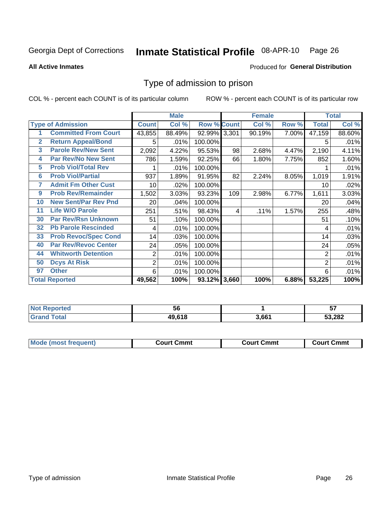#### Inmate Statistical Profile 08-APR-10 Page 26

**All Active Inmates** 

### Produced for General Distribution

## Type of admission to prison

COL % - percent each COUNT is of its particular column

|                |                             |                | <b>Male</b> |                    |     | <b>Female</b> |       |                | <b>Total</b> |
|----------------|-----------------------------|----------------|-------------|--------------------|-----|---------------|-------|----------------|--------------|
|                | <b>Type of Admission</b>    | <b>Count</b>   | Col %       | <b>Row % Count</b> |     | Col %         | Row % | <b>Total</b>   | Col %        |
| 1              | <b>Committed From Court</b> | 43,855         | 88.49%      | 92.99% 3,301       |     | 90.19%        | 7.00% | 47,159         | 88.60%       |
| $\overline{2}$ | <b>Return Appeal/Bond</b>   | 5              | .01%        | 100.00%            |     |               |       | 5              | .01%         |
| 3              | <b>Parole Rev/New Sent</b>  | 2,092          | 4.22%       | 95.53%             | 98  | 2.68%         | 4.47% | 2,190          | 4.11%        |
| 4              | Par Rev/No New Sent         | 786            | 1.59%       | 92.25%             | 66  | 1.80%         | 7.75% | 852            | 1.60%        |
| 5              | <b>Prob Viol/Total Rev</b>  |                | .01%        | 100.00%            |     |               |       |                | .01%         |
| 6              | <b>Prob Viol/Partial</b>    | 937            | 1.89%       | 91.95%             | 82  | 2.24%         | 8.05% | 1,019          | 1.91%        |
| 7              | <b>Admit Fm Other Cust</b>  | 10             | $.02\%$     | 100.00%            |     |               |       | 10             | .02%         |
| 9              | <b>Prob Rev/Remainder</b>   | 1,502          | 3.03%       | 93.23%             | 109 | 2.98%         | 6.77% | 1,611          | 3.03%        |
| 10             | <b>New Sent/Par Rev Pnd</b> | 20             | .04%        | 100.00%            |     |               |       | 20             | .04%         |
| 11             | <b>Life W/O Parole</b>      | 251            | .51%        | 98.43%             | 4   | .11%          | 1.57% | 255            | .48%         |
| 30             | <b>Par Rev/Rsn Unknown</b>  | 51             | .10%        | 100.00%            |     |               |       | 51             | .10%         |
| 32             | <b>Pb Parole Rescinded</b>  | 4              | .01%        | 100.00%            |     |               |       | 4              | .01%         |
| 33             | <b>Prob Revoc/Spec Cond</b> | 14             | .03%        | 100.00%            |     |               |       | 14             | .03%         |
| 40             | <b>Par Rev/Revoc Center</b> | 24             | .05%        | 100.00%            |     |               |       | 24             | .05%         |
| 44             | <b>Whitworth Detention</b>  | 2              | .01%        | 100.00%            |     |               |       | $\overline{2}$ | .01%         |
| 50             | <b>Dcys At Risk</b>         | $\overline{c}$ | .01%        | 100.00%            |     |               |       | 2              | .01%         |
| 97             | <b>Other</b>                | 6              | .01%        | 100.00%            |     |               |       | 6              | .01%         |
|                | <b>Total Reported</b>       | 49,562         | 100%        | $93.12\%$ 3,660    |     | 100%          | 6.88% | 53,225         | 100%         |

| <b>Not</b><br>Reported | 56     |       | --<br><br>J1 |
|------------------------|--------|-------|--------------|
| <b>Total</b><br>'Grano | 49.618 | 3,661 | 53,282       |

| <b>Mode (most frequent)</b> | Court Cmmt | <b>Court Cmmt</b> | Court Cmmt |
|-----------------------------|------------|-------------------|------------|
|                             |            |                   |            |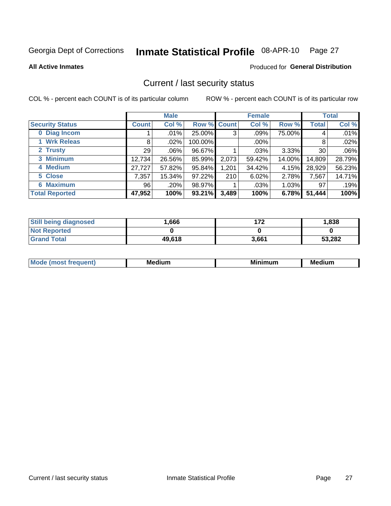## Inmate Statistical Profile 08-APR-10 Page 27

### **All Active Inmates**

## Produced for General Distribution

## Current / last security status

COL % - percent each COUNT is of its particular column

|                        |         | <b>Male</b> |             |       | <b>Female</b> |          |              | <b>Total</b> |
|------------------------|---------|-------------|-------------|-------|---------------|----------|--------------|--------------|
| <b>Security Status</b> | Count l | Col %       | Row % Count |       | Col %         | Row %    | <b>Total</b> | Col %        |
| 0 Diag Incom           |         | .01%        | 25.00%      | 3     | .09%          | 75.00%   | 4            | .01%         |
| 1 Wrk Releas           | 8       | .02%        | 100.00%     |       | $.00\%$       |          | 8            | .02%         |
| 2 Trusty               | 29      | $.06\%$     | 96.67%      |       | .03%          | 3.33%    | 30           | $.06\%$      |
| 3 Minimum              | 12,734  | 26.56%      | 85.99%      | 2,073 | 59.42%        | 14.00%   | 14,809       | 28.79%       |
| 4 Medium               | 27,727  | 57.82%      | 95.84%      | 1,201 | 34.42%        | 4.15%    | 28,929       | 56.23%       |
| 5 Close                | 7,357   | 15.34%      | 97.22%      | 210   | 6.02%         | 2.78%    | 7,567        | 14.71%       |
| <b>Maximum</b><br>6.   | 96      | .20%        | 98.97%      |       | .03%          | $1.03\%$ | 97           | .19%         |
| <b>Total Reported</b>  | 47,952  | 100%        | 93.21%      | 3,489 | 100%          | 6.78%    | 51,444       | 100%         |

| <b>Still being diagnosed</b> | 0.666  | ィフク   | 1,838  |
|------------------------------|--------|-------|--------|
| <b>Not Reported</b>          |        |       |        |
| <b>Grand Total</b>           | 49,618 | 3,661 | 53,282 |

| <b>Mode</b><br>`reauent) | <b>Medium</b> | <b>BRID</b><br>num | Mer<br>dium |
|--------------------------|---------------|--------------------|-------------|
|                          |               |                    |             |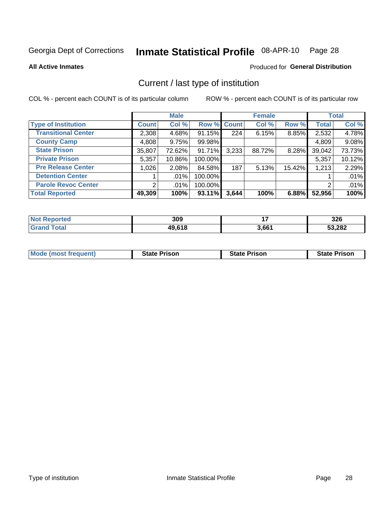#### Inmate Statistical Profile 08-APR-10 Page 28

**All Active Inmates** 

## Produced for General Distribution

## Current / last type of institution

COL % - percent each COUNT is of its particular column

|                            |                | <b>Male</b> |             |       | <b>Female</b> |        |              | <b>Total</b> |
|----------------------------|----------------|-------------|-------------|-------|---------------|--------|--------------|--------------|
| <b>Type of Institution</b> | <b>Count</b>   | Col %       | Row % Count |       | Col %         | Row %  | <b>Total</b> | Col %        |
| <b>Transitional Center</b> | 2,308          | 4.68%       | 91.15%      | 224   | 6.15%         | 8.85%  | 2,532        | 4.78%        |
| <b>County Camp</b>         | 4,808          | 9.75%       | 99.98%      |       |               |        | 4,809        | 9.08%        |
| <b>State Prison</b>        | 35,807         | 72.62%      | 91.71%      | 3,233 | 88.72%        | 8.28%  | 39,042       | 73.73%       |
| <b>Private Prison</b>      | 5,357          | 10.86%      | 100.00%     |       |               |        | 5,357        | 10.12%       |
| <b>Pre Release Center</b>  | 1,026          | 2.08%       | 84.58%      | 187   | 5.13%         | 15.42% | 1,213        | 2.29%        |
| <b>Detention Center</b>    |                | $.01\%$     | 100.00%     |       |               |        |              | .01%         |
| <b>Parole Revoc Center</b> | 2 <sub>1</sub> | $.01\%$     | 100.00%     |       |               |        | 2            | .01%         |
| <b>Total Reported</b>      | 49,309         | 100%        | 93.11%      | 3,644 | 100%          | 6.88%  | 52,956       | 100%         |

| 'N (<br>тео | 309     | . .   | つつぐ<br>J∠O |
|-------------|---------|-------|------------|
|             | 49 61 P | 3.661 | 53,282     |

| <b>Mode (most frequent)</b> | <b>State Prison</b> | <b>State Prison</b> | <b>State Prison</b> |
|-----------------------------|---------------------|---------------------|---------------------|
|                             |                     |                     |                     |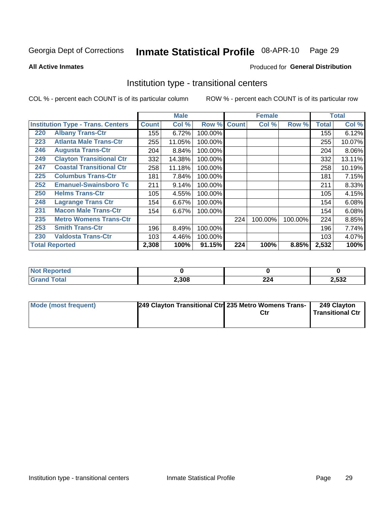#### Inmate Statistical Profile 08-APR-10 Page 29

**All Active Inmates** 

## Produced for General Distribution

## Institution type - transitional centers

COL % - percent each COUNT is of its particular column

|     |                                          |              | <b>Male</b> |         |              | <b>Female</b> |         |              | <b>Total</b> |
|-----|------------------------------------------|--------------|-------------|---------|--------------|---------------|---------|--------------|--------------|
|     | <b>Institution Type - Trans. Centers</b> | <b>Count</b> | Col %       | Row %   | <b>Count</b> | Col %         | Row %   | <b>Total</b> | Col %        |
| 220 | <b>Albany Trans-Ctr</b>                  | 155          | 6.72%       | 100.00% |              |               |         | 155          | 6.12%        |
| 223 | <b>Atlanta Male Trans-Ctr</b>            | 255          | 11.05%      | 100.00% |              |               |         | 255          | 10.07%       |
| 246 | <b>Augusta Trans-Ctr</b>                 | 204          | 8.84%       | 100.00% |              |               |         | 204          | 8.06%        |
| 249 | <b>Clayton Transitional Ctr</b>          | 332          | 14.38%      | 100.00% |              |               |         | 332          | 13.11%       |
| 247 | <b>Coastal Transitional Ctr</b>          | 258          | 11.18%      | 100.00% |              |               |         | 258          | 10.19%       |
| 225 | <b>Columbus Trans-Ctr</b>                | 181          | 7.84%       | 100.00% |              |               |         | 181          | 7.15%        |
| 252 | <b>Emanuel-Swainsboro Tc</b>             | 211          | 9.14%       | 100.00% |              |               |         | 211          | 8.33%        |
| 250 | <b>Helms Trans-Ctr</b>                   | 105          | 4.55%       | 100.00% |              |               |         | 105          | 4.15%        |
| 248 | <b>Lagrange Trans Ctr</b>                | 154          | 6.67%       | 100.00% |              |               |         | 154          | 6.08%        |
| 231 | <b>Macon Male Trans-Ctr</b>              | 154          | 6.67%       | 100.00% |              |               |         | 154          | 6.08%        |
| 235 | <b>Metro Womens Trans-Ctr</b>            |              |             |         | 224          | 100.00%       | 100.00% | 224          | 8.85%        |
| 253 | <b>Smith Trans-Ctr</b>                   | 196          | 8.49%       | 100.00% |              |               |         | 196          | 7.74%        |
| 230 | <b>Valdosta Trans-Ctr</b>                | 103          | 4.46%       | 100.00% |              |               |         | 103          | 4.07%        |
|     | <b>Total Reported</b>                    | 2,308        | 100%        | 91.15%  | 224          | 100%          | 8.85%   | 2,532        | 100%         |

| <b>rteo</b><br>m. |       |            |       |
|-------------------|-------|------------|-------|
|                   | 2,308 | ົດດມ<br>44 | 2,532 |

| Mode (most frequent) | 249 Clayton Transitional Ctr 235 Metro Womens Trans- | Ctr | 249 Clayton<br>Transitional Ctr |
|----------------------|------------------------------------------------------|-----|---------------------------------|
|                      |                                                      |     |                                 |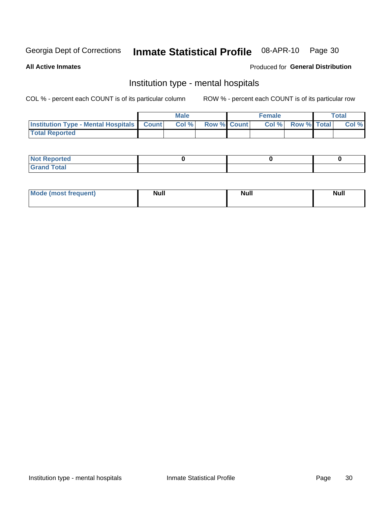#### Inmate Statistical Profile 08-APR-10 Page 30

### **All Active Inmates**

## **Produced for General Distribution**

## Institution type - mental hospitals

COL % - percent each COUNT is of its particular column

|                                                  | Male  |                    | <b>Female</b> |                   | <b>Total</b> |
|--------------------------------------------------|-------|--------------------|---------------|-------------------|--------------|
| <b>Institution Type - Mental Hospitals Count</b> | Col % | <b>Row % Count</b> |               | Col % Row % Total | Col %        |
| <b>Total Reported</b>                            |       |                    |               |                   |              |

| <b>Not Reported</b>                     |  |  |
|-----------------------------------------|--|--|
| <b>otal</b><br>C <sub>r</sub><br>______ |  |  |

| Mode.<br>frequent) | <b>Nul</b><br>_____ | <b>Null</b> | <b>Null</b> |
|--------------------|---------------------|-------------|-------------|
|                    |                     |             |             |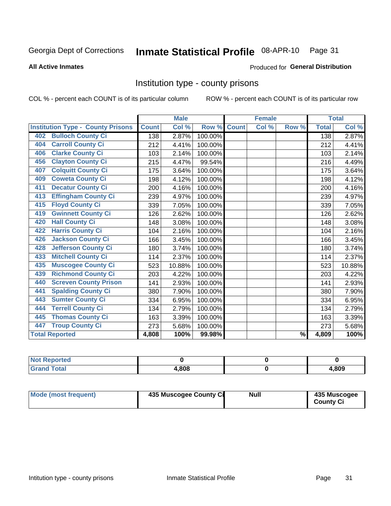#### Inmate Statistical Profile 08-APR-10 Page 31

### **All Active Inmates**

### Produced for General Distribution

## Institution type - county prisons

COL % - percent each COUNT is of its particular column

|                                          |              | <b>Male</b> |         |              | <b>Female</b> |                          |              | <b>Total</b>               |
|------------------------------------------|--------------|-------------|---------|--------------|---------------|--------------------------|--------------|----------------------------|
| <b>Institution Type - County Prisons</b> | <b>Count</b> | Col %       | Row %   | <b>Count</b> | Col %         | Row %                    | <b>Total</b> | $\overline{\text{Col }\%}$ |
| <b>Bulloch County Ci</b><br>402          | 138          | 2.87%       | 100.00% |              |               |                          | 138          | 2.87%                      |
| <b>Carroll County Ci</b><br>404          | 212          | 4.41%       | 100.00% |              |               |                          | 212          | 4.41%                      |
| <b>Clarke County Ci</b><br>406           | 103          | 2.14%       | 100.00% |              |               |                          | 103          | 2.14%                      |
| <b>Clayton County Ci</b><br>456          | 215          | 4.47%       | 99.54%  |              |               |                          | 216          | 4.49%                      |
| <b>Colquitt County Ci</b><br>407         | 175          | 3.64%       | 100.00% |              |               |                          | 175          | 3.64%                      |
| <b>Coweta County Ci</b><br>409           | 198          | 4.12%       | 100.00% |              |               |                          | 198          | 4.12%                      |
| <b>Decatur County Ci</b><br>411          | 200          | 4.16%       | 100.00% |              |               |                          | 200          | 4.16%                      |
| <b>Effingham County Ci</b><br>413        | 239          | 4.97%       | 100.00% |              |               |                          | 239          | 4.97%                      |
| <b>Floyd County Ci</b><br>415            | 339          | 7.05%       | 100.00% |              |               |                          | 339          | 7.05%                      |
| <b>Gwinnett County Ci</b><br>419         | 126          | 2.62%       | 100.00% |              |               |                          | 126          | 2.62%                      |
| <b>Hall County Ci</b><br>420             | 148          | 3.08%       | 100.00% |              |               |                          | 148          | 3.08%                      |
| <b>Harris County Ci</b><br>422           | 104          | 2.16%       | 100.00% |              |               |                          | 104          | 2.16%                      |
| <b>Jackson County Ci</b><br>426          | 166          | 3.45%       | 100.00% |              |               |                          | 166          | 3.45%                      |
| <b>Jefferson County Ci</b><br>428        | 180          | 3.74%       | 100.00% |              |               |                          | 180          | 3.74%                      |
| <b>Mitchell County Ci</b><br>433         | 114          | 2.37%       | 100.00% |              |               |                          | 114          | 2.37%                      |
| <b>Muscogee County Ci</b><br>435         | 523          | 10.88%      | 100.00% |              |               |                          | 523          | 10.88%                     |
| <b>Richmond County Ci</b><br>439         | 203          | 4.22%       | 100.00% |              |               |                          | 203          | 4.22%                      |
| <b>Screven County Prison</b><br>440      | 141          | 2.93%       | 100.00% |              |               |                          | 141          | 2.93%                      |
| <b>Spalding County Ci</b><br>441         | 380          | 7.90%       | 100.00% |              |               |                          | 380          | 7.90%                      |
| <b>Sumter County Ci</b><br>443           | 334          | 6.95%       | 100.00% |              |               |                          | 334          | 6.95%                      |
| <b>Terrell County Ci</b><br>444          | 134          | 2.79%       | 100.00% |              |               |                          | 134          | 2.79%                      |
| <b>Thomas County Ci</b><br>445           | 163          | 3.39%       | 100.00% |              |               |                          | 163          | 3.39%                      |
| <b>Troup County Ci</b><br>447            | 273          | 5.68%       | 100.00% |              |               |                          | 273          | 5.68%                      |
| <b>Total Reported</b>                    | 4,808        | 100%        | 99.98%  |              |               | $\overline{\frac{9}{6}}$ | 4,809        | 100%                       |

| <b>Not Reported</b>       |       |       |
|---------------------------|-------|-------|
| Total<br>' Grand <b>`</b> | 4.808 | l,809 |

| <b>Mode (most frequent)</b> | 435 Muscogee County Ci | <b>Null</b> | 435 Muscogee<br><b>County Ci</b> |
|-----------------------------|------------------------|-------------|----------------------------------|
|                             |                        |             |                                  |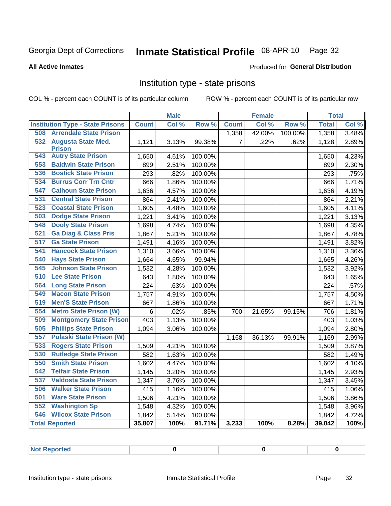#### Inmate Statistical Profile 08-APR-10 Page 32

### **All Active Inmates**

## Produced for General Distribution

## Institution type - state prisons

COL % - percent each COUNT is of its particular column

|                                                 |              | <b>Male</b>         |                  |                | <b>Female</b> |         | <b>Total</b> |       |
|-------------------------------------------------|--------------|---------------------|------------------|----------------|---------------|---------|--------------|-------|
| <b>Institution Type - State Prisons</b>         | <b>Count</b> | Col %               | Row <sup>%</sup> | <b>Count</b>   | Col %         | Row %   | <b>Total</b> | Col % |
| <b>508 Arrendale State Prison</b>               |              |                     |                  | 1,358          | 42.00%        | 100.00% | 1,358        | 3.48% |
| 532 Augusta State Med.                          | 1,121        | 3.13%               | 99.38%           | $\overline{7}$ | .22%          | .62%    | 1,128        | 2.89% |
| <b>Prison</b>                                   |              |                     |                  |                |               |         |              |       |
| <b>Autry State Prison</b><br>543                | 1,650        | 4.61%               | 100.00%          |                |               |         | 1,650        | 4.23% |
| <b>Baldwin State Prison</b><br>553              | 899          | 2.51%               | 100.00%          |                |               |         | 899          | 2.30% |
| <b>Bostick State Prison</b><br>536              | 293          | .82%                | 100.00%          |                |               |         | 293          | .75%  |
| <b>Burrus Corr Trn Cntr</b><br>534              | 666          | 1.86%               | 100.00%          |                |               |         | 666          | 1.71% |
| <b>Calhoun State Prison</b><br>$\overline{547}$ | 1,636        | 4.57%               | 100.00%          |                |               |         | 1,636        | 4.19% |
| <b>Central State Prison</b><br>531              | 864          | 2.41%               | 100.00%          |                |               |         | 864          | 2.21% |
| 523<br><b>Coastal State Prison</b>              | 1,605        | 4.48%               | 100.00%          |                |               |         | 1,605        | 4.11% |
| <b>Dodge State Prison</b><br>503                | 1,221        | 3.41%               | 100.00%          |                |               |         | 1,221        | 3.13% |
| <b>Dooly State Prison</b><br>548                | 1,698        | 4.74%               | 100.00%          |                |               |         | 1,698        | 4.35% |
| <b>Ga Diag &amp; Class Pris</b><br>521          | 1,867        | 5.21%               | 100.00%          |                |               |         | 1,867        | 4.78% |
| <b>Ga State Prison</b><br>517                   | 1,491        | 4.16%               | 100.00%          |                |               |         | 1,491        | 3.82% |
| <b>Hancock State Prison</b><br>541              | 1,310        | 3.66%               | 100.00%          |                |               |         | 1,310        | 3.36% |
| <b>Hays State Prison</b><br>540                 | 1,664        | 4.65%               | 99.94%           |                |               |         | 1,665        | 4.26% |
| <b>Johnson State Prison</b><br>545              | 1,532        | 4.28%               | 100.00%          |                |               |         | 1,532        | 3.92% |
| <b>Lee State Prison</b><br>510                  | 643          | 1.80%               | 100.00%          |                |               |         | 643          | 1.65% |
| <b>Long State Prison</b><br>564                 | 224          | .63%                | 100.00%          |                |               |         | 224          | .57%  |
| 549<br><b>Macon State Prison</b>                | 1,757        | 4.91%               | 100.00%          |                |               |         | 1,757        | 4.50% |
| <b>Men'S State Prison</b><br>519                | 667          | 1.86%               | 100.00%          |                |               |         | 667          | 1.71% |
| 554<br><b>Metro State Prison (W)</b>            | 6            | .02%                | .85%             | 700            | 21.65%        | 99.15%  | 706          | 1.81% |
| <b>Montgomery State Prison</b><br>509           | 403          | 1.13%               | 100.00%          |                |               |         | 403          | 1.03% |
| <b>Phillips State Prison</b><br>505             | 1,094        | 3.06%               | 100.00%          |                |               |         | 1,094        | 2.80% |
| 557<br><b>Pulaski State Prison (W)</b>          |              |                     |                  | 1,168          | 36.13%        | 99.91%  | 1,169        | 2.99% |
| <b>Rogers State Prison</b><br>533               | 1,509        | 4.21%               | 100.00%          |                |               |         | 1,509        | 3.87% |
| <b>Rutledge State Prison</b><br>530             | 582          | 1.63%               | 100.00%          |                |               |         | 582          | 1.49% |
| 550<br><b>Smith State Prison</b>                | 1,602        | $\overline{4.47\%}$ | 100.00%          |                |               |         | 1,602        | 4.10% |
| 542<br><b>Telfair State Prison</b>              | 1,145        | 3.20%               | 100.00%          |                |               |         | 1,145        | 2.93% |
| 537<br><b>Valdosta State Prison</b>             | 1,347        | 3.76%               | 100.00%          |                |               |         | 1,347        | 3.45% |
| <b>Walker State Prison</b><br>506               | 415          | 1.16%               | 100.00%          |                |               |         | 415          | 1.06% |
| <b>Ware State Prison</b><br>501                 | 1,506        | 4.21%               | 100.00%          |                |               |         | 1,506        | 3.86% |
| 552<br><b>Washington Sp</b>                     | 1,548        | 4.32%               | 100.00%          |                |               |         | 1,548        | 3.96% |
| <b>Wilcox State Prison</b><br>546               | 1,842        | 5.14%               | 100.00%          |                |               |         | 1,842        | 4.72% |
| <b>Total Reported</b>                           | 35,807       | 100%                | 91.71%           | 3,233          | 100%          | 8.28%   | 39,042       | 100%  |

| <b>Not Reported</b> |  |  |  |
|---------------------|--|--|--|
|---------------------|--|--|--|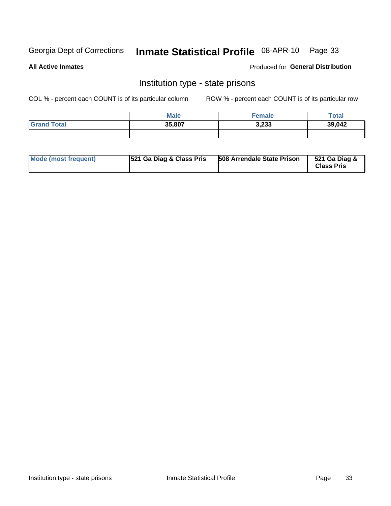## Inmate Statistical Profile 08-APR-10 Page 33

**All Active Inmates** 

Produced for General Distribution

## Institution type - state prisons

COL % - percent each COUNT is of its particular column

|                    | <b>Male</b> | <sup>∈</sup> emale | Total  |
|--------------------|-------------|--------------------|--------|
| <b>Grand Total</b> | 35,807      | 3,233              | 39,042 |
|                    |             |                    |        |

| Mode (most frequent) | 521 Ga Diag & Class Pris | <b>508 Arrendale State Prison</b> | 521 Ga Diag &<br><b>Class Pris</b> |
|----------------------|--------------------------|-----------------------------------|------------------------------------|
|----------------------|--------------------------|-----------------------------------|------------------------------------|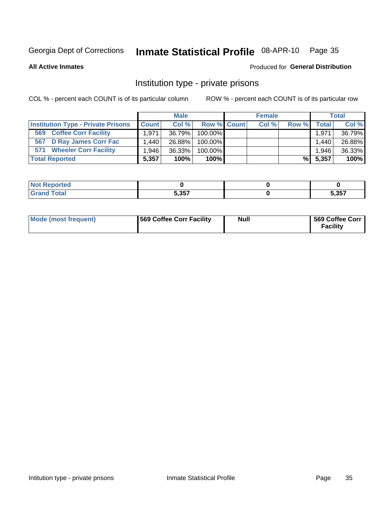## Inmate Statistical Profile 08-APR-10 Page 35

**All Active Inmates** 

## Produced for General Distribution

## Institution type - private prisons

COL % - percent each COUNT is of its particular column

|                                           |              | <b>Male</b> |                    | <b>Female</b> |       |              | <b>Total</b> |
|-------------------------------------------|--------------|-------------|--------------------|---------------|-------|--------------|--------------|
| <b>Institution Type - Private Prisons</b> | <b>Count</b> | Col %       | <b>Row % Count</b> | Col %         | Row % | <b>Total</b> | Col %        |
| <b>Coffee Corr Facility</b><br>569        | 1,971        | 36.79%      | 100.00%            |               |       | 1,971        | 36.79%       |
| 567 D Ray James Corr Fac                  | 1,440        | 26.88%      | 100.00%            |               |       | 1.440        | 26.88%       |
| <b>Wheeler Corr Facility</b><br>571       | 1.946        | 36.33%      | 100.00%            |               |       | 1.946        | 36.33%       |
| <b>Total Reported</b>                     | 5,357        | 100%        | $100\%$            |               | %I    | 5,357        | 100%         |

| Reported |                      |               |
|----------|----------------------|---------------|
| Total    | <b>5 257</b><br>J,JJ | ・っこフ<br>.၁၁ ၊ |

| <b>Mode (most frequent)</b> | 569 Coffee Corr Facility | <b>Null</b> | 569 Coffee Corr<br><b>Facility</b> |
|-----------------------------|--------------------------|-------------|------------------------------------|
|-----------------------------|--------------------------|-------------|------------------------------------|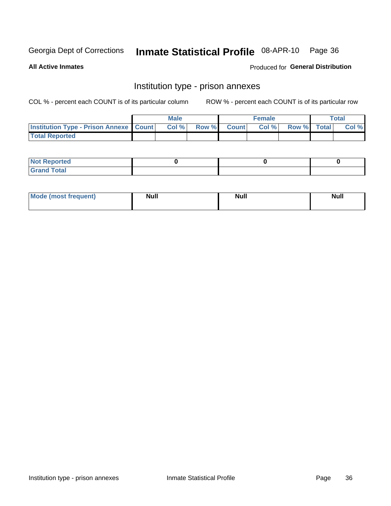## Inmate Statistical Profile 08-APR-10 Page 36

**All Active Inmates** 

Produced for General Distribution

## Institution type - prison annexes

COL % - percent each COUNT is of its particular column

|                                                   | <b>Male</b> |                    | <b>Female</b> |             | <b>Total</b> |
|---------------------------------------------------|-------------|--------------------|---------------|-------------|--------------|
| <b>Institution Type - Prison Annexe   Count  </b> | Col %       | <b>Row % Count</b> | Col %         | Row % Total | Col %        |
| <b>Total Reported</b>                             |             |                    |               |             |              |

| <b>Reported</b><br>I NOT |  |  |
|--------------------------|--|--|
| <b>Total</b><br>$C$ ren  |  |  |

| <b>Mo</b><br>frequent)<br>(most | <b>Null</b> | <b>Null</b> | <b>Null</b> |
|---------------------------------|-------------|-------------|-------------|
|                                 |             |             |             |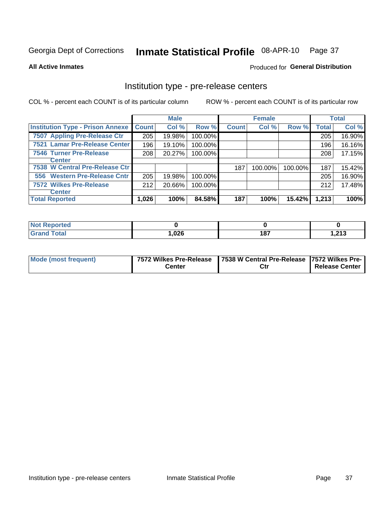## Inmate Statistical Profile 08-APR-10 Page 37

**All Active Inmates** 

Produced for General Distribution

## Institution type - pre-release centers

COL % - percent each COUNT is of its particular column

|                                         |              | <b>Male</b> |         |              | <b>Female</b> |         |              | <b>Total</b> |
|-----------------------------------------|--------------|-------------|---------|--------------|---------------|---------|--------------|--------------|
| <b>Institution Type - Prison Annexe</b> | <b>Count</b> | Col %       | Row %   | <b>Count</b> | Col %         | Row %   | <b>Total</b> | Col %        |
| 7507 Appling Pre-Release Ctr            | 205          | 19.98%      | 100.00% |              |               |         | 205          | 16.90%       |
| 7521 Lamar Pre-Release Center           | 196          | 19.10%      | 100.00% |              |               |         | 196          | 16.16%       |
| <b>7546 Turner Pre-Release</b>          | 208          | 20.27%      | 100.00% |              |               |         | 208          | 17.15%       |
| <b>Center</b>                           |              |             |         |              |               |         |              |              |
| 7538 W Central Pre-Release Ctr          |              |             |         | 187          | 100.00%       | 100.00% | 187          | 15.42%       |
| 556 Western Pre-Release Cntr            | 205          | 19.98%      | 100.00% |              |               |         | 205          | 16.90%       |
| 7572 Wilkes Pre-Release                 | 212          | 20.66%      | 100.00% |              |               |         | 212          | 17.48%       |
| <b>Center</b>                           |              |             |         |              |               |         |              |              |
| <b>Total Reported</b>                   | 1,026        | 100%        | 84.58%  | 187          | 100%          | 15.42%  | 1,213        | 100%         |

| <b>Reported</b> |        |     |              |
|-----------------|--------|-----|--------------|
| Total           | 026, ا | 187 | 242<br>1.ZIJ |

| Mode (most frequent) |        | 7572 Wilkes Pre-Release   7538 W Central Pre-Release   7572 Wilkes Pre- |                       |  |  |
|----------------------|--------|-------------------------------------------------------------------------|-----------------------|--|--|
|                      | こenter | Ctr                                                                     | <b>Release Center</b> |  |  |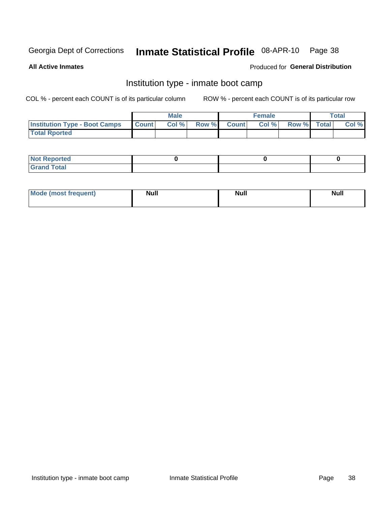#### Inmate Statistical Profile 08-APR-10 Page 38

**All Active Inmates** 

### Produced for General Distribution

# Institution type - inmate boot camp

COL % - percent each COUNT is of its particular column

|                                      |              | <b>Male</b> |               |              | <b>Female</b> |             | <b>Total</b> |
|--------------------------------------|--------------|-------------|---------------|--------------|---------------|-------------|--------------|
| <b>Institution Type - Boot Camps</b> | <b>Count</b> | Col %       | <b>Row %I</b> | <b>Count</b> | Col %         | Row % Total | Col %        |
| <b>Total Rported</b>                 |              |             |               |              |               |             |              |

| <b>Not Reported</b>            |  |  |
|--------------------------------|--|--|
| <b>Total</b><br>C <sub>r</sub> |  |  |

| <b>I Mode (most frequent)</b> | <b>Null</b> | <b>Null</b> | <b>Null</b> |
|-------------------------------|-------------|-------------|-------------|
|                               |             |             |             |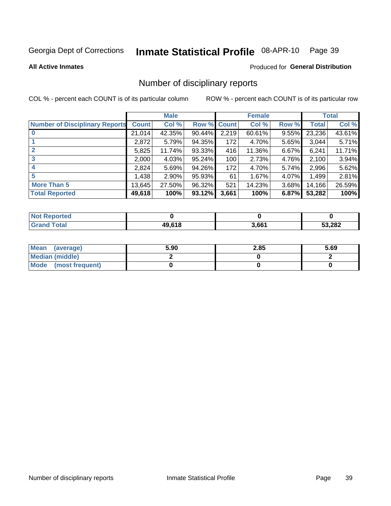### Inmate Statistical Profile 08-APR-10 Page 39

### **All Active Inmates**

### Produced for General Distribution

# Number of disciplinary reports

COL % - percent each COUNT is of its particular column

|                                       |              | <b>Male</b> |        |              | <b>Female</b> |          |              | <b>Total</b> |
|---------------------------------------|--------------|-------------|--------|--------------|---------------|----------|--------------|--------------|
| <b>Number of Disciplinary Reports</b> | <b>Count</b> | Col %       | Row %  | <b>Count</b> | Col %         | Row %    | <b>Total</b> | Col %        |
|                                       | 21,014       | 42.35%      | 90.44% | 2,219        | 60.61%        | 9.55%    | 23,236       | 43.61%       |
|                                       | 2,872        | 5.79%       | 94.35% | 172          | 4.70%         | 5.65%    | 3,044        | 5.71%        |
| $\mathbf{2}$                          | 5,825        | 11.74%      | 93.33% | 416          | 11.36%        | $6.67\%$ | 6,241        | 11.71%       |
| 3                                     | 2,000        | 4.03%       | 95.24% | 100          | 2.73%         | 4.76%    | 2,100        | 3.94%        |
| 4                                     | 2,824        | 5.69%       | 94.26% | 172          | 4.70%         | 5.74%    | 2,996        | 5.62%        |
| 5                                     | 1,438        | $2.90\%$    | 95.93% | 61           | 1.67%         | 4.07%    | 1,499        | 2.81%        |
| <b>More Than 5</b>                    | 13,645       | 27.50%      | 96.32% | 521          | 14.23%        | $3.68\%$ | 14,166       | 26.59%       |
| <b>Total Reported</b>                 | 49,618       | 100%        | 93.12% | 3,661        | 100%          | 6.87%    | 53,282       | 100%         |

| <b>Not Reported</b> |        |       |        |
|---------------------|--------|-------|--------|
| <b>Total</b>        | 49.618 | 3,661 | 53,282 |

| Mean (average)         | 5.90 | 2.85 | 5.69 |
|------------------------|------|------|------|
| <b>Median (middle)</b> |      |      |      |
| Mode (most frequent)   |      |      |      |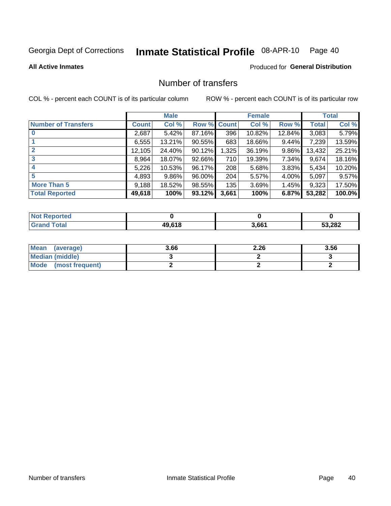### Inmate Statistical Profile 08-APR-10 Page 40

**All Active Inmates** 

# **Produced for General Distribution**

# Number of transfers

COL % - percent each COUNT is of its particular column

|                            |         | <b>Male</b> |                    |       | <b>Female</b> |          |              | <b>Total</b> |
|----------------------------|---------|-------------|--------------------|-------|---------------|----------|--------------|--------------|
| <b>Number of Transfers</b> | Count l | Col %       | <b>Row % Count</b> |       | Col %         | Row %    | <b>Total</b> | Col %        |
|                            | 2,687   | 5.42%       | 87.16%             | 396   | 10.82%        | 12.84%   | 3,083        | 5.79%        |
|                            | 6,555   | 13.21%      | 90.55%             | 683   | 18.66%        | 9.44%    | 7,239        | 13.59%       |
| $\mathbf{2}$               | 12,105  | 24.40%      | 90.12%             | 1,325 | 36.19%        | 9.86%    | 13,432       | 25.21%       |
| 3                          | 8.964   | 18.07%      | 92.66%             | 710   | 19.39%        | $7.34\%$ | 9,674        | 18.16%       |
| 4                          | 5,226   | 10.53%      | 96.17%             | 208   | 5.68%         | 3.83%    | 5,434        | 10.20%       |
| 5                          | 4,893   | $9.86\%$    | 96.00%             | 204   | 5.57%         | 4.00%    | 5,097        | 9.57%        |
| <b>More Than 5</b>         | 9,188   | 18.52%      | 98.55%             | 135   | 3.69%         | $1.45\%$ | 9,323        | 17.50%       |
| <b>Total Reported</b>      | 49,618  | 100%        | 93.12%             | 3,661 | 100%          | 6.87%    | 53,282       | 100.0%       |

| Reported<br>Not F |                   |       |        |
|-------------------|-------------------|-------|--------|
| <b>Total</b>      | <b>49618</b><br>. | 3,661 | 53,282 |

| Mean (average)       | 3.66 | 2.26 | 3.56 |
|----------------------|------|------|------|
| Median (middle)      |      |      |      |
| Mode (most frequent) |      |      |      |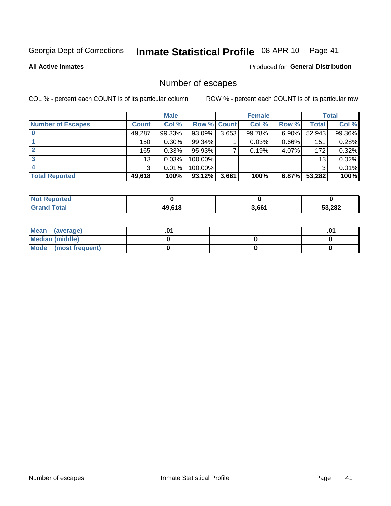### Inmate Statistical Profile 08-APR-10 Page 41

**All Active Inmates** 

# Produced for General Distribution

# Number of escapes

COL % - percent each COUNT is of its particular column

|                          |              | <b>Male</b> |             |       | <b>Female</b> |          |        | <b>Total</b> |
|--------------------------|--------------|-------------|-------------|-------|---------------|----------|--------|--------------|
| <b>Number of Escapes</b> | <b>Count</b> | Col %       | Row % Count |       | Col %         | Row %    | Total  | Col %        |
|                          | 49,287       | 99.33%      | 93.09%      | 3,653 | 99.78%        | $6.90\%$ | 52,943 | 99.36%       |
|                          | 150          | 0.30%       | 99.34%      |       | 0.03%         | 0.66%    | 151    | 0.28%        |
|                          | 165          | 0.33%       | 95.93%      |       | 0.19%         | 4.07%    | 172    | 0.32%        |
|                          | 13           | 0.03%       | 100.00%     |       |               |          | 13     | 0.02%        |
|                          | 3            | 0.01%       | 100.00%     |       |               |          | 3      | 0.01%        |
| <b>Total Reported</b>    | 49,618       | 100%        | 93.12%      | 3,661 | 100%          | $6.87\%$ | 53,282 | 100%         |

| <b>Not Reported</b> |        |       |        |
|---------------------|--------|-------|--------|
| <b>Total</b>        | 49.618 | 3,661 | 53,282 |

| Mean (average)         |  | .0 <sup>4</sup> |
|------------------------|--|-----------------|
| <b>Median (middle)</b> |  |                 |
| Mode (most frequent)   |  |                 |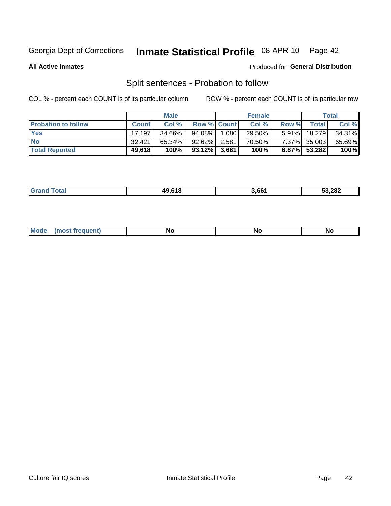### Inmate Statistical Profile 08-APR-10 Page 42

**All Active Inmates** 

### Produced for General Distribution

# Split sentences - Probation to follow

COL % - percent each COUNT is of its particular column

|                            |              | <b>Male</b> |                    |       | <b>Female</b> |          |                 | <b>Total</b> |
|----------------------------|--------------|-------------|--------------------|-------|---------------|----------|-----------------|--------------|
| <b>Probation to follow</b> | <b>Count</b> | Col%        | <b>Row % Count</b> |       | Col %         | Row %    | <b>Total</b>    | Col %        |
| <b>Yes</b>                 | 17.197       | 34.66%      | 94.08% I           | 1,080 | 29.50%        | $5.91\%$ | 18,279          | 34.31%       |
| <b>No</b>                  | 32.421       | 65.34%      | 92.62% 2,581       |       | 70.50%        |          | 7.37% 35,003    | 65.69%       |
| <b>Total Reported</b>      | 49,618       | 100%        | $93.12\%$ 3,661    |       | 100%          |          | $6.87\%$ 53,282 | 100%         |

| ,,,,,<br>лυ | 1.66' | 53,282 |
|-------------|-------|--------|
|             |       |        |

| $M$ ode<br>uent).<br>.<br><b>No</b><br><b>NC</b><br><b>NO</b> |
|---------------------------------------------------------------|
|---------------------------------------------------------------|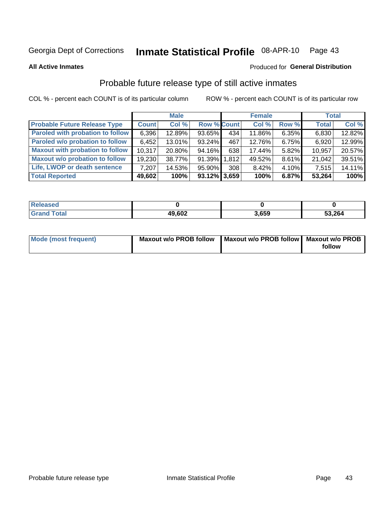### Inmate Statistical Profile 08-APR-10 Page 43

**All Active Inmates** 

### Produced for General Distribution

# Probable future release type of still active inmates

COL % - percent each COUNT is of its particular column

|                                         |              | <b>Male</b> |                    |     | <b>Female</b> |       | <b>Total</b> |        |
|-----------------------------------------|--------------|-------------|--------------------|-----|---------------|-------|--------------|--------|
| <b>Probable Future Release Type</b>     | <b>Count</b> | Col %       | <b>Row % Count</b> |     | Col %         | Row % | <b>Total</b> | Col %  |
| <b>Paroled with probation to follow</b> | 6,396        | 12.89%      | 93.65%             | 434 | 11.86%        | 6.35% | 6,830        | 12.82% |
| Paroled w/o probation to follow         | 6,452        | 13.01%      | 93.24%             | 467 | 12.76%        | 6.75% | 6,920        | 12.99% |
| <b>Maxout with probation to follow</b>  | 10.317       | 20.80%      | 94.16%             | 638 | 17.44%        | 5.82% | 10,957       | 20.57% |
| <b>Maxout w/o probation to follow</b>   | 19,230       | 38.77%      | 91.39% 1.812       |     | 49.52%        | 8.61% | 21,042       | 39.51% |
| Life, LWOP or death sentence            | 7.207        | 14.53%      | 95.90%             | 308 | 8.42%         | 4.10% | 7,515        | 14.11% |
| <b>Total Reported</b>                   | 49,602       | 100%        | $93.12\%$ 3,659    |     | 100%          | 6.87% | 53,264       | 100%   |

| .eleased    |        |       |        |
|-------------|--------|-------|--------|
| <b>otal</b> | 49,602 | 3.659 | 53,264 |

| <b>Mode (most frequent)</b> | Maxout w/o PROB follow   Maxout w/o PROB follow   Maxout w/o PROB |        |  |
|-----------------------------|-------------------------------------------------------------------|--------|--|
|                             |                                                                   | follow |  |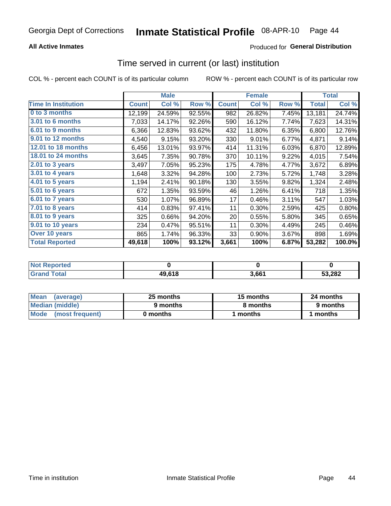# **All Active Inmates**

# **Produced for General Distribution**

# Time served in current (or last) institution

COL % - percent each COUNT is of its particular column

|                            |              | <b>Male</b> |        |              | <b>Female</b> |       |              | <b>Total</b> |
|----------------------------|--------------|-------------|--------|--------------|---------------|-------|--------------|--------------|
| <b>Time In Institution</b> | <b>Count</b> | Col %       | Row %  | <b>Count</b> | Col %         | Row % | <b>Total</b> | Col %        |
| 0 to 3 months              | 12,199       | 24.59%      | 92.55% | 982          | 26.82%        | 7.45% | 13,181       | 24.74%       |
| 3.01 to 6 months           | 7,033        | 14.17%      | 92.26% | 590          | 16.12%        | 7.74% | 7,623        | 14.31%       |
| 6.01 to 9 months           | 6,366        | 12.83%      | 93.62% | 432          | 11.80%        | 6.35% | 6,800        | 12.76%       |
| 9.01 to 12 months          | 4,540        | 9.15%       | 93.20% | 330          | 9.01%         | 6.77% | 4,871        | 9.14%        |
| 12.01 to 18 months         | 6,456        | 13.01%      | 93.97% | 414          | 11.31%        | 6.03% | 6,870        | 12.89%       |
| <b>18.01 to 24 months</b>  | 3,645        | 7.35%       | 90.78% | 370          | 10.11%        | 9.22% | 4,015        | 7.54%        |
| $2.01$ to 3 years          | 3,497        | 7.05%       | 95.23% | 175          | 4.78%         | 4.77% | 3,672        | 6.89%        |
| 3.01 to 4 years            | 1,648        | 3.32%       | 94.28% | 100          | 2.73%         | 5.72% | 1,748        | 3.28%        |
| $4.01$ to 5 years          | 1,194        | 2.41%       | 90.18% | 130          | 3.55%         | 9.82% | 1,324        | 2.48%        |
| 5.01 to 6 years            | 672          | 1.35%       | 93.59% | 46           | 1.26%         | 6.41% | 718          | 1.35%        |
| $6.01$ to 7 years          | 530          | 1.07%       | 96.89% | 17           | 0.46%         | 3.11% | 547          | 1.03%        |
| 7.01 to 8 years            | 414          | 0.83%       | 97.41% | 11           | 0.30%         | 2.59% | 425          | 0.80%        |
| $8.01$ to 9 years          | 325          | 0.66%       | 94.20% | 20           | 0.55%         | 5.80% | 345          | 0.65%        |
| 9.01 to 10 years           | 234          | 0.47%       | 95.51% | 11           | 0.30%         | 4.49% | 245          | 0.46%        |
| Over 10 years              | 865          | 1.74%       | 96.33% | 33           | 0.90%         | 3.67% | 898          | 1.69%        |
| <b>Total Reported</b>      | 49,618       | 100%        | 93.12% | 3,661        | 100%          | 6.87% | 53,282       | 100.0%       |

| Renorted<br><b>Not</b> |        |       |        |
|------------------------|--------|-------|--------|
| Total                  | 49,618 | 3.66' | 53.282 |

| <b>Mean</b><br>(average) | 25 months | 15 months | 24 months |  |
|--------------------------|-----------|-----------|-----------|--|
| Median (middle)          | 9 months  | 8 months  | 9 months  |  |
| Mode<br>(most frequent)  | 0 months  | months    | ∖ months  |  |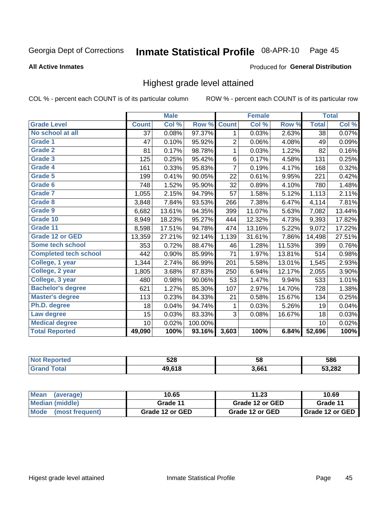### Inmate Statistical Profile 08-APR-10 Page 45

### **All Active Inmates**

### Produced for General Distribution

# Highest grade level attained

COL % - percent each COUNT is of its particular column

|                              |              | <b>Male</b> |         |                | <b>Female</b> |        |              | <b>Total</b> |
|------------------------------|--------------|-------------|---------|----------------|---------------|--------|--------------|--------------|
| <b>Grade Level</b>           | <b>Count</b> | Col %       | Row %   | <b>Count</b>   | Col %         | Row %  | <b>Total</b> | Col %        |
| No school at all             | 37           | 0.08%       | 97.37%  | 1              | 0.03%         | 2.63%  | 38           | 0.07%        |
| <b>Grade 1</b>               | 47           | 0.10%       | 95.92%  | $\overline{2}$ | 0.06%         | 4.08%  | 49           | 0.09%        |
| Grade 2                      | 81           | 0.17%       | 98.78%  | 1              | 0.03%         | 1.22%  | 82           | 0.16%        |
| Grade 3                      | 125          | 0.25%       | 95.42%  | $\,6$          | 0.17%         | 4.58%  | 131          | 0.25%        |
| Grade 4                      | 161          | 0.33%       | 95.83%  | $\overline{7}$ | 0.19%         | 4.17%  | 168          | 0.32%        |
| Grade 5                      | 199          | 0.41%       | 90.05%  | 22             | 0.61%         | 9.95%  | 221          | 0.42%        |
| Grade 6                      | 748          | 1.52%       | 95.90%  | 32             | 0.89%         | 4.10%  | 780          | 1.48%        |
| <b>Grade 7</b>               | 1,055        | 2.15%       | 94.79%  | 57             | 1.58%         | 5.12%  | 1,113        | 2.11%        |
| Grade 8                      | 3,848        | 7.84%       | 93.53%  | 266            | 7.38%         | 6.47%  | 4,114        | 7.81%        |
| Grade 9                      | 6,682        | 13.61%      | 94.35%  | 399            | 11.07%        | 5.63%  | 7,082        | 13.44%       |
| Grade 10                     | 8,949        | 18.23%      | 95.27%  | 444            | 12.32%        | 4.73%  | 9,393        | 17.82%       |
| Grade 11                     | 8,598        | 17.51%      | 94.78%  | 474            | 13.16%        | 5.22%  | 9,072        | 17.22%       |
| <b>Grade 12 or GED</b>       | 13,359       | 27.21%      | 92.14%  | 1,139          | 31.61%        | 7.86%  | 14,498       | 27.51%       |
| Some tech school             | 353          | 0.72%       | 88.47%  | 46             | 1.28%         | 11.53% | 399          | 0.76%        |
| <b>Completed tech school</b> | 442          | 0.90%       | 85.99%  | 71             | 1.97%         | 13.81% | 514          | 0.98%        |
| College, 1 year              | 1,344        | 2.74%       | 86.99%  | 201            | 5.58%         | 13.01% | 1,545        | 2.93%        |
| College, 2 year              | 1,805        | 3.68%       | 87.83%  | 250            | 6.94%         | 12.17% | 2,055        | 3.90%        |
| College, 3 year              | 480          | 0.98%       | 90.06%  | 53             | 1.47%         | 9.94%  | 533          | 1.01%        |
| <b>Bachelor's degree</b>     | 621          | 1.27%       | 85.30%  | 107            | 2.97%         | 14.70% | 728          | 1.38%        |
| <b>Master's degree</b>       | 113          | 0.23%       | 84.33%  | 21             | 0.58%         | 15.67% | 134          | 0.25%        |
| Ph.D. degree                 | 18           | 0.04%       | 94.74%  | 1              | 0.03%         | 5.26%  | 19           | 0.04%        |
| Law degree                   | 15           | 0.03%       | 83.33%  | 3              | 0.08%         | 16.67% | 18           | 0.03%        |
| <b>Medical degree</b>        | 10           | 0.02%       | 100.00% |                |               |        | 10           | 0.02%        |
| <b>Total Reported</b>        | 49,090       | 100%        | 93.16%  | 3,603          | 100%          | 6.84%  | 52,696       | 100%         |

| meo | につの<br>ว∠๐ | 58    | 586    |
|-----|------------|-------|--------|
|     | 10 61 P    | 3.661 | 53,282 |

| Mean<br>(average)              | 10.65           | 11.23           | 10.69                    |
|--------------------------------|-----------------|-----------------|--------------------------|
| Median (middle)                | Grade 11        | Grade 12 or GED | Grade 11                 |
| <b>Mode</b><br>(most frequent) | Grade 12 or GED | Grade 12 or GED | <b>I</b> Grade 12 or GED |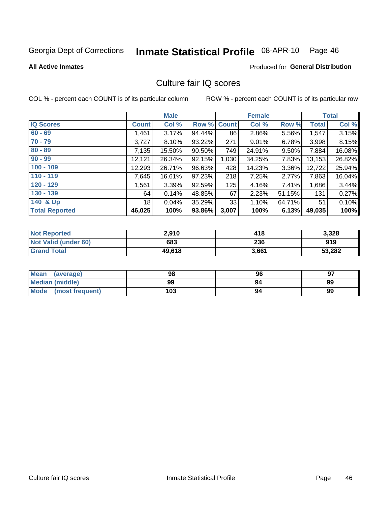### Inmate Statistical Profile 08-APR-10 Page 46

**All Active Inmates** 

### Produced for General Distribution

# Culture fair IQ scores

COL % - percent each COUNT is of its particular column

|                       |                 | <b>Male</b> |             |       | <b>Female</b> |        |        | <b>Total</b> |
|-----------------------|-----------------|-------------|-------------|-------|---------------|--------|--------|--------------|
| <b>IQ Scores</b>      | <b>Count</b>    | Col %       | Row % Count |       | Col %         | Row %  | Total  | Col %        |
| $60 - 69$             | ,461            | 3.17%       | 94.44%      | 86    | 2.86%         | 5.56%  | 1,547  | 3.15%        |
| $70 - 79$             | 3,727           | 8.10%       | 93.22%      | 271   | 9.01%         | 6.78%  | 3,998  | 8.15%        |
| $80 - 89$             | 7,135           | 15.50%      | 90.50%      | 749   | 24.91%        | 9.50%  | 7,884  | 16.08%       |
| $90 - 99$             | 12,121          | 26.34%      | 92.15%      | 1,030 | 34.25%        | 7.83%  | 13,153 | 26.82%       |
| $100 - 109$           | 12,293          | 26.71%      | 96.63%      | 428   | 14.23%        | 3.36%  | 12,722 | 25.94%       |
| $110 - 119$           | 7,645           | 16.61%      | 97.23%      | 218   | 7.25%         | 2.77%  | 7,863  | 16.04%       |
| $120 - 129$           | ,561            | 3.39%       | 92.59%      | 125   | 4.16%         | 7.41%  | 1,686  | 3.44%        |
| $130 - 139$           | 64              | 0.14%       | 48.85%      | 67    | 2.23%         | 51.15% | 131    | 0.27%        |
| 140 & Up              | 18 <sup>1</sup> | 0.04%       | 35.29%      | 33    | 1.10%         | 64.71% | 51     | 0.10%        |
| <b>Total Reported</b> | 46,025          | 100%        | 93.86%      | 3,007 | 100%          | 6.13%  | 49,035 | 100%         |

| <b>Not Reported</b>         | 2,910  | 418   | 3,328  |
|-----------------------------|--------|-------|--------|
| <b>Not Valid (under 60)</b> | 683    | 236   | 919    |
| <b>Grand Total</b>          | 49,618 | 3,661 | 53,282 |

| <b>Mean</b><br>(average) | 98  | 96 | 97 |
|--------------------------|-----|----|----|
| <b>Median (middle)</b>   | 99  | 94 | 99 |
| Mode<br>(most frequent)  | 103 | 94 | 99 |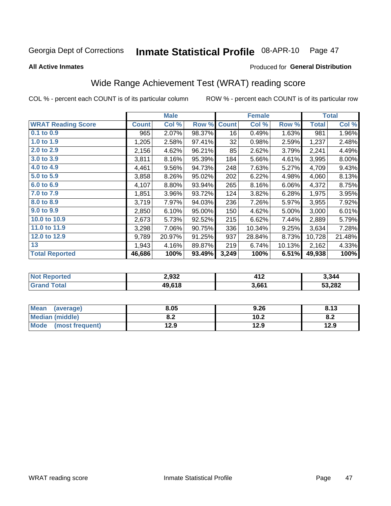### Inmate Statistical Profile 08-APR-10 Page 47

**All Active Inmates** 

### Produced for General Distribution

# Wide Range Achievement Test (WRAT) reading score

COL % - percent each COUNT is of its particular column

|                           |              | <b>Male</b> |        |              | <b>Female</b> |        |              | <b>Total</b> |
|---------------------------|--------------|-------------|--------|--------------|---------------|--------|--------------|--------------|
| <b>WRAT Reading Score</b> | <b>Count</b> | Col %       | Row %  | <b>Count</b> | Col %         | Row %  | <b>Total</b> | Col %        |
| $0.1$ to $0.9$            | 965          | 2.07%       | 98.37% | 16           | 0.49%         | 1.63%  | 981          | 1.96%        |
| 1.0 to 1.9                | 1,205        | 2.58%       | 97.41% | 32           | 0.98%         | 2.59%  | 1,237        | 2.48%        |
| 2.0 to 2.9                | 2,156        | 4.62%       | 96.21% | 85           | 2.62%         | 3.79%  | 2,241        | 4.49%        |
| 3.0 to 3.9                | 3,811        | 8.16%       | 95.39% | 184          | 5.66%         | 4.61%  | 3,995        | 8.00%        |
| 4.0 to 4.9                | 4,461        | 9.56%       | 94.73% | 248          | 7.63%         | 5.27%  | 4,709        | 9.43%        |
| 5.0 t0 5.9                | 3,858        | 8.26%       | 95.02% | 202          | 6.22%         | 4.98%  | 4,060        | 8.13%        |
| 6.0 to 6.9                | 4,107        | 8.80%       | 93.94% | 265          | 8.16%         | 6.06%  | 4,372        | 8.75%        |
| 7.0 to 7.9                | 1,851        | 3.96%       | 93.72% | 124          | 3.82%         | 6.28%  | 1,975        | 3.95%        |
| 8.0 to 8.9                | 3,719        | 7.97%       | 94.03% | 236          | 7.26%         | 5.97%  | 3,955        | 7.92%        |
| 9.0 to 9.9                | 2,850        | 6.10%       | 95.00% | 150          | 4.62%         | 5.00%  | 3,000        | 6.01%        |
| 10.0 to 10.9              | 2,673        | 5.73%       | 92.52% | 215          | 6.62%         | 7.44%  | 2,889        | 5.79%        |
| 11.0 to 11.9              | 3,298        | 7.06%       | 90.75% | 336          | 10.34%        | 9.25%  | 3,634        | 7.28%        |
| 12.0 to 12.9              | 9,789        | 20.97%      | 91.25% | 937          | 28.84%        | 8.73%  | 10,728       | 21.48%       |
| 13                        | 1,943        | 4.16%       | 89.87% | 219          | 6.74%         | 10.13% | 2,162        | 4.33%        |
| <b>Total Reported</b>     | 46,686       | 100%        | 93.49% | 3,249        | 100%          | 6.51%  | 49,938       | 100%         |

| `ortea∶<br>' NOT L | 2,932  | $\mathbf{A}$<br>T I 4 | 3,344  |
|--------------------|--------|-----------------------|--------|
| $F0$ tal           | 49.618 | 3,661                 | 53,282 |

| Mean<br>(average)    | 8.05       | 9.26 | 8.13 |
|----------------------|------------|------|------|
| Median (middle)      | י ה<br>0.Z | 10.2 | 0.Z  |
| Mode (most frequent) | 12.9       | 12.9 | 12.9 |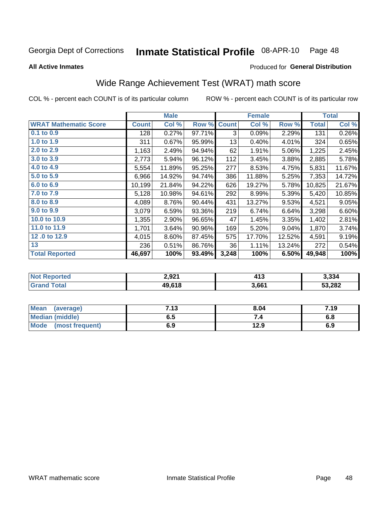### Inmate Statistical Profile 08-APR-10 Page 48

**All Active Inmates** 

### Produced for General Distribution

# Wide Range Achievement Test (WRAT) math score

COL % - percent each COUNT is of its particular column

|                              |              | <b>Male</b> |        |              | <b>Female</b> |        |              | <b>Total</b>       |
|------------------------------|--------------|-------------|--------|--------------|---------------|--------|--------------|--------------------|
| <b>WRAT Mathematic Score</b> | <b>Count</b> | Col %       | Row %  | <b>Count</b> | Col %         | Row %  | <b>Total</b> | Col %              |
| $0.1$ to $0.9$               | 128          | 0.27%       | 97.71% | 3            | 0.09%         | 2.29%  | 131          | 0.26%              |
| 1.0 to 1.9                   | 311          | 0.67%       | 95.99% | 13           | 0.40%         | 4.01%  | 324          | 0.65%              |
| 2.0 to 2.9                   | 1,163        | 2.49%       | 94.94% | 62           | 1.91%         | 5.06%  | 1,225        | 2.45%              |
| 3.0 to 3.9                   | 2,773        | 5.94%       | 96.12% | 112          | 3.45%         | 3.88%  | 2,885        | 5.78%              |
| 4.0 to 4.9                   | 5,554        | 11.89%      | 95.25% | 277          | 8.53%         | 4.75%  | 5,831        | 11.67%             |
| 5.0 to 5.9                   | 6,966        | 14.92%      | 94.74% | 386          | 11.88%        | 5.25%  | 7,353        | 14.72%             |
| 6.0 to 6.9                   | 10,199       | 21.84%      | 94.22% | 626          | 19.27%        | 5.78%  | 10,825       | 21.67%             |
| 7.0 to 7.9                   | 5,128        | 10.98%      | 94.61% | 292          | 8.99%         | 5.39%  | 5,420        | 10.85%             |
| 8.0 to 8.9                   | 4,089        | 8.76%       | 90.44% | 431          | 13.27%        | 9.53%  | 4,521        | 9.05%              |
| 9.0 to 9.9                   | 3,079        | 6.59%       | 93.36% | 219          | 6.74%         | 6.64%  | 3,298        | 6.60%              |
| 10.0 to 10.9                 | 1,355        | 2.90%       | 96.65% | 47           | 1.45%         | 3.35%  | 1,402        | 2.81%              |
| 11.0 to 11.9                 | 1,701        | 3.64%       | 90.96% | 169          | 5.20%         | 9.04%  | 1,870        | 3.74%              |
| 12.0 to 12.9                 | 4,015        | 8.60%       | 87.45% | 575          | 17.70%        | 12.52% | 4,591        | 9.19%              |
| 13                           | 236          | 0.51%       | 86.76% | 36           | 1.11%         | 13.24% | 272          | 0.54%              |
| <b>Total Reported</b>        | 46,697       | 100%        | 93.49% | 3,248        | 100%          | 6.50%  | 49,948       | $\overline{100\%}$ |
|                              |              |             |        |              |               |        |              |                    |

| <b>Not Reported</b> | 2,921  | $\mathbf{A}$<br>4 I J | 3,334  |
|---------------------|--------|-----------------------|--------|
| <b>Grand Total</b>  | 49,618 | 3,661                 | 53,282 |

| Mean (average)         | 7.13 | 8.04 | 7.19 |
|------------------------|------|------|------|
| <b>Median (middle)</b> | ง. ว | 74   | o.o  |
| Mode (most frequent)   | 6.9  | 12.9 | 6.9  |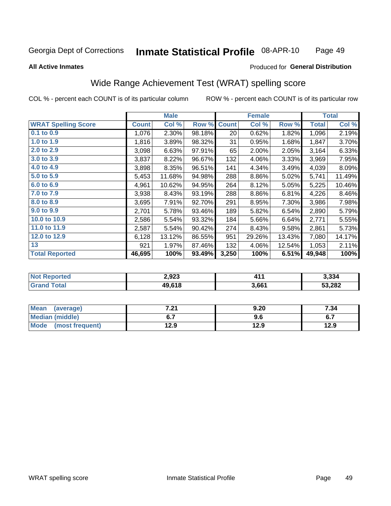### Inmate Statistical Profile 08-APR-10 Page 49

### **All Active Inmates**

### Produced for General Distribution

# Wide Range Achievement Test (WRAT) spelling score

COL % - percent each COUNT is of its particular column

|                            |              | <b>Male</b> |        |              | <b>Female</b> |        |              | <b>Total</b> |
|----------------------------|--------------|-------------|--------|--------------|---------------|--------|--------------|--------------|
| <b>WRAT Spelling Score</b> | <b>Count</b> | Col %       | Row %  | <b>Count</b> | Col %         | Row %  | <b>Total</b> | Col %        |
| $0.1$ to $0.9$             | 1,076        | 2.30%       | 98.18% | 20           | 0.62%         | 1.82%  | 1,096        | 2.19%        |
| 1.0 to 1.9                 | 1,816        | 3.89%       | 98.32% | 31           | 0.95%         | 1.68%  | 1,847        | 3.70%        |
| 2.0 to 2.9                 | 3,098        | 6.63%       | 97.91% | 65           | 2.00%         | 2.05%  | 3,164        | 6.33%        |
| 3.0 to 3.9                 | 3,837        | 8.22%       | 96.67% | 132          | 4.06%         | 3.33%  | 3,969        | 7.95%        |
| 4.0 to 4.9                 | 3,898        | 8.35%       | 96.51% | 141          | 4.34%         | 3.49%  | 4,039        | 8.09%        |
| 5.0 to 5.9                 | 5,453        | 11.68%      | 94.98% | 288          | 8.86%         | 5.02%  | 5,741        | 11.49%       |
| 6.0 to 6.9                 | 4,961        | 10.62%      | 94.95% | 264          | 8.12%         | 5.05%  | 5,225        | 10.46%       |
| 7.0 to 7.9                 | 3,938        | 8.43%       | 93.19% | 288          | 8.86%         | 6.81%  | 4,226        | 8.46%        |
| 8.0 to 8.9                 | 3,695        | 7.91%       | 92.70% | 291          | 8.95%         | 7.30%  | 3,986        | 7.98%        |
| 9.0 to 9.9                 | 2,701        | 5.78%       | 93.46% | 189          | 5.82%         | 6.54%  | 2,890        | 5.79%        |
| 10.0 to 10.9               | 2,586        | 5.54%       | 93.32% | 184          | 5.66%         | 6.64%  | 2,771        | 5.55%        |
| 11.0 to 11.9               | 2,587        | 5.54%       | 90.42% | 274          | 8.43%         | 9.58%  | 2,861        | 5.73%        |
| 12.0 to 12.9               | 6,128        | 13.12%      | 86.55% | 951          | 29.26%        | 13.43% | 7,080        | 14.17%       |
| 13                         | 921          | 1.97%       | 87.46% | 132          | 4.06%         | 12.54% | 1,053        | 2.11%        |
| <b>Total Reported</b>      | 46,695       | 100%        | 93.49% | 3,250        | 100%          | 6.51%  | 49,948       | 100%         |

| <b>Not Reported</b> | 2,923  | .     | 3,334  |
|---------------------|--------|-------|--------|
| <b>Grand Total</b>  | 49,618 | 3,661 | 53,282 |

| <b>Mean</b><br>(average) | 7.04<br>.Z I | 9.20 | 7.34 |
|--------------------------|--------------|------|------|
| Median (middle)          |              | 9.6  | ν.,  |
| Mode<br>(most frequent)  | 12.9         | 12.9 | 12.9 |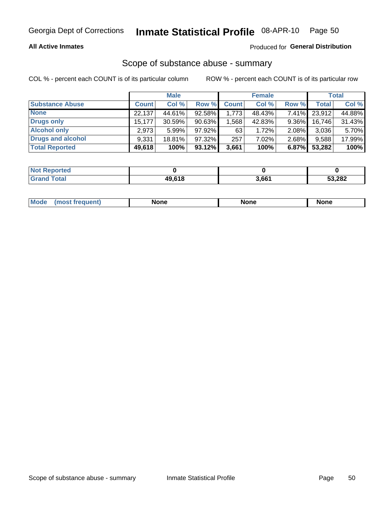## **All Active Inmates**

## Produced for General Distribution

# Scope of substance abuse - summary

COL % - percent each COUNT is of its particular column

|                        |              | <b>Male</b> |           |              | <b>Female</b> |          |              | <b>Total</b> |
|------------------------|--------------|-------------|-----------|--------------|---------------|----------|--------------|--------------|
| <b>Substance Abuse</b> | <b>Count</b> | Col %       | Row %     | <b>Count</b> | Col %         | Row %    | <b>Total</b> | Col %        |
| <b>None</b>            | 22,137       | 44.61%      | 92.58%    | 1,773        | 48.43%        | $7.41\%$ | 23,912       | 44.88%       |
| <b>Drugs only</b>      | 15,177       | 30.59%      | 90.63%    | .568         | 42.83%        | $9.36\%$ | 16,746       | 31.43%       |
| <b>Alcohol only</b>    | 2.973        | $5.99\%$    | $97.92\%$ | 63           | 1.72%         | $2.08\%$ | 3,036        | 5.70%        |
| Drugs and alcohol      | 9,331        | 18.81%      | 97.32%    | 257          | 7.02%         | 2.68%    | 9,588        | 17.99%       |
| <b>Total Reported</b>  | 49,618       | 100%        | $93.12\%$ | 3,661        | 100%          | 6.87%    | 53,282       | 100%         |

| <b>Not Reported</b> |        |       |        |
|---------------------|--------|-------|--------|
| <b>Grand Total</b>  | 49.618 | 3,661 | 53,282 |

|  | M<br>nuemi | None | <b>IODE</b><br>NIJ | None |
|--|------------|------|--------------------|------|
|--|------------|------|--------------------|------|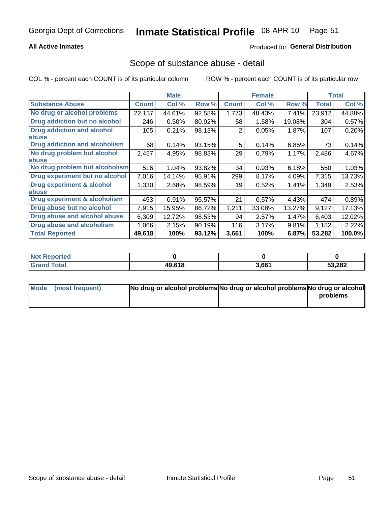# **All Active Inmates**

# **Produced for General Distribution**

# Scope of substance abuse - detail

COL % - percent each COUNT is of its particular column

|                                      |              | <b>Male</b> |        |              | <b>Female</b> |        |              | <b>Total</b> |
|--------------------------------------|--------------|-------------|--------|--------------|---------------|--------|--------------|--------------|
| <b>Substance Abuse</b>               | <b>Count</b> | Col %       | Row %  | <b>Count</b> | Col %         | Row %  | <b>Total</b> | Col %        |
| No drug or alcohol problems          | 22,137       | 44.61%      | 92.58% | 1,773        | 48.43%        | 7.41%  | 23,912       | 44.88%       |
| Drug addiction but no alcohol        | 246          | 0.50%       | 80.92% | 58           | 1.58%         | 19.08% | 304          | 0.57%        |
| <b>Drug addiction and alcohol</b>    | 105          | 0.21%       | 98.13% | 2            | 0.05%         | 1.87%  | 107          | 0.20%        |
| <b>labuse</b>                        |              |             |        |              |               |        |              |              |
| <b>Drug addiction and alcoholism</b> | 68           | 0.14%       | 93.15% | 5            | 0.14%         | 6.85%  | 73           | 0.14%        |
| No drug problem but alcohol          | 2,457        | 4.95%       | 98.83% | 29           | 0.79%         | 1.17%  | 2,486        | 4.67%        |
| <b>labuse</b>                        |              |             |        |              |               |        |              |              |
| No drug problem but alcoholism       | 516          | 1.04%       | 93.82% | 34           | 0.93%         | 6.18%  | 550          | 1.03%        |
| Drug experiment but no alcohol       | 7,016        | 14.14%      | 95.91% | 299          | 8.17%         | 4.09%  | 7,315        | 13.73%       |
| <b>Drug experiment &amp; alcohol</b> | 1,330        | 2.68%       | 98.59% | 19           | 0.52%         | 1.41%  | 1,349        | 2.53%        |
| abuse                                |              |             |        |              |               |        |              |              |
| Drug experiment & alcoholism         | 453          | 0.91%       | 95.57% | 21           | 0.57%         | 4.43%  | 474          | 0.89%        |
| Drug abuse but no alcohol            | 7,915        | 15.95%      | 86.72% | 1,211        | 33.08%        | 13.27% | 9,127        | 17.13%       |
| Drug abuse and alcohol abuse         | 6,309        | 12.72%      | 98.53% | 94           | 2.57%         | 1.47%  | 6,403        | 12.02%       |
| <b>Drug abuse and alcoholism</b>     | 1,066        | 2.15%       | 90.19% | 116          | 3.17%         | 9.81%  | 1,182        | 2.22%        |
| <b>Total Reported</b>                | 49,618       | 100%        | 93.12% | 3,661        | 100%          | 6.87%  | 53,282       | 100.0%       |

| Reported<br>NOT |        |       |        |
|-----------------|--------|-------|--------|
| <b>Total</b>    | 49.618 | 3,661 | 53,282 |

| Mode (most frequent) | No drug or alcohol problems No drug or alcohol problems No drug or alcohol |          |
|----------------------|----------------------------------------------------------------------------|----------|
|                      |                                                                            | problems |
|                      |                                                                            |          |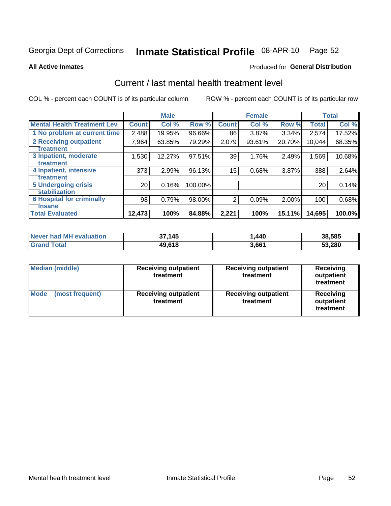# Inmate Statistical Profile 08-APR-10 Page 52

**All Active Inmates** 

# **Produced for General Distribution**

# Current / last mental health treatment level

COL % - percent each COUNT is of its particular column

|                                    |                 | <b>Male</b> |         |              | <b>Female</b> |          |        | <b>Total</b> |
|------------------------------------|-----------------|-------------|---------|--------------|---------------|----------|--------|--------------|
| <b>Mental Health Treatment Lev</b> | <b>Count</b>    | Col%        | Row %   | <b>Count</b> | Col %         | Row %    | Total  | Col %        |
| 1 No problem at current time       | 2,488           | 19.95%      | 96.66%  | 86           | 3.87%         | $3.34\%$ | 2,574  | 17.52%       |
| <b>2 Receiving outpatient</b>      | 7,964           | 63.85%      | 79.29%  | 2,079        | 93.61%        | 20.70%   | 10,044 | 68.35%       |
| <b>Treatment</b>                   |                 |             |         |              |               |          |        |              |
| 3 Inpatient, moderate              | 1,530           | 12.27%      | 97.51%  | 39           | 1.76%         | 2.49%    | 1,569  | 10.68%       |
| <b>Treatment</b>                   |                 |             |         |              |               |          |        |              |
| 4 Inpatient, intensive             | 373             | 2.99%       | 96.13%  | 15           | 0.68%         | 3.87%    | 388    | 2.64%        |
| <b>Treatment</b>                   |                 |             |         |              |               |          |        |              |
| <b>5 Undergoing crisis</b>         | 20 <sub>1</sub> | 0.16%       | 100.00% |              |               |          | 20     | 0.14%        |
| <b>stabilization</b>               |                 |             |         |              |               |          |        |              |
| <b>6 Hospital for criminally</b>   | 98              | 0.79%       | 98.00%  | 2            | 0.09%         | 2.00%    | 100    | 0.68%        |
| <b>Tinsane</b>                     |                 |             |         |              |               |          |        |              |
| <b>Total Evaluated</b>             | 12,473          | 100%        | 84.88%  | 2,221        | 100%          | 15.11%   | 14,695 | 100.0%       |

| Never had MH evaluation | 37,145 | 440،، | 38,585 |
|-------------------------|--------|-------|--------|
| <b>Grand Total</b>      | 49,618 | 3,661 | 53,280 |

| <b>Median (middle)</b>         | <b>Receiving outpatient</b><br>treatment | <b>Receiving outpatient</b><br>treatment | <b>Receiving</b><br>outpatient<br>treatment |
|--------------------------------|------------------------------------------|------------------------------------------|---------------------------------------------|
| <b>Mode</b><br>(most frequent) | <b>Receiving outpatient</b><br>treatment | <b>Receiving outpatient</b><br>treatment | Receiving<br>outpatient<br>treatment        |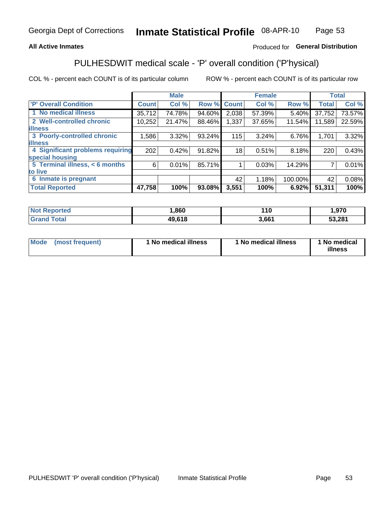## **All Active Inmates**

# Produced for General Distribution

# PULHESDWIT medical scale - 'P' overall condition ('P'hysical)

COL % - percent each COUNT is of its particular column

|                                  |              | <b>Male</b> |        |                 | <b>Female</b> |         |              | <b>Total</b> |
|----------------------------------|--------------|-------------|--------|-----------------|---------------|---------|--------------|--------------|
| <b>P' Overall Condition</b>      | <b>Count</b> | Col %       | Row %  | <b>Count</b>    | Col %         | Row %   | <b>Total</b> | Col %        |
| 1 No medical illness             | 35,712       | 74.78%      | 94.60% | 2,038           | 57.39%        | 5.40%   | 37,752       | 73.57%       |
| 2 Well-controlled chronic        | 10,252       | 21.47%      | 88.46% | 1,337           | 37.65%        | 11.54%  | 11,589       | 22.59%       |
| <b>illness</b>                   |              |             |        |                 |               |         |              |              |
| 3 Poorly-controlled chronic      | 1,586        | $3.32\%$    | 93.24% | 115             | 3.24%         | 6.76%   | 1,701        | 3.32%        |
| <b>illness</b>                   |              |             |        |                 |               |         |              |              |
| 4 Significant problems requiring | 202          | 0.42%       | 91.82% | 18              | 0.51%         | 8.18%   | 220          | 0.43%        |
| special housing                  |              |             |        |                 |               |         |              |              |
| 5 Terminal illness, < 6 months   | 6            | 0.01%       | 85.71% |                 | 0.03%         | 14.29%  | 7            | 0.01%        |
| to live                          |              |             |        |                 |               |         |              |              |
| 6 Inmate is pregnant             |              |             |        | 42 <sup>1</sup> | 1.18%         | 100.00% | 42           | 0.08%        |
| <b>Total Reported</b>            | 47,758       | 100%        | 93.08% | 3,551           | 100%          | 6.92%   | 51,311       | 100%         |

| eported       | ,860   | 10    | .970   |
|---------------|--------|-------|--------|
| <b>c</b> otal | 49.618 | 3,661 | 53,281 |

| Mode<br>(most frequent) |  | <sup>1</sup> No medical illness | 1 No medical illness | 1 No medical<br>illness |
|-------------------------|--|---------------------------------|----------------------|-------------------------|
|-------------------------|--|---------------------------------|----------------------|-------------------------|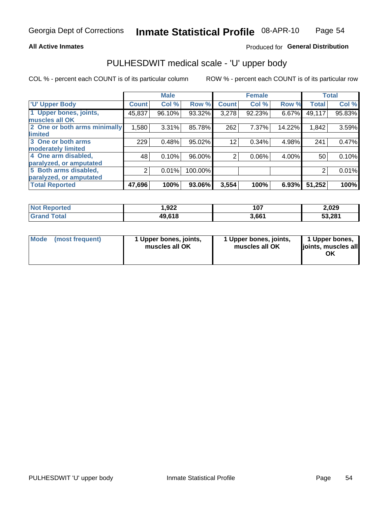### **All Active Inmates**

# Produced for General Distribution

# PULHESDWIT medical scale - 'U' upper body

COL % - percent each COUNT is of its particular column

|                              |                | <b>Male</b> |         |                | <b>Female</b> |        |              | <b>Total</b> |
|------------------------------|----------------|-------------|---------|----------------|---------------|--------|--------------|--------------|
| <b>U' Upper Body</b>         | <b>Count</b>   | Col %       | Row %   | <b>Count</b>   | Col %         | Row %  | <b>Total</b> | Col %        |
| 1 Upper bones, joints,       | 45,837         | 96.10%      | 93.32%  | 3,278          | 92.23%        | 6.67%  | 49,117       | 95.83%       |
| muscles all OK               |                |             |         |                |               |        |              |              |
| 2 One or both arms minimally | 1,580          | 3.31%       | 85.78%  | 262            | 7.37%         | 14.22% | 1,842        | 3.59%        |
| limited                      |                |             |         |                |               |        |              |              |
| 3 One or both arms           | 229            | 0.48%       | 95.02%  | 12             | 0.34%         | 4.98%  | 241          | 0.47%        |
| <b>moderately limited</b>    |                |             |         |                |               |        |              |              |
| 4 One arm disabled,          | 48             | 0.10%       | 96.00%  | $\overline{2}$ | 0.06%         | 4.00%  | 50           | 0.10%        |
| paralyzed, or amputated      |                |             |         |                |               |        |              |              |
| 5 Both arms disabled,        | $\overline{2}$ | 0.01%       | 100.00% |                |               |        | 2            | 0.01%        |
| paralyzed, or amputated      |                |             |         |                |               |        |              |              |
| <b>Total Reported</b>        | 47,696         | 100%        | 93.06%  | 3,554          | 100%          | 6.93%  | 51,252       | 100%         |

| <b>Not Reported</b> | 922. ا | 107   | 2,029  |
|---------------------|--------|-------|--------|
| <b>Grand Total</b>  | 49,618 | 3,661 | 53,281 |

| Mode<br>(most frequent) | 1 Upper bones, joints,<br>muscles all OK | 1 Upper bones, joints,<br>muscles all OK | 1 Upper bones,<br>joints, muscles all<br>ΟK |
|-------------------------|------------------------------------------|------------------------------------------|---------------------------------------------|
|-------------------------|------------------------------------------|------------------------------------------|---------------------------------------------|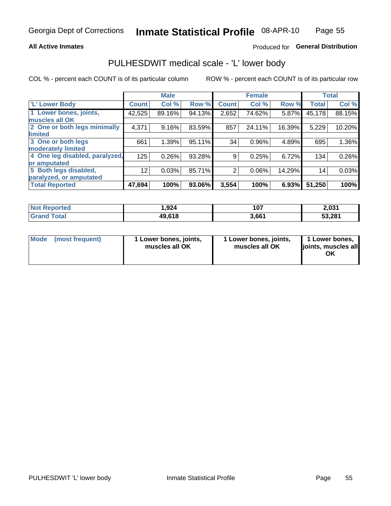### **All Active Inmates**

# Produced for General Distribution

# PULHESDWIT medical scale - 'L' lower body

COL % - percent each COUNT is of its particular column

|                                |                 | <b>Male</b> |        |              | <b>Female</b> |        |              | <b>Total</b> |
|--------------------------------|-----------------|-------------|--------|--------------|---------------|--------|--------------|--------------|
| 'L' Lower Body                 | <b>Count</b>    | Col %       | Row %  | <b>Count</b> | Col %         | Row %  | <b>Total</b> | Col %        |
| 1 Lower bones, joints,         | 42,525          | 89.16%      | 94.13% | 2,652        | 74.62%        | 5.87%  | 45,178       | 88.15%       |
| muscles all OK                 |                 |             |        |              |               |        |              |              |
| 2 One or both legs minimally   | 4,371           | 9.16%       | 83.59% | 857          | 24.11%        | 16.39% | 5,229        | 10.20%       |
| limited                        |                 |             |        |              |               |        |              |              |
| 3 One or both legs             | 661             | 1.39%       | 95.11% | 34           | 0.96%         | 4.89%  | 695          | 1.36%        |
| moderately limited             |                 |             |        |              |               |        |              |              |
| 4 One leg disabled, paralyzed, | 125             | 0.26%       | 93.28% | 9            | 0.25%         | 6.72%  | 134          | 0.26%        |
| or amputated                   |                 |             |        |              |               |        |              |              |
| 5 Both legs disabled,          | 12 <sub>2</sub> | 0.03%       | 85.71% | 2            | 0.06%         | 14.29% | 14           | 0.03%        |
| paralyzed, or amputated        |                 |             |        |              |               |        |              |              |
| <b>Total Reported</b>          | 47,694          | 100%        | 93.06% | 3,554        | 100%          | 6.93%  | 51,250       | 100%         |

| <b>Not Reported</b> | 1,924  | 107   | 2,031  |
|---------------------|--------|-------|--------|
| <b>Grand Total</b>  | 49,618 | 3,661 | 53,281 |

| Mode | (most frequent) | 1 Lower bones, joints,<br>muscles all OK | 1 Lower bones, joints,<br>muscles all OK | 1 Lower bones,<br>joints, muscles all<br>ΟK |
|------|-----------------|------------------------------------------|------------------------------------------|---------------------------------------------|
|------|-----------------|------------------------------------------|------------------------------------------|---------------------------------------------|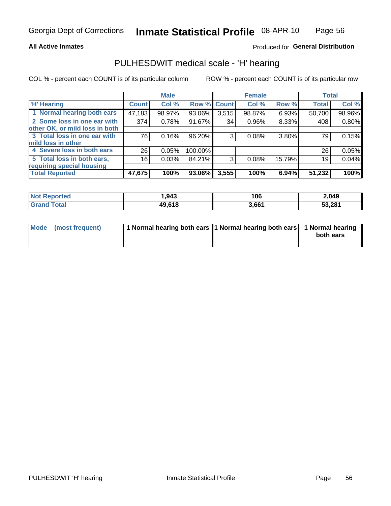### **All Active Inmates**

## Produced for General Distribution

# PULHESDWIT medical scale - 'H' hearing

COL % - percent each COUNT is of its particular column

|                                |              | <b>Male</b> |             |       | <b>Female</b> |          | <b>Total</b> |        |
|--------------------------------|--------------|-------------|-------------|-------|---------------|----------|--------------|--------|
| <b>'H' Hearing</b>             | <b>Count</b> | Col %       | Row % Count |       | Col %         | Row %    | <b>Total</b> | Col %  |
| 1 Normal hearing both ears     | 47,183       | 98.97%      | 93.06%      | 3,515 | 98.87%        | 6.93%    | 50,700       | 98.96% |
| 2 Some loss in one ear with    | 374          | 0.78%       | 91.67%      | 34    | 0.96%         | 8.33%    | 408          | 0.80%  |
| other OK, or mild loss in both |              |             |             |       |               |          |              |        |
| 3 Total loss in one ear with   | 76           | 0.16%       | 96.20%      | 3     | 0.08%         | 3.80%    | 79           | 0.15%  |
| mild loss in other             |              |             |             |       |               |          |              |        |
| 4 Severe loss in both ears     | 26           | 0.05%       | 100.00%     |       |               |          | 26           | 0.05%  |
| 5 Total loss in both ears,     | 16           | 0.03%       | 84.21%      | 3     | 0.08%         | 15.79%   | 19           | 0.04%  |
| requiring special housing      |              |             |             |       |               |          |              |        |
| <b>Total Reported</b>          | 47,675       | 100%        | 93.06%      | 3,555 | 100%          | $6.94\%$ | 51,232       | 100%   |

| $N$ of $F$<br>anorted and | 943,ا      | 106   | 2,049  |
|---------------------------|------------|-------|--------|
| Total                     | $AQ$ $619$ | 3,661 | 53,281 |

| Mode (most frequent) | 1 Normal hearing both ears 11 Normal hearing both ears 1 Normal hearing |           |
|----------------------|-------------------------------------------------------------------------|-----------|
|                      |                                                                         | both ears |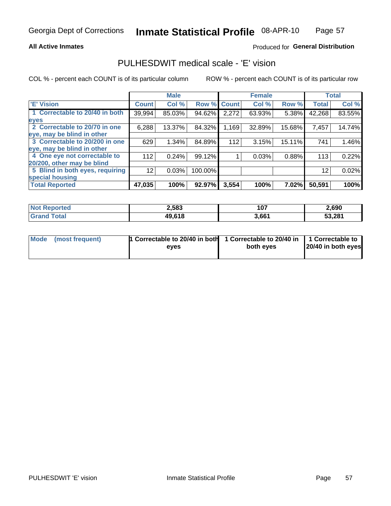### **All Active Inmates**

# Produced for General Distribution

# PULHESDWIT medical scale - 'E' vision

COL % - percent each COUNT is of its particular column

|                                 |                    | <b>Male</b> |         |              | <b>Female</b> |          |              | <b>Total</b> |
|---------------------------------|--------------------|-------------|---------|--------------|---------------|----------|--------------|--------------|
| 'E' Vision                      | Count <sup>'</sup> | Col %       | Row %   | <b>Count</b> | Col %         | Row %    | <b>Total</b> | Col %        |
| 1 Correctable to 20/40 in both  | 39,994             | 85.03%      | 94.62%  | 2,272        | 63.93%        | 5.38%    | 42,268       | 83.55%       |
| eyes                            |                    |             |         |              |               |          |              |              |
| 2 Correctable to 20/70 in one   | 6,288              | 13.37%      | 84.32%  | .169         | 32.89%        | 15.68%   | 7,457        | 14.74%       |
| leye, may be blind in other     |                    |             |         |              |               |          |              |              |
| 3 Correctable to 20/200 in one  | 629                | 1.34%       | 84.89%  | 112          | 3.15%         | 15.11%   | 741          | 1.46%        |
| leye, may be blind in other     |                    |             |         |              |               |          |              |              |
| 4 One eye not correctable to    | 112                | 0.24%       | 99.12%  |              | 0.03%         | 0.88%    | 113          | 0.22%        |
| 20/200, other may be blind      |                    |             |         |              |               |          |              |              |
| 5 Blind in both eyes, requiring | 12                 | 0.03%       | 100.00% |              |               |          | 12           | 0.02%        |
| special housing                 |                    |             |         |              |               |          |              |              |
| <b>Total Reported</b>           | 47,035             | 100%        | 92.97%  | 3,554        | 100%          | $7.02\%$ | 50,591       | 100%         |

| <b>Not Reported</b>   | 2,583  | 107   | 2,690  |
|-----------------------|--------|-------|--------|
| <b>Total</b><br>Grand | 49,618 | 3,661 | 53,281 |

| Mode (most frequent) | 1 Correctable to 20/40 in both<br>eves | 1 Correctable to 20/40 in   1 Correctable to  <br>both eves | 20/40 in both eyes |
|----------------------|----------------------------------------|-------------------------------------------------------------|--------------------|
|                      |                                        |                                                             |                    |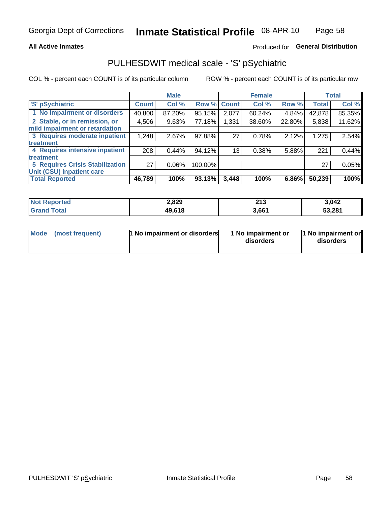## **All Active Inmates**

# Produced for General Distribution

# PULHESDWIT medical scale - 'S' pSychiatric

COL % - percent each COUNT is of its particular column

|                                        |              | <b>Male</b> |         |              | <b>Female</b> |        |              | <b>Total</b> |
|----------------------------------------|--------------|-------------|---------|--------------|---------------|--------|--------------|--------------|
| 'S' pSychiatric                        | <b>Count</b> | Col %       | Row %   | <b>Count</b> | Col %         | Row %  | <b>Total</b> | Col %        |
| 1 No impairment or disorders           | 40,800       | 87.20%      | 95.15%  | 2,077        | 60.24%        | 4.84%  | 42,878       | 85.35%       |
| 2 Stable, or in remission, or          | 4,506        | 9.63%       | 77.18%  | 1,331        | 38.60%        | 22.80% | 5,838        | 11.62%       |
| mild impairment or retardation         |              |             |         |              |               |        |              |              |
| 3 Requires moderate inpatient          | 1,248        | 2.67%       | 97.88%  | 27           | 0.78%         | 2.12%  | 1,275        | 2.54%        |
| treatment                              |              |             |         |              |               |        |              |              |
| 4 Requires intensive inpatient         | 208          | 0.44%       | 94.12%  | 13           | 0.38%         | 5.88%  | 221          | 0.44%        |
| treatment                              |              |             |         |              |               |        |              |              |
| <b>5 Requires Crisis Stabilization</b> | 27           | $0.06\%$    | 100.00% |              |               |        | 27           | 0.05%        |
| Unit (CSU) inpatient care              |              |             |         |              |               |        |              |              |
| <b>Total Reported</b>                  | 46,789       | 100%        | 93.13%  | 3,448        | 100%          | 6.86%  | 50,239       | 100%         |

| <b>Not Reported</b> | 2,829  | <b>049</b><br><b>ZIJ</b> | 3,042  |
|---------------------|--------|--------------------------|--------|
| $\tau$ otal         | 49,618 | 3,661                    | 53,281 |

| <b>Mode</b> | (most frequent) | <b>1 No impairment or disorders</b> | 1 No impairment or<br>disorders | 11 No impairment or<br>disorders |
|-------------|-----------------|-------------------------------------|---------------------------------|----------------------------------|
|-------------|-----------------|-------------------------------------|---------------------------------|----------------------------------|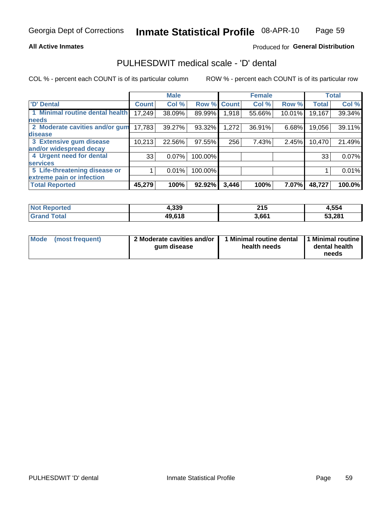### **All Active Inmates**

# Produced for General Distribution

# PULHESDWIT medical scale - 'D' dental

COL % - percent each COUNT is of its particular column

|                                 |              | <b>Male</b> |         |              | <b>Female</b> |        |              | <b>Total</b> |
|---------------------------------|--------------|-------------|---------|--------------|---------------|--------|--------------|--------------|
| <b>D'</b> Dental                | <b>Count</b> | Col %       | Row %   | <b>Count</b> | Col %         | Row %  | <b>Total</b> | Col %        |
| 1 Minimal routine dental health | 17,249       | 38.09%      | 89.99%  | 1,918        | 55.66%        | 10.01% | 19,167       | 39.34%       |
| <b>needs</b>                    |              |             |         |              |               |        |              |              |
| 2 Moderate cavities and/or gum  | 17,783       | 39.27%      | 93.32%  | 1,272        | 36.91%        | 6.68%  | 19,056       | 39.11%       |
| disease                         |              |             |         |              |               |        |              |              |
| 3 Extensive gum disease         | 10,213       | 22.56%      | 97.55%  | 256          | 7.43%         | 2.45%  | 10,470       | 21.49%       |
| and/or widespread decay         |              |             |         |              |               |        |              |              |
| 4 Urgent need for dental        | 33           | 0.07%       | 100.00% |              |               |        | 33           | 0.07%        |
| <b>services</b>                 |              |             |         |              |               |        |              |              |
| 5 Life-threatening disease or   |              | 0.01%       | 100.00% |              |               |        |              | 0.01%        |
| extreme pain or infection       |              |             |         |              |               |        |              |              |
| <b>Total Reported</b>           | 45,279       | 100%        | 92.92%  | 3,446        | 100%          | 7.07%  | 48,727       | 100.0%       |

| <b>Not Reported</b> | 4,339  | 24F<br>2 I J | 4,554  |
|---------------------|--------|--------------|--------|
| <b>Grand Total</b>  | 49,618 | 3,661        | 53,281 |

| Mode | (most frequent) | 2 Moderate cavities and/or<br>qum disease | 1 Minimal routine dental 1 Minimal routine<br>health needs | dental health<br>needs |
|------|-----------------|-------------------------------------------|------------------------------------------------------------|------------------------|
|      |                 |                                           |                                                            |                        |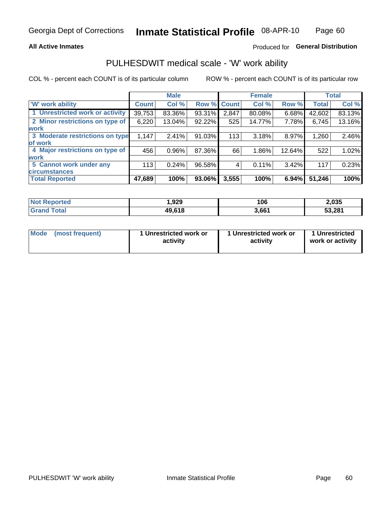## **All Active Inmates**

# Produced for General Distribution

# PULHESDWIT medical scale - 'W' work ability

COL % - percent each COUNT is of its particular column

|                                 |              | <b>Male</b> |             |       | <b>Female</b> |        |              | <b>Total</b> |
|---------------------------------|--------------|-------------|-------------|-------|---------------|--------|--------------|--------------|
| 'W' work ability                | <b>Count</b> | Col %       | Row % Count |       | Col %         | Row %  | <b>Total</b> | Col %        |
| 1 Unrestricted work or activity | 39,753       | 83.36%      | 93.31%      | 2,847 | 80.08%        | 6.68%  | 42,602       | 83.13%       |
| 2 Minor restrictions on type of | 6,220        | 13.04%      | 92.22%      | 525   | 14.77%        | 7.78%  | 6,745        | 13.16%       |
| <b>work</b>                     |              |             |             |       |               |        |              |              |
| 3 Moderate restrictions on type | 1,147        | 2.41%       | 91.03%      | 113   | 3.18%         | 8.97%  | 1,260        | 2.46%        |
| lof work                        |              |             |             |       |               |        |              |              |
| 4 Major restrictions on type of | 456          | $0.96\%$    | 87.36%      | 66    | 1.86%         | 12.64% | 522          | 1.02%        |
| <b>work</b>                     |              |             |             |       |               |        |              |              |
| 5 Cannot work under any         | 113          | 0.24%       | 96.58%      | 4     | 0.11%         | 3.42%  | 117          | 0.23%        |
| <b>circumstances</b>            |              |             |             |       |               |        |              |              |
| <b>Total Reported</b>           | 47,689       | 100%        | 93.06%      | 3,555 | 100%          | 6.94%  | 51,246       | 100%         |

| <b>Not Reported</b>     | ,929   | 106   | 2,035  |
|-------------------------|--------|-------|--------|
| <b>Total</b><br>'Grand. | 49,618 | 3,661 | 53,281 |

| Mode            | 1 Unrestricted work or | 1 Unrestricted work or | 1 Unrestricted   |
|-----------------|------------------------|------------------------|------------------|
| (most frequent) | activity               | activity               | work or activity |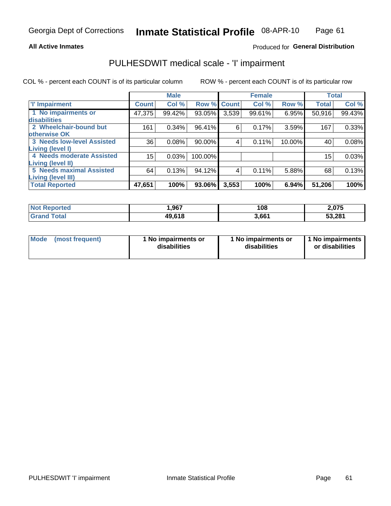### **All Active Inmates**

# Produced for General Distribution

# PULHESDWIT medical scale - 'I' impairment

COL % - percent each COUNT is of its particular column

|                                                              |              | <b>Male</b> |         |             | <b>Female</b> |        |              | <b>Total</b> |
|--------------------------------------------------------------|--------------|-------------|---------|-------------|---------------|--------|--------------|--------------|
| <b>T' Impairment</b>                                         | <b>Count</b> | Col %       |         | Row % Count | Col %         | Row %  | <b>Total</b> | Col %        |
| 1 No impairments or<br>disabilities                          | 47,375       | 99.42%      | 93.05%  | 3,539       | 99.61%        | 6.95%  | 50,916       | 99.43%       |
| 2 Wheelchair-bound but<br>otherwise OK                       | 161          | 0.34%       | 96.41%  | 6           | 0.17%         | 3.59%  | 167          | 0.33%        |
| <b>3 Needs low-level Assisted</b><br>Living (level I)        | 36           | 0.08%       | 90.00%  | 4           | 0.11%         | 10.00% | 40           | 0.08%        |
| 4 Needs moderate Assisted<br><b>Living (level II)</b>        | 15           | 0.03%       | 100.00% |             |               |        | 15           | 0.03%        |
| <b>5 Needs maximal Assisted</b><br><b>Living (level III)</b> | 64           | 0.13%       | 94.12%  | 4           | 0.11%         | 5.88%  | 68           | 0.13%        |
| <b>Total Reported</b>                                        | 47,651       | 100%        | 93.06%  | 3,553       | 100%          | 6.94%  | 51,206       | 100%         |

| Not F<br>Reported      | 967,،  | 108   | 2,075  |
|------------------------|--------|-------|--------|
| <b>Total</b><br>'Grand | 49,618 | 3,661 | 53,281 |

| Mode | (most frequent) | 1 No impairments or<br>disabilities | 1 No impairments or<br>disabilities | 1 No impairments<br>or disabilities |
|------|-----------------|-------------------------------------|-------------------------------------|-------------------------------------|
|------|-----------------|-------------------------------------|-------------------------------------|-------------------------------------|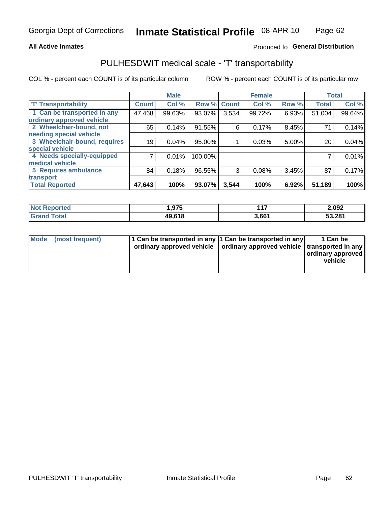## **All Active Inmates**

# Produced fo General Distribution

# PULHESDWIT medical scale - 'T' transportability

COL % - percent each COUNT is of its particular column

|                              |              | <b>Male</b> |         |              | <b>Female</b> |       |              | <b>Total</b> |
|------------------------------|--------------|-------------|---------|--------------|---------------|-------|--------------|--------------|
| <b>T' Transportability</b>   | <b>Count</b> | Col %       | Row %   | <b>Count</b> | Col %         | Row % | <b>Total</b> | Col %        |
| 1 Can be transported in any  | 47,468       | 99.63%      | 93.07%  | 3,534        | 99.72%        | 6.93% | 51,004       | 99.64%       |
| ordinary approved vehicle    |              |             |         |              |               |       |              |              |
| 2 Wheelchair-bound, not      | 65           | 0.14%       | 91.55%  | 6            | 0.17%         | 8.45% | 71           | 0.14%        |
| needing special vehicle      |              |             |         |              |               |       |              |              |
| 3 Wheelchair-bound, requires | 19           | 0.04%       | 95.00%  |              | 0.03%         | 5.00% | 20           | 0.04%        |
| special vehicle              |              |             |         |              |               |       |              |              |
| 4 Needs specially-equipped   |              | 0.01%       | 100.00% |              |               |       |              | 0.01%        |
| medical vehicle              |              |             |         |              |               |       |              |              |
| <b>5 Requires ambulance</b>  | 84           | 0.18%       | 96.55%  | 3            | 0.08%         | 3.45% | 87           | 0.17%        |
| transport                    |              |             |         |              |               |       |              |              |
| <b>Total Reported</b>        | 47,643       | 100%        | 93.07%  | 3,544        | 100%          | 6.92% | 51,189       | 100%         |

| $'$ Not $_1$ .<br>Reported   | 975. ا | 147<br>. | 2,092  |
|------------------------------|--------|----------|--------|
| <b>Total</b><br><b>Grand</b> | 49,618 | 3,661    | 53,281 |

|  | Mode (most frequent) | 1 Can be transported in any 1 Can be transported in any<br>ordinary approved vehicle   ordinary approved vehicle   transported in any |  | 1 Can be<br>  ordinary approved  <br>vehicle |
|--|----------------------|---------------------------------------------------------------------------------------------------------------------------------------|--|----------------------------------------------|
|--|----------------------|---------------------------------------------------------------------------------------------------------------------------------------|--|----------------------------------------------|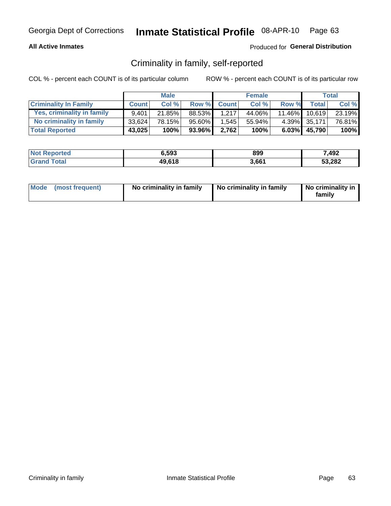## **All Active Inmates**

# Produced for General Distribution

# Criminality in family, self-reported

COL % - percent each COUNT is of its particular column

|                              |              | <b>Male</b> |        |              | <b>Female</b> |       |               | Total  |
|------------------------------|--------------|-------------|--------|--------------|---------------|-------|---------------|--------|
| <b>Criminality In Family</b> | <b>Count</b> | Col%        | Row %  | <b>Count</b> | Col %         | Row % | <b>Total</b>  | Col %  |
| Yes, criminality in family   | 9.401        | $21.85\%$   | 88.53% | 1.217        | 44.06%        |       | 11.46% 10,619 | 23.19% |
| No criminality in family     | 33.624       | 78.15%      | 95.60% | 1,545        | 55.94%        |       | 4.39% 35,171  | 76.81% |
| <b>Total Reported</b>        | 43,025       | 100%        | 93.96% | 2,762        | 100%          |       | 6.03% 45,790  | 100%   |

| <b>Not Reported</b> | 6.593  | 899   | 7,492  |
|---------------------|--------|-------|--------|
| <b>Total</b>        | 49,618 | 3,661 | 53,282 |

|  | Mode (most frequent) | No criminality in family | No criminality in family | No criminality in<br>family |
|--|----------------------|--------------------------|--------------------------|-----------------------------|
|--|----------------------|--------------------------|--------------------------|-----------------------------|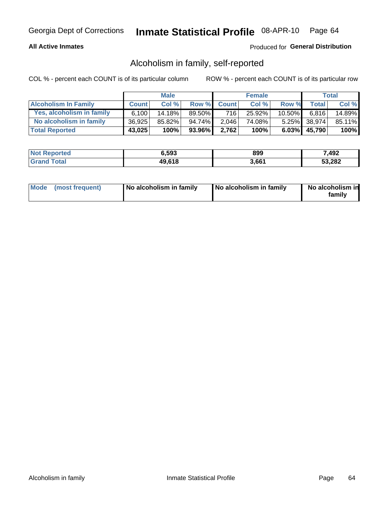## **All Active Inmates**

# Produced for General Distribution

# Alcoholism in family, self-reported

COL % - percent each COUNT is of its particular column

|                             |              | <b>Male</b> |         |              | <b>Female</b> |           |                 | Total   |
|-----------------------------|--------------|-------------|---------|--------------|---------------|-----------|-----------------|---------|
| <b>Alcoholism In Family</b> | <b>Count</b> | Col %       | Row %   | <b>Count</b> | Col %         | Row %     | <b>Total</b>    | Col %   |
| Yes, alcoholism in family   | 6.100        | 14.18%      | 89.50%I | 716          | 25.92%        | $10.50\%$ | 6.816           | 14.89%  |
| No alcoholism in family     | 36,925       | 85.82%      | 94.74%  | 2,046        | 74.08%        |           | 5.25% 38,974    | 85.11%  |
| <b>Total Reported</b>       | 43,025       | 100%        | 93.96%  | 2,762        | 100%          |           | $6.03\%$ 45,790 | $100\%$ |

| <b>Not Reported</b> | 6,593  | 899   | 7,492  |
|---------------------|--------|-------|--------|
| <i>i</i> otal       | 49,618 | 3,661 | 53,282 |

|  | Mode (most frequent) | No alcoholism in family | No alcoholism in family | No alcoholism in<br>family |
|--|----------------------|-------------------------|-------------------------|----------------------------|
|--|----------------------|-------------------------|-------------------------|----------------------------|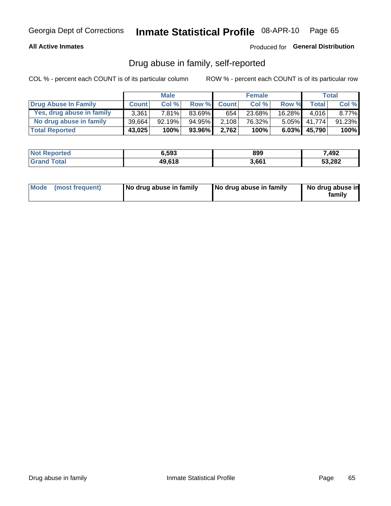## **All Active Inmates**

Produced for General Distribution

# Drug abuse in family, self-reported

COL % - percent each COUNT is of its particular column

|                           |              | <b>Male</b> |        |              | <b>Female</b> |           |        | <b>Total</b> |
|---------------------------|--------------|-------------|--------|--------------|---------------|-----------|--------|--------------|
| Drug Abuse In Family      | <b>Count</b> | Col%        | Row %  | <b>Count</b> | Col%          | Row %     | Total  | Col %        |
| Yes, drug abuse in family | 3.361        | 7.81%       | 83.69% | 654          | 23.68%        | $16.28\%$ | 4.016  | 8.77%        |
| No drug abuse in family   | 39.664       | 92.19%      | 94.95% | 2,108        | 76.32%        | $5.05\%$  | 41.774 | 91.23%       |
| <b>Total Reported</b>     | 43,025       | 100%        | 93.96% | 2.762        | 100%          | $6.03\%$  | 45,790 | 100%         |

| <b>Not Reported</b> | 6.593  | 899   | 7,492  |
|---------------------|--------|-------|--------|
| <b>Total</b>        | 49,618 | 3,661 | 53,282 |

|  | Mode (most frequent) | No drug abuse in family | No drug abuse in family | No drug abuse in<br>familv |
|--|----------------------|-------------------------|-------------------------|----------------------------|
|--|----------------------|-------------------------|-------------------------|----------------------------|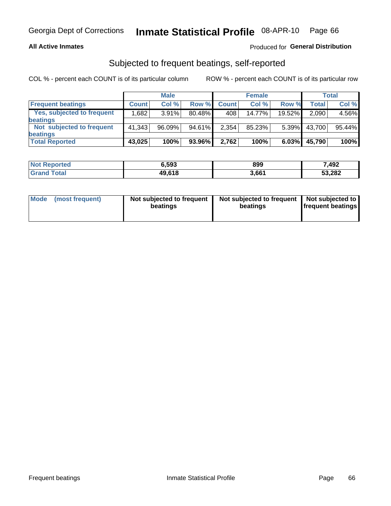## **All Active Inmates**

# Produced for General Distribution

# Subjected to frequent beatings, self-reported

COL % - percent each COUNT is of its particular column

|                            |              | <b>Male</b> |        |              | <b>Female</b> |          |              | Total  |
|----------------------------|--------------|-------------|--------|--------------|---------------|----------|--------------|--------|
| <b>Frequent beatings</b>   | <b>Count</b> | Col %       | Row %  | <b>Count</b> | Col %         | Row %    | <b>Total</b> | Col%   |
| Yes, subjected to frequent | .682         | 3.91%       | 80.48% | 408          | $14.77\%$     | 19.52%   | 2,090        | 4.56%  |
| beatings                   |              |             |        |              |               |          |              |        |
| Not subjected to frequent  | 41.343       | 96.09%      | 94.61% | 2,354        | 85.23%        | $5.39\%$ | 43,700       | 95.44% |
| beatings                   |              |             |        |              |               |          |              |        |
| <b>Total Reported</b>      | 43,025       | 100%        | 93.96% | 2,762        | 100%          | 6.03%    | 45,790       | 100%   |

| <b>Not Reported</b> | 6,593  | 899   | 7,492  |
|---------------------|--------|-------|--------|
| <b>Grand Total</b>  | 49,618 | 3,661 | 53,282 |

| Mode (most frequent) | Not subjected to frequent<br>beatings | Not subjected to frequent<br>beatings | Not subjected to<br><b>frequent beatings</b> |
|----------------------|---------------------------------------|---------------------------------------|----------------------------------------------|
|                      |                                       |                                       |                                              |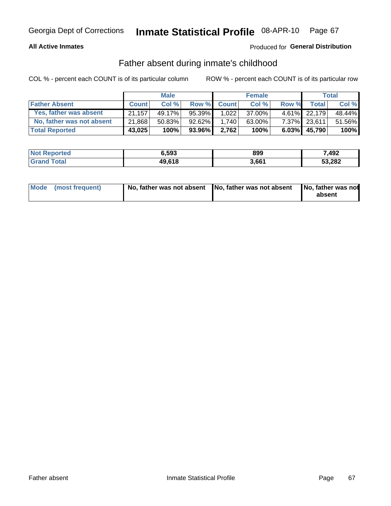## **All Active Inmates**

# **Produced for General Distribution**

# Father absent during inmate's childhood

COL % - percent each COUNT is of its particular column

|                           |              | <b>Male</b> |           |              | <b>Female</b> |          |              | Total  |
|---------------------------|--------------|-------------|-----------|--------------|---------------|----------|--------------|--------|
| <b>Father Absent</b>      | <b>Count</b> | Col%        | Row %     | <b>Count</b> | Col %         | Row %    | <b>Total</b> | Col %  |
| Yes, father was absent    | 21.157       | 49.17%      | 95.39%    | 1.022        | 37.00%        |          | 4.61% 22.179 | 48.44% |
| No, father was not absent | 21,868       | 50.83%      | $92.62\%$ | 1.740        | 63.00%        |          | 7.37% 23,611 | 51.56% |
| <b>Total Reported</b>     | 43,025       | 100%        | 93.96%    | 2,762        | 100%          | $6.03\%$ | 45,790       | 100%   |

| <b>Not Reported</b> | 6.593  | 899   | 7,492  |
|---------------------|--------|-------|--------|
| <b>Total</b>        | 49,618 | 3,661 | 53,282 |

|  | Mode (most frequent) | No, father was not absent No, father was not absent |  | No, father was not<br>absent |
|--|----------------------|-----------------------------------------------------|--|------------------------------|
|--|----------------------|-----------------------------------------------------|--|------------------------------|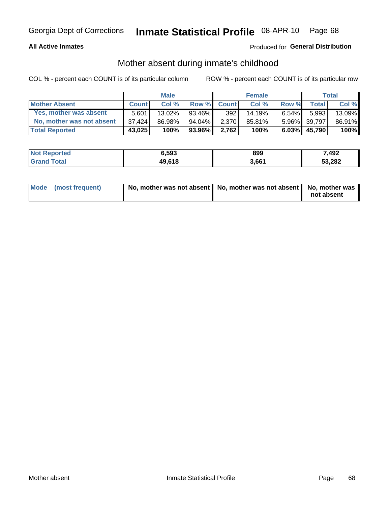## **All Active Inmates**

# Produced for General Distribution

# Mother absent during inmate's childhood

COL % - percent each COUNT is of its particular column

|                           |              | <b>Male</b> |        |              | <b>Female</b> |          |              | Total  |
|---------------------------|--------------|-------------|--------|--------------|---------------|----------|--------------|--------|
| <b>Mother Absent</b>      | <b>Count</b> | Col%        | Row %  | <b>Count</b> | Col %         | Row %    | <b>Total</b> | Col %  |
| Yes, mother was absent    | 5.601        | 13.02%      | 93.46% | 392          | 14.19%        | $6.54\%$ | 5,993        | 13.09% |
| No, mother was not absent | 37.424       | 86.98%      | 94.04% | 2,370        | 85.81%        |          | 5.96% 39,797 | 86.91% |
| <b>Total Reported</b>     | 43,025       | 100%        | 93.96% | 2,762        | 100%          | $6.03\%$ | 45,790       | 100%   |

| <b>Not Reported</b> | 6.593  | 899   | 7,492  |
|---------------------|--------|-------|--------|
| Total<br>l Grand T  | 49,618 | 3.661 | 53,282 |

| Mode (most frequent) | No, mother was not absent   No, mother was not absent   No, mother was | not absent |
|----------------------|------------------------------------------------------------------------|------------|
|                      |                                                                        |            |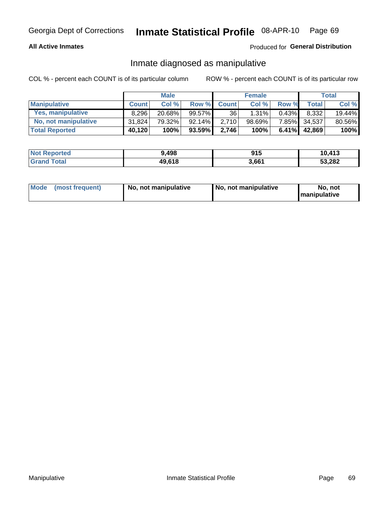## **All Active Inmates**

# Produced for General Distribution

# Inmate diagnosed as manipulative

COL % - percent each COUNT is of its particular column

|                       |              | <b>Male</b> |        |                 | <b>Female</b> |          |              | Total  |
|-----------------------|--------------|-------------|--------|-----------------|---------------|----------|--------------|--------|
| <b>Manipulative</b>   | <b>Count</b> | Col %       | Row %  | <b>Count</b>    | Col%          | Row %    | <b>Total</b> | Col %  |
| Yes, manipulative     | 8.296        | 20.68%      | 99.57% | 36 <sup>1</sup> | 1.31%         | 0.43%    | 8.332        | 19.44% |
| No, not manipulative  | 31.824       | 79.32%      | 92.14% | 2,710           | 98.69%        | 7.85%    | 34.537       | 80.56% |
| <b>Total Reported</b> | 40,120       | 100%        | 93.59% | 2.746           | 100%          | $6.41\%$ | 42,869       | 100%   |

| <b>Not Reported</b> | 9,498  | 915   | 10,413 |
|---------------------|--------|-------|--------|
| <b>Grand Total</b>  | 49,618 | 3,661 | 53,282 |

| Mode | (most frequent) | No, not manipulative | No, not manipulative | No. not<br><b>I</b> manipulative |
|------|-----------------|----------------------|----------------------|----------------------------------|
|------|-----------------|----------------------|----------------------|----------------------------------|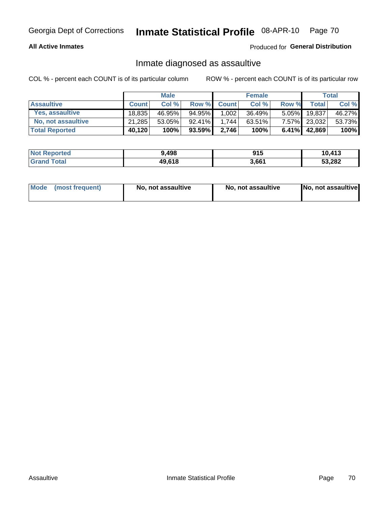## **All Active Inmates**

Produced for General Distribution

# Inmate diagnosed as assaultive

COL % - percent each COUNT is of its particular column

|                       |              | <b>Male</b> |           |              | <b>Female</b> |          |              | Total  |
|-----------------------|--------------|-------------|-----------|--------------|---------------|----------|--------------|--------|
| <b>Assaultive</b>     | <b>Count</b> | Col%        | Row %     | <b>Count</b> | Col %         | Row %    | Total        | Col %  |
| Yes, assaultive       | 18.835       | 46.95%      | 94.95%    | 1,002        | 36.49%        | $5.05\%$ | 19,837       | 46.27% |
| No, not assaultive    | 21.285       | 53.05%      | 92.41%    | 1.744        | 63.51%        |          | 7.57% 23,032 | 53.73% |
| <b>Total Reported</b> | 40,120       | 100%        | $93.59\%$ | 2.746        | 100%          |          | 6.41% 42,869 | 100%   |

| <b>Not Reported</b> | 9,498  | 915   | 10.413 |
|---------------------|--------|-------|--------|
| <b>Grand Total</b>  | 49,618 | 3,661 | 53,282 |

|  | Mode (most frequent) | No, not assaultive | No, not assaultive | No, not assaultive |
|--|----------------------|--------------------|--------------------|--------------------|
|--|----------------------|--------------------|--------------------|--------------------|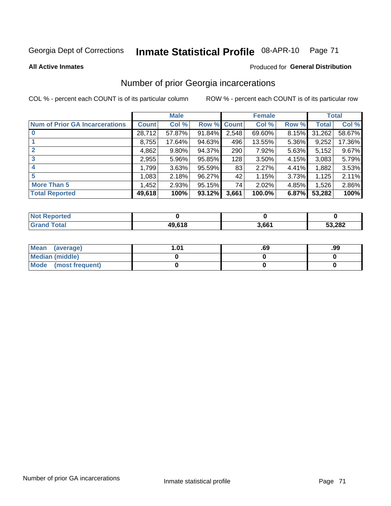### Inmate Statistical Profile 08-APR-10 Page 71

**All Active Inmates** 

## **Produced for General Distribution**

# Number of prior Georgia incarcerations

COL % - percent each COUNT is of its particular column

|                                       |              | <b>Male</b> |             |       | <b>Female</b> |       |        | <b>Total</b> |
|---------------------------------------|--------------|-------------|-------------|-------|---------------|-------|--------|--------------|
| <b>Num of Prior GA Incarcerations</b> | <b>Count</b> | Col %       | Row % Count |       | Col %         | Row % | Total  | Col %        |
|                                       | 28,712       | 57.87%      | 91.84%      | 2,548 | 69.60%        | 8.15% | 31,262 | 58.67%       |
|                                       | 8,755        | 17.64%      | 94.63%      | 496   | 13.55%        | 5.36% | 9,252  | 17.36%       |
| $\overline{2}$                        | 4,862        | 9.80%       | 94.37%      | 290   | 7.92%         | 5.63% | 5,152  | 9.67%        |
| 3                                     | 2,955        | 5.96%       | 95.85%      | 128   | 3.50%         | 4.15% | 3,083  | 5.79%        |
| $\boldsymbol{4}$                      | 1,799        | 3.63%       | 95.59%      | 83    | 2.27%         | 4.41% | 1,882  | 3.53%        |
| 5                                     | 1,083        | 2.18%       | 96.27%      | 42'   | 1.15%         | 3.73% | 1,125  | 2.11%        |
| <b>More Than 5</b>                    | 1,452        | 2.93%       | 95.15%      | 74    | 2.02%         | 4.85% | 1,526  | 2.86%        |
| <b>Total Reported</b>                 | 49,618       | 100%        | 93.12%      | 3,661 | 100.0%        | 6.87% | 53,282 | 100%         |

| orted<br>NO: |            |       |        |
|--------------|------------|-------|--------|
| `otal<br>Gr  | $AQ$ $619$ | 3,661 | 53,282 |

| Mean (average)       | l.01 | .69 | .99 |
|----------------------|------|-----|-----|
| Median (middle)      |      |     |     |
| Mode (most frequent) |      |     |     |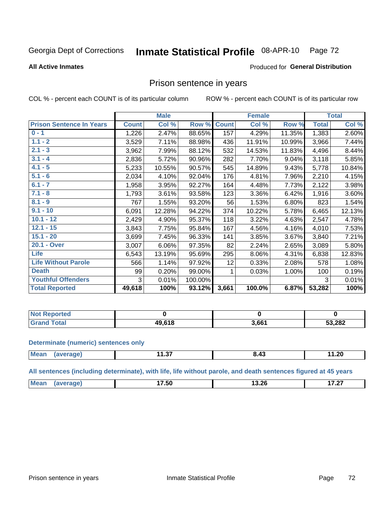#### Inmate Statistical Profile 08-APR-10 Page 72

### **All Active Inmates**

### Produced for General Distribution

# Prison sentence in years

COL % - percent each COUNT is of its particular column

ROW % - percent each COUNT is of its particular row

|                                 |              | <b>Male</b> |         |              | <b>Female</b> |        |              | <b>Total</b> |
|---------------------------------|--------------|-------------|---------|--------------|---------------|--------|--------------|--------------|
| <b>Prison Sentence In Years</b> | <b>Count</b> | Col %       | Row %   | <b>Count</b> | Col %         | Row %  | <b>Total</b> | Col %        |
| $0 - 1$                         | 1,226        | 2.47%       | 88.65%  | 157          | 4.29%         | 11.35% | 1,383        | 2.60%        |
| $1.1 - 2$                       | 3,529        | 7.11%       | 88.98%  | 436          | 11.91%        | 10.99% | 3,966        | 7.44%        |
| $2.1 - 3$                       | 3,962        | 7.99%       | 88.12%  | 532          | 14.53%        | 11.83% | 4,496        | 8.44%        |
| $3.1 - 4$                       | 2,836        | 5.72%       | 90.96%  | 282          | 7.70%         | 9.04%  | 3,118        | 5.85%        |
| $4.1 - 5$                       | 5,233        | 10.55%      | 90.57%  | 545          | 14.89%        | 9.43%  | 5,778        | 10.84%       |
| $5.1 - 6$                       | 2,034        | 4.10%       | 92.04%  | 176          | 4.81%         | 7.96%  | 2,210        | 4.15%        |
| $6.1 - 7$                       | 1,958        | 3.95%       | 92.27%  | 164          | 4.48%         | 7.73%  | 2,122        | 3.98%        |
| $7.1 - 8$                       | 1,793        | 3.61%       | 93.58%  | 123          | 3.36%         | 6.42%  | 1,916        | 3.60%        |
| $8.1 - 9$                       | 767          | 1.55%       | 93.20%  | 56           | 1.53%         | 6.80%  | 823          | 1.54%        |
| $9.1 - 10$                      | 6,091        | 12.28%      | 94.22%  | 374          | 10.22%        | 5.78%  | 6,465        | 12.13%       |
| $10.1 - 12$                     | 2,429        | 4.90%       | 95.37%  | 118          | 3.22%         | 4.63%  | 2,547        | 4.78%        |
| $12.1 - 15$                     | 3,843        | 7.75%       | 95.84%  | 167          | 4.56%         | 4.16%  | 4,010        | 7.53%        |
| $15.1 - 20$                     | 3,699        | 7.45%       | 96.33%  | 141          | 3.85%         | 3.67%  | 3,840        | 7.21%        |
| 20.1 - Over                     | 3,007        | 6.06%       | 97.35%  | 82           | 2.24%         | 2.65%  | 3,089        | 5.80%        |
| <b>Life</b>                     | 6,543        | 13.19%      | 95.69%  | 295          | 8.06%         | 4.31%  | 6,838        | 12.83%       |
| <b>Life Without Parole</b>      | 566          | 1.14%       | 97.92%  | 12           | 0.33%         | 2.08%  | 578          | 1.08%        |
| <b>Death</b>                    | 99           | 0.20%       | 99.00%  |              | 0.03%         | 1.00%  | 100          | 0.19%        |
| <b>Youthful Offenders</b>       | 3            | 0.01%       | 100.00% |              |               |        | 3            | 0.01%        |
| <b>Total Reported</b>           | 49,618       | 100%        | 93.12%  | 3,661        | 100.0%        | 6.87%  | 53,282       | 100%         |

| <b>Not Reported</b> |        |       |        |
|---------------------|--------|-------|--------|
| int<br>Crr          | IN 640 | 3,661 | 53,282 |

### **Determinate (numeric) sentences only**

| Mea | .<br>11.J <i>i</i> | 11.20 |
|-----|--------------------|-------|
|     |                    |       |

All sentences (including determinate), with life, life without parole, and death sentences figured at 45 years

| M | $\rightarrow$ $\rightarrow$ $\rightarrow$<br>יטכ.<br>____ | .<br>13.ZJ<br>___ | . .-<br>. |
|---|-----------------------------------------------------------|-------------------|-----------|
|   |                                                           |                   |           |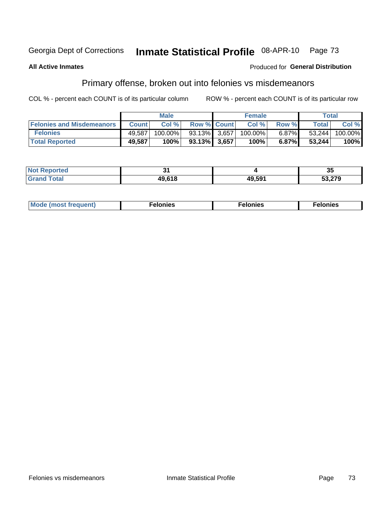#### Inmate Statistical Profile 08-APR-10 Georgia Dept of Corrections Page 73

### **All Active Inmates**

### Produced for General Distribution

# Primary offense, broken out into felonies vs misdemeanors

COL % - percent each COUNT is of its particular column

|                                  |              | <b>Male</b> |              | <b>Female</b> |          |              | Total   |
|----------------------------------|--------------|-------------|--------------|---------------|----------|--------------|---------|
| <b>Felonies and Misdemeanors</b> | <b>Count</b> | Col %       | Row % Count  | Col%          | Row %    | <b>Total</b> | Col %   |
| <b>Felonies</b>                  | 49,587       | 100.00%     | 93.13% 3.657 | 100.00%       | $6.87\%$ | 53.244       | 100.00% |
| <b>Total Reported</b>            | 49,587       | 100% i      | 93.13% 3.657 | 100%          | $6.87\%$ | 53.244       | 100%    |

| <b>Not Reported</b> |                        |        | vu     |
|---------------------|------------------------|--------|--------|
| Grar                | $AO$ $619$<br>19.V I O | 49.591 | 53,279 |

| <b>Mode</b><br>frequent)<br>nies<br>≧ (most tr.<br>. | onies<br>. | lonies<br>ею<br>____ |
|------------------------------------------------------|------------|----------------------|
|------------------------------------------------------|------------|----------------------|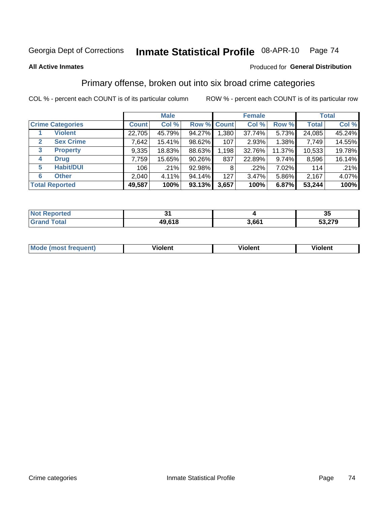#### Inmate Statistical Profile 08-APR-10 Page 74

#### **All Active Inmates**

### **Produced for General Distribution**

### Primary offense, broken out into six broad crime categories

COL % - percent each COUNT is of its particular column

|                                 |              | <b>Male</b> |        |             | <b>Female</b> |        |              | <b>Total</b> |
|---------------------------------|--------------|-------------|--------|-------------|---------------|--------|--------------|--------------|
| <b>Crime Categories</b>         | <b>Count</b> | Col %       |        | Row % Count | Col %         | Row %  | <b>Total</b> | Col %        |
| <b>Violent</b>                  | 22,705       | 45.79%      | 94.27% | 1,380       | 37.74%        | 5.73%  | 24,085       | 45.24%       |
| <b>Sex Crime</b><br>2           | 7,642        | 15.41%      | 98.62% | 107         | 2.93%         | 1.38%  | 7,749        | 14.55%       |
| $\mathbf{3}$<br><b>Property</b> | 9,335        | 18.83%      | 88.63% | 1,198       | 32.76%        | 11.37% | 10,533       | 19.78%       |
| <b>Drug</b><br>4                | 7,759        | 15.65%      | 90.26% | 837         | 22.89%        | 9.74%  | 8,596        | 16.14%       |
| <b>Habit/DUI</b><br>5           | 106          | .21%        | 92.98% | 8           | .22%          | 7.02%  | 114          | .21%         |
| <b>Other</b><br>6               | 2,040        | 4.11%       | 94.14% | 127         | 3.47%         | 5.86%  | 2,167        | 4.07%        |
| <b>Total Reported</b>           | 49,587       | 100%        | 93.13% | 3,657       | 100%          | 6.87%  | 53,244       | 100%         |

| Reported<br><b>Not</b> |        |       | - -<br>ູບປ |
|------------------------|--------|-------|------------|
| <b>Total</b>           | 49,618 | 3,661 | 53,279     |

| <b>Mode (most frequent)</b> | .<br><b>iolent</b> | 'iolent | ---<br>Violent |
|-----------------------------|--------------------|---------|----------------|
|                             |                    |         |                |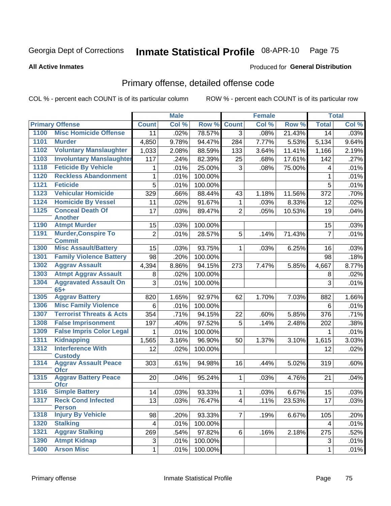#### Inmate Statistical Profile 08-APR-10 Page 75

#### **All Active Inmates**

#### Produced for General Distribution

# Primary offense, detailed offense code

COL % - percent each COUNT is of its particular column

|      |                                             |              | <b>Male</b> |         |                | <b>Female</b> |        |                | <b>Total</b> |
|------|---------------------------------------------|--------------|-------------|---------|----------------|---------------|--------|----------------|--------------|
|      | <b>Primary Offense</b>                      | <b>Count</b> | Col %       | Row %   | <b>Count</b>   | Col %         | Row %  | <b>Total</b>   | Col %        |
| 1100 | <b>Misc Homicide Offense</b>                | 11           | .02%        | 78.57%  | $\overline{3}$ | .08%          | 21.43% | 14             | .03%         |
| 1101 | <b>Murder</b>                               | 4,850        | 9.78%       | 94.47%  | 284            | 7.77%         | 5.53%  | 5,134          | 9.64%        |
| 1102 | <b>Voluntary Manslaughter</b>               | 1,033        | 2.08%       | 88.59%  | 133            | 3.64%         | 11.41% | 1,166          | 2.19%        |
| 1103 | <b>Involuntary Manslaughter</b>             | 117          | .24%        | 82.39%  | 25             | .68%          | 17.61% | 142            | .27%         |
| 1118 | <b>Feticide By Vehicle</b>                  | 1            | .01%        | 25.00%  | 3              | .08%          | 75.00% | 4              | .01%         |
| 1120 | <b>Reckless Abandonment</b>                 | 1            | .01%        | 100.00% |                |               |        | 1              | .01%         |
| 1121 | <b>Feticide</b>                             | 5            | .01%        | 100.00% |                |               |        | 5              | .01%         |
| 1123 | <b>Vehicular Homicide</b>                   | 329          | .66%        | 88.44%  | 43             | 1.18%         | 11.56% | 372            | .70%         |
| 1124 | <b>Homicide By Vessel</b>                   | 11           | .02%        | 91.67%  | 1              | .03%          | 8.33%  | 12             | .02%         |
| 1125 | <b>Conceal Death Of</b>                     | 17           | .03%        | 89.47%  | $\overline{2}$ | .05%          | 10.53% | 19             | .04%         |
|      | <b>Another</b>                              |              |             |         |                |               |        |                |              |
| 1190 | <b>Atmpt Murder</b>                         | 15           | .03%        | 100.00% |                |               |        | 15             | .03%         |
| 1191 | <b>Murder, Conspire To</b><br><b>Commit</b> | 2            | .01%        | 28.57%  | 5              | .14%          | 71.43% | $\overline{7}$ | .01%         |
| 1300 | <b>Misc Assault/Battery</b>                 | 15           | .03%        | 93.75%  | 1              | .03%          | 6.25%  | 16             | .03%         |
| 1301 | <b>Family Violence Battery</b>              | 98           | .20%        | 100.00% |                |               |        | 98             | .18%         |
| 1302 | <b>Aggrav Assault</b>                       | 4,394        | 8.86%       | 94.15%  | 273            | 7.47%         | 5.85%  | 4,667          | 8.77%        |
| 1303 | <b>Atmpt Aggrav Assault</b>                 | 8            | .02%        | 100.00% |                |               |        | 8              | .02%         |
| 1304 | <b>Aggravated Assault On</b>                | 3            | .01%        | 100.00% |                |               |        | 3              | .01%         |
|      | $65+$                                       |              |             |         |                |               |        |                |              |
| 1305 | <b>Aggrav Battery</b>                       | 820          | 1.65%       | 92.97%  | 62             | 1.70%         | 7.03%  | 882            | 1.66%        |
| 1306 | <b>Misc Family Violence</b>                 | 6            | .01%        | 100.00% |                |               |        | 6              | .01%         |
| 1307 | <b>Terrorist Threats &amp; Acts</b>         | 354          | .71%        | 94.15%  | 22             | .60%          | 5.85%  | 376            | .71%         |
| 1308 | <b>False Imprisonment</b>                   | 197          | .40%        | 97.52%  | 5              | .14%          | 2.48%  | 202            | .38%         |
| 1309 | <b>False Impris Color Legal</b>             | 1            | .01%        | 100.00% |                |               |        | 1              | .01%         |
| 1311 | <b>Kidnapping</b>                           | 1,565        | 3.16%       | 96.90%  | 50             | 1.37%         | 3.10%  | 1,615          | 3.03%        |
| 1312 | <b>Interference With</b><br><b>Custody</b>  | 12           | .02%        | 100.00% |                |               |        | 12             | .02%         |
| 1314 | <b>Aggrav Assault Peace</b><br><b>Ofcr</b>  | 303          | .61%        | 94.98%  | 16             | .44%          | 5.02%  | 319            | .60%         |
| 1315 | <b>Aggrav Battery Peace</b><br><b>Ofcr</b>  | 20           | .04%        | 95.24%  | $\mathbf{1}$   | .03%          | 4.76%  | 21             | .04%         |
| 1316 | <b>Simple Battery</b>                       | 14           | .03%        | 93.33%  | 1              | .03%          | 6.67%  | 15             | .03%         |
| 1317 | <b>Reck Cond Infected</b><br><b>Person</b>  | 13           | .03%        | 76.47%  | 4 <sup>1</sup> | .11%          | 23.53% | 17             | .03%         |
| 1318 | <b>Injury By Vehicle</b>                    | 98           | .20%        | 93.33%  | $\overline{7}$ | .19%          | 6.67%  | 105            | .20%         |
| 1320 | <b>Stalking</b>                             | 4            | .01%        | 100.00% |                |               |        | 4              | .01%         |
| 1321 | <b>Aggrav Stalking</b>                      | 269          | .54%        | 97.82%  | 6              | .16%          | 2.18%  | 275            | .52%         |
| 1390 | <b>Atmpt Kidnap</b>                         | 3            | .01%        | 100.00% |                |               |        | 3              | .01%         |
| 1400 | <b>Arson Misc</b>                           | 1            | .01%        | 100.00% |                |               |        | $\mathbf{1}$   | .01%         |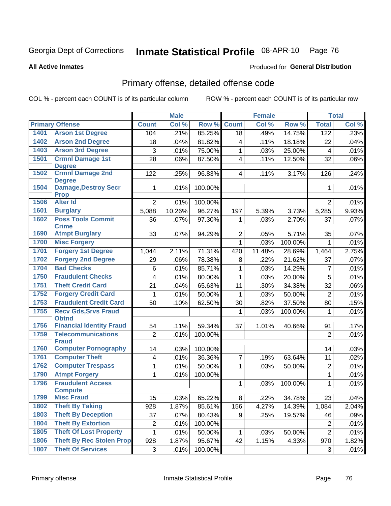#### Inmate Statistical Profile 08-APR-10 Page 76

**All Active Inmates** 

#### Produced for General Distribution

# Primary offense, detailed offense code

COL % - percent each COUNT is of its particular column

|      |                                           |                 | <b>Male</b> |         |                | <b>Female</b> |                |                 | <b>Total</b> |
|------|-------------------------------------------|-----------------|-------------|---------|----------------|---------------|----------------|-----------------|--------------|
|      | <b>Primary Offense</b>                    | <b>Count</b>    | Col %       | Row %   | <b>Count</b>   | Col %         | Row %          | <b>Total</b>    | Col %        |
| 1401 | <b>Arson 1st Degree</b>                   | 104             | .21%        | 85.25%  | 18             | .49%          | 14.75%         | 122             | .23%         |
| 1402 | <b>Arson 2nd Degree</b>                   | 18              | .04%        | 81.82%  | 4              | .11%          | 18.18%         | 22              | .04%         |
| 1403 | <b>Arson 3rd Degree</b>                   | 3               | .01%        | 75.00%  | 1              | .03%          | 25.00%         | $\overline{4}$  | .01%         |
| 1501 | <b>Crmnl Damage 1st</b>                   | 28              | .06%        | 87.50%  | 4              | .11%          | 12.50%         | 32              | .06%         |
|      | <b>Degree</b>                             |                 |             |         |                |               |                |                 |              |
| 1502 | <b>Crmnl Damage 2nd</b><br><b>Degree</b>  | 122             | .25%        | 96.83%  | $\overline{4}$ | .11%          | 3.17%          | 126             | .24%         |
| 1504 | <b>Damage, Destroy Secr</b>               | 1               | .01%        | 100.00% |                |               |                | 1               | .01%         |
|      | <b>Prop</b>                               |                 |             |         |                |               |                |                 |              |
| 1506 | <b>Alter Id</b>                           | $\overline{2}$  | .01%        | 100.00% |                |               |                | $\overline{2}$  | .01%         |
| 1601 | <b>Burglary</b>                           | 5,088           | 10.26%      | 96.27%  | 197            | 5.39%         | 3.73%          | 5,285           | 9.93%        |
| 1602 | <b>Poss Tools Commit</b><br><b>Crime</b>  | 36              | .07%        | 97.30%  | 1              | .03%          | 2.70%          | 37              | .07%         |
| 1690 | <b>Atmpt Burglary</b>                     | 33              | .07%        | 94.29%  | $\overline{2}$ | .05%          | 5.71%          | 35              | .07%         |
| 1700 | <b>Misc Forgery</b>                       |                 |             |         | 1              | .03%          | 100.00%        | $\mathbf 1$     | .01%         |
| 1701 | <b>Forgery 1st Degree</b>                 | 1,044           | 2.11%       | 71.31%  | 420            | 11.48%        | 28.69%         | 1,464           | 2.75%        |
| 1702 | <b>Forgery 2nd Degree</b>                 | 29              | .06%        | 78.38%  | 8              | .22%          | 21.62%         | 37              | .07%         |
| 1704 | <b>Bad Checks</b>                         | 6               | .01%        | 85.71%  | 1              | .03%          | 14.29%         | $\overline{7}$  | .01%         |
| 1750 | <b>Fraudulent Checks</b>                  | 4               | .01%        | 80.00%  | 1              | .03%          | 20.00%         | 5               | .01%         |
| 1751 | <b>Theft Credit Card</b>                  | 21              | .04%        | 65.63%  | 11             | .30%          | 34.38%         | 32              | .06%         |
| 1752 | <b>Forgery Credit Card</b>                | 1               | .01%        | 50.00%  | 1              | .03%          | 50.00%         | $\overline{2}$  | .01%         |
| 1753 | <b>Fraudulent Credit Card</b>             | 50              | .10%        | 62.50%  | 30             | .82%          | 37.50%         | 80              | .15%         |
| 1755 | <b>Recv Gds, Srvs Fraud</b>               |                 |             |         | 1              | .03%          | 100.00%        | $\mathbf{1}$    | .01%         |
|      | <b>Obtnd</b>                              |                 |             |         |                |               |                |                 |              |
| 1756 | <b>Financial Identity Fraud</b>           | 54              | .11%        | 59.34%  | 37             | 1.01%         | 40.66%         | 91              | .17%         |
| 1759 | <b>Telecommunications</b><br><b>Fraud</b> | $\overline{2}$  | .01%        | 100.00% |                |               |                | $\overline{2}$  | .01%         |
| 1760 | <b>Computer Pornography</b>               | 14              | .03%        | 100.00% |                |               |                | 14              | .03%         |
| 1761 | <b>Computer Theft</b>                     | 4               | .01%        | 36.36%  | $\overline{7}$ | .19%          | 63.64%         | 11              | .02%         |
| 1762 | <b>Computer Trespass</b>                  | 1               | .01%        | 50.00%  | 1              | .03%          | 50.00%         | $\overline{2}$  | .01%         |
| 1790 | <b>Atmpt Forgery</b>                      | 1               | .01%        | 100.00% |                |               |                | $\mathbf{1}$    | .01%         |
| 1796 | <b>Fraudulent Access</b>                  |                 |             |         | 1              | .03%          | 100.00%        | $\mathbf{1}$    | .01%         |
|      | <b>Compute</b>                            |                 |             |         |                |               |                |                 |              |
| 1799 | <b>Misc Fraud</b>                         | $\overline{15}$ | .03%        | 65.22%  | $\overline{8}$ |               | $.22\%$ 34.78% | $\overline{23}$ | .04%         |
| 1802 | <b>Theft By Taking</b>                    | 928             | 1.87%       | 85.61%  | 156            | 4.27%         | 14.39%         | 1,084           | 2.04%        |
| 1803 | <b>Theft By Deception</b>                 | 37              | .07%        | 80.43%  | 9              | .25%          | 19.57%         | 46              | .09%         |
| 1804 | <b>Theft By Extortion</b>                 | 2               | .01%        | 100.00% |                |               |                | $\overline{c}$  | .01%         |
| 1805 | <b>Theft Of Lost Property</b>             | 1               | .01%        | 50.00%  | 1              | .03%          | 50.00%         | $\overline{2}$  | .01%         |
| 1806 | <b>Theft By Rec Stolen Prop</b>           | 928             | 1.87%       | 95.67%  | 42             | 1.15%         | 4.33%          | 970             | 1.82%        |
| 1807 | <b>Theft Of Services</b>                  | 3               | .01%        | 100.00% |                |               |                | 3               | .01%         |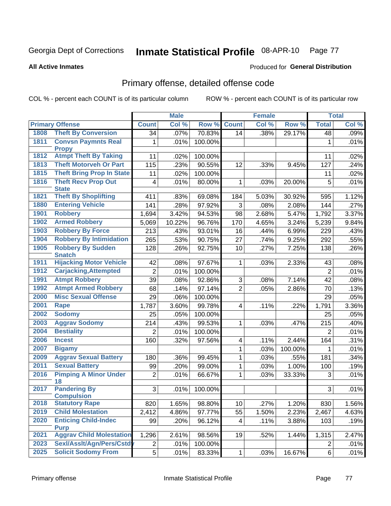#### Inmate Statistical Profile 08-APR-10 Page 77

#### **All Active Inmates**

#### Produced for General Distribution

# Primary offense, detailed offense code

COL % - percent each COUNT is of its particular column

| Col %<br>Col %<br><b>Primary Offense</b><br>Row %<br><b>Count</b><br>Row %<br><b>Total</b><br><b>Count</b><br>1808<br><b>Theft By Conversion</b><br>70.83%<br>.07%<br>.38%<br>29.17%<br>.09%<br>34<br>14<br>48<br><b>Convsn Paymnts Real</b><br>1811<br>100.00%<br>.01%<br>1<br>.01%<br>1<br><b>Propy</b><br><b>Atmpt Theft By Taking</b><br>1812<br>11<br>.02%<br>100.00%<br>.02%<br>11<br><b>Theft Motorveh Or Part</b><br>1813<br>115<br>90.55%<br>.23%<br>12<br>127<br>.33%<br>9.45%<br>.24%<br>1815<br><b>Theft Bring Prop In State</b><br>11<br>100.00%<br>.02%<br>11<br>.02%<br>1816<br><b>Theft Recv Prop Out</b><br>.01%<br>80.00%<br>5<br>.01%<br>4<br>1<br>.03%<br>20.00%<br><b>State</b><br><b>Theft By Shoplifting</b><br>1821<br>1.12%<br>411<br>.83%<br>69.08%<br>5.03%<br>30.92%<br>595<br>184<br><b>Entering Vehicle</b><br>1880<br>141<br>.28%<br>97.92%<br>3<br>.27%<br>.08%<br>2.08%<br>144<br>1901<br><b>Robbery</b><br>3.42%<br>94.53%<br>1,694<br>98<br>2.68%<br>5.47%<br>1,792<br>3.37%<br><b>Armed Robbery</b><br>1902<br>5,069<br>10.22%<br>96.76%<br>170<br>5,239<br>9.84%<br>4.65%<br>3.24%<br>1903<br><b>Robbery By Force</b><br>213<br>.43%<br>93.01%<br>.44%<br>16<br>6.99%<br>229<br>.43%<br><b>Robbery By Intimidation</b><br>1904<br>.55%<br>265<br>.53%<br>90.75%<br>27<br>9.25%<br>.74%<br>292<br><b>Robbery By Sudden</b><br>1905<br>.26%<br>128<br>.26%<br>92.75%<br>10<br>.27%<br>7.25%<br>138<br><b>Snatch</b><br><b>Hijacking Motor Vehicle</b><br>1911<br>97.67%<br>2.33%<br>.08%<br>42<br>.08%<br>1<br>.03%<br>43<br>1912<br><b>Carjacking, Attempted</b><br>$\overline{2}$<br>$\overline{2}$<br>.01%<br>100.00%<br>.01%<br><b>Atmpt Robbery</b><br>1991<br>39<br>92.86%<br>$\mathfrak{S}$<br>7.14%<br>42<br>.08%<br>.08%<br>.08%<br><b>Atmpt Armed Robbery</b><br>$\overline{2}$<br>1992<br>68<br>.14%<br>97.14%<br>.05%<br>2.86%<br>70<br>.13%<br><b>Misc Sexual Offense</b><br>2000<br>29<br>.06%<br>100.00%<br>29<br>.05%<br>2001<br>3.36%<br><b>Rape</b><br>3.60%<br>99.78%<br>.22%<br>1,791<br>1,787<br>4<br>.11%<br>2002<br><b>Sodomy</b><br>25<br>100.00%<br>.05%<br>.05%<br>25<br>2003<br><b>Aggrav Sodomy</b><br>214<br>.43%<br>99.53%<br>215<br>.03%<br>.47%<br>.40%<br>1<br>2004<br><b>Bestiality</b><br>$\overline{2}$<br>.01%<br>100.00%<br>$\overline{2}$<br>.01%<br>2006<br><b>Incest</b><br>.32%<br>.31%<br>160<br>97.56%<br>2.44%<br>.11%<br>164<br>4<br>2007<br>$\mathbf{1}$<br><b>Bigamy</b><br>.03%<br>100.00%<br>.01%<br>1<br>2009<br><b>Aggrav Sexual Battery</b><br>99.45%<br>.03%<br>180<br>.36%<br>1<br>.55%<br>181<br>.34%<br><b>Sexual Battery</b><br>2011<br>99<br>.20%<br>99.00%<br>1<br>1.00%<br>.19%<br>.03%<br>100<br><b>Pimping A Minor Under</b><br>2016<br>$\overline{2}$<br>.01%<br>66.67%<br>1<br>.03%<br>33.33%<br>3<br>.01%<br>18<br><b>Pandering By</b><br>2017<br>3<br>100.00%<br>3<br>.01%<br>.01%<br><b>Compulsion</b><br><b>Statutory Rape</b><br>2018<br>1.56%<br>820<br>1.65%<br>98.80%<br>10<br>.27%<br>1.20%<br>830<br><b>Child Molestation</b><br>2019<br>2,467<br>2,412<br>4.86%<br>97.77%<br>55<br>2.23%<br>4.63%<br>1.50%<br>2020<br><b>Enticing Child-Indec</b><br>99<br>.20%<br>96.12%<br>.11%<br>3.88%<br>103<br>.19%<br>4<br><b>Purp</b><br><b>Aggrav Child Molestation</b><br>2021<br>1,296<br>2.47%<br>2.61%<br>98.56%<br>19<br>.52%<br>1.44%<br>1,315<br>Sexl/Asslt/Agn/Pers/Cstd<br>2023<br>$\overline{c}$<br>.01%<br>100.00%<br>$\overline{2}$<br>.01%<br><b>Solicit Sodomy From</b> |      |                | <b>Male</b> |        |              | <b>Female</b> |        |          | <b>Total</b> |
|-----------------------------------------------------------------------------------------------------------------------------------------------------------------------------------------------------------------------------------------------------------------------------------------------------------------------------------------------------------------------------------------------------------------------------------------------------------------------------------------------------------------------------------------------------------------------------------------------------------------------------------------------------------------------------------------------------------------------------------------------------------------------------------------------------------------------------------------------------------------------------------------------------------------------------------------------------------------------------------------------------------------------------------------------------------------------------------------------------------------------------------------------------------------------------------------------------------------------------------------------------------------------------------------------------------------------------------------------------------------------------------------------------------------------------------------------------------------------------------------------------------------------------------------------------------------------------------------------------------------------------------------------------------------------------------------------------------------------------------------------------------------------------------------------------------------------------------------------------------------------------------------------------------------------------------------------------------------------------------------------------------------------------------------------------------------------------------------------------------------------------------------------------------------------------------------------------------------------------------------------------------------------------------------------------------------------------------------------------------------------------------------------------------------------------------------------------------------------------------------------------------------------------------------------------------------------------------------------------------------------------------------------------------------------------------------------------------------------------------------------------------------------------------------------------------------------------------------------------------------------------------------------------------------------------------------------------------------------------------------------------------------------------------------------------------------------------------------------------------------------------------------------------------------------------------------------------------------------------------------------------------------------------------------------------------------------------------------------------------------------------------------------------------------------------------------------------------------------------------------------|------|----------------|-------------|--------|--------------|---------------|--------|----------|--------------|
|                                                                                                                                                                                                                                                                                                                                                                                                                                                                                                                                                                                                                                                                                                                                                                                                                                                                                                                                                                                                                                                                                                                                                                                                                                                                                                                                                                                                                                                                                                                                                                                                                                                                                                                                                                                                                                                                                                                                                                                                                                                                                                                                                                                                                                                                                                                                                                                                                                                                                                                                                                                                                                                                                                                                                                                                                                                                                                                                                                                                                                                                                                                                                                                                                                                                                                                                                                                                                                                                                               |      |                |             |        |              |               |        |          | Col %        |
|                                                                                                                                                                                                                                                                                                                                                                                                                                                                                                                                                                                                                                                                                                                                                                                                                                                                                                                                                                                                                                                                                                                                                                                                                                                                                                                                                                                                                                                                                                                                                                                                                                                                                                                                                                                                                                                                                                                                                                                                                                                                                                                                                                                                                                                                                                                                                                                                                                                                                                                                                                                                                                                                                                                                                                                                                                                                                                                                                                                                                                                                                                                                                                                                                                                                                                                                                                                                                                                                                               |      |                |             |        |              |               |        |          |              |
|                                                                                                                                                                                                                                                                                                                                                                                                                                                                                                                                                                                                                                                                                                                                                                                                                                                                                                                                                                                                                                                                                                                                                                                                                                                                                                                                                                                                                                                                                                                                                                                                                                                                                                                                                                                                                                                                                                                                                                                                                                                                                                                                                                                                                                                                                                                                                                                                                                                                                                                                                                                                                                                                                                                                                                                                                                                                                                                                                                                                                                                                                                                                                                                                                                                                                                                                                                                                                                                                                               |      |                |             |        |              |               |        |          |              |
|                                                                                                                                                                                                                                                                                                                                                                                                                                                                                                                                                                                                                                                                                                                                                                                                                                                                                                                                                                                                                                                                                                                                                                                                                                                                                                                                                                                                                                                                                                                                                                                                                                                                                                                                                                                                                                                                                                                                                                                                                                                                                                                                                                                                                                                                                                                                                                                                                                                                                                                                                                                                                                                                                                                                                                                                                                                                                                                                                                                                                                                                                                                                                                                                                                                                                                                                                                                                                                                                                               |      |                |             |        |              |               |        |          |              |
|                                                                                                                                                                                                                                                                                                                                                                                                                                                                                                                                                                                                                                                                                                                                                                                                                                                                                                                                                                                                                                                                                                                                                                                                                                                                                                                                                                                                                                                                                                                                                                                                                                                                                                                                                                                                                                                                                                                                                                                                                                                                                                                                                                                                                                                                                                                                                                                                                                                                                                                                                                                                                                                                                                                                                                                                                                                                                                                                                                                                                                                                                                                                                                                                                                                                                                                                                                                                                                                                                               |      |                |             |        |              |               |        |          |              |
|                                                                                                                                                                                                                                                                                                                                                                                                                                                                                                                                                                                                                                                                                                                                                                                                                                                                                                                                                                                                                                                                                                                                                                                                                                                                                                                                                                                                                                                                                                                                                                                                                                                                                                                                                                                                                                                                                                                                                                                                                                                                                                                                                                                                                                                                                                                                                                                                                                                                                                                                                                                                                                                                                                                                                                                                                                                                                                                                                                                                                                                                                                                                                                                                                                                                                                                                                                                                                                                                                               |      |                |             |        |              |               |        |          |              |
|                                                                                                                                                                                                                                                                                                                                                                                                                                                                                                                                                                                                                                                                                                                                                                                                                                                                                                                                                                                                                                                                                                                                                                                                                                                                                                                                                                                                                                                                                                                                                                                                                                                                                                                                                                                                                                                                                                                                                                                                                                                                                                                                                                                                                                                                                                                                                                                                                                                                                                                                                                                                                                                                                                                                                                                                                                                                                                                                                                                                                                                                                                                                                                                                                                                                                                                                                                                                                                                                                               |      |                |             |        |              |               |        |          |              |
|                                                                                                                                                                                                                                                                                                                                                                                                                                                                                                                                                                                                                                                                                                                                                                                                                                                                                                                                                                                                                                                                                                                                                                                                                                                                                                                                                                                                                                                                                                                                                                                                                                                                                                                                                                                                                                                                                                                                                                                                                                                                                                                                                                                                                                                                                                                                                                                                                                                                                                                                                                                                                                                                                                                                                                                                                                                                                                                                                                                                                                                                                                                                                                                                                                                                                                                                                                                                                                                                                               |      |                |             |        |              |               |        |          |              |
|                                                                                                                                                                                                                                                                                                                                                                                                                                                                                                                                                                                                                                                                                                                                                                                                                                                                                                                                                                                                                                                                                                                                                                                                                                                                                                                                                                                                                                                                                                                                                                                                                                                                                                                                                                                                                                                                                                                                                                                                                                                                                                                                                                                                                                                                                                                                                                                                                                                                                                                                                                                                                                                                                                                                                                                                                                                                                                                                                                                                                                                                                                                                                                                                                                                                                                                                                                                                                                                                                               |      |                |             |        |              |               |        |          |              |
|                                                                                                                                                                                                                                                                                                                                                                                                                                                                                                                                                                                                                                                                                                                                                                                                                                                                                                                                                                                                                                                                                                                                                                                                                                                                                                                                                                                                                                                                                                                                                                                                                                                                                                                                                                                                                                                                                                                                                                                                                                                                                                                                                                                                                                                                                                                                                                                                                                                                                                                                                                                                                                                                                                                                                                                                                                                                                                                                                                                                                                                                                                                                                                                                                                                                                                                                                                                                                                                                                               |      |                |             |        |              |               |        |          |              |
|                                                                                                                                                                                                                                                                                                                                                                                                                                                                                                                                                                                                                                                                                                                                                                                                                                                                                                                                                                                                                                                                                                                                                                                                                                                                                                                                                                                                                                                                                                                                                                                                                                                                                                                                                                                                                                                                                                                                                                                                                                                                                                                                                                                                                                                                                                                                                                                                                                                                                                                                                                                                                                                                                                                                                                                                                                                                                                                                                                                                                                                                                                                                                                                                                                                                                                                                                                                                                                                                                               |      |                |             |        |              |               |        |          |              |
|                                                                                                                                                                                                                                                                                                                                                                                                                                                                                                                                                                                                                                                                                                                                                                                                                                                                                                                                                                                                                                                                                                                                                                                                                                                                                                                                                                                                                                                                                                                                                                                                                                                                                                                                                                                                                                                                                                                                                                                                                                                                                                                                                                                                                                                                                                                                                                                                                                                                                                                                                                                                                                                                                                                                                                                                                                                                                                                                                                                                                                                                                                                                                                                                                                                                                                                                                                                                                                                                                               |      |                |             |        |              |               |        |          |              |
|                                                                                                                                                                                                                                                                                                                                                                                                                                                                                                                                                                                                                                                                                                                                                                                                                                                                                                                                                                                                                                                                                                                                                                                                                                                                                                                                                                                                                                                                                                                                                                                                                                                                                                                                                                                                                                                                                                                                                                                                                                                                                                                                                                                                                                                                                                                                                                                                                                                                                                                                                                                                                                                                                                                                                                                                                                                                                                                                                                                                                                                                                                                                                                                                                                                                                                                                                                                                                                                                                               |      |                |             |        |              |               |        |          |              |
|                                                                                                                                                                                                                                                                                                                                                                                                                                                                                                                                                                                                                                                                                                                                                                                                                                                                                                                                                                                                                                                                                                                                                                                                                                                                                                                                                                                                                                                                                                                                                                                                                                                                                                                                                                                                                                                                                                                                                                                                                                                                                                                                                                                                                                                                                                                                                                                                                                                                                                                                                                                                                                                                                                                                                                                                                                                                                                                                                                                                                                                                                                                                                                                                                                                                                                                                                                                                                                                                                               |      |                |             |        |              |               |        |          |              |
|                                                                                                                                                                                                                                                                                                                                                                                                                                                                                                                                                                                                                                                                                                                                                                                                                                                                                                                                                                                                                                                                                                                                                                                                                                                                                                                                                                                                                                                                                                                                                                                                                                                                                                                                                                                                                                                                                                                                                                                                                                                                                                                                                                                                                                                                                                                                                                                                                                                                                                                                                                                                                                                                                                                                                                                                                                                                                                                                                                                                                                                                                                                                                                                                                                                                                                                                                                                                                                                                                               |      |                |             |        |              |               |        |          |              |
|                                                                                                                                                                                                                                                                                                                                                                                                                                                                                                                                                                                                                                                                                                                                                                                                                                                                                                                                                                                                                                                                                                                                                                                                                                                                                                                                                                                                                                                                                                                                                                                                                                                                                                                                                                                                                                                                                                                                                                                                                                                                                                                                                                                                                                                                                                                                                                                                                                                                                                                                                                                                                                                                                                                                                                                                                                                                                                                                                                                                                                                                                                                                                                                                                                                                                                                                                                                                                                                                                               |      |                |             |        |              |               |        |          |              |
|                                                                                                                                                                                                                                                                                                                                                                                                                                                                                                                                                                                                                                                                                                                                                                                                                                                                                                                                                                                                                                                                                                                                                                                                                                                                                                                                                                                                                                                                                                                                                                                                                                                                                                                                                                                                                                                                                                                                                                                                                                                                                                                                                                                                                                                                                                                                                                                                                                                                                                                                                                                                                                                                                                                                                                                                                                                                                                                                                                                                                                                                                                                                                                                                                                                                                                                                                                                                                                                                                               |      |                |             |        |              |               |        |          |              |
|                                                                                                                                                                                                                                                                                                                                                                                                                                                                                                                                                                                                                                                                                                                                                                                                                                                                                                                                                                                                                                                                                                                                                                                                                                                                                                                                                                                                                                                                                                                                                                                                                                                                                                                                                                                                                                                                                                                                                                                                                                                                                                                                                                                                                                                                                                                                                                                                                                                                                                                                                                                                                                                                                                                                                                                                                                                                                                                                                                                                                                                                                                                                                                                                                                                                                                                                                                                                                                                                                               |      |                |             |        |              |               |        |          |              |
|                                                                                                                                                                                                                                                                                                                                                                                                                                                                                                                                                                                                                                                                                                                                                                                                                                                                                                                                                                                                                                                                                                                                                                                                                                                                                                                                                                                                                                                                                                                                                                                                                                                                                                                                                                                                                                                                                                                                                                                                                                                                                                                                                                                                                                                                                                                                                                                                                                                                                                                                                                                                                                                                                                                                                                                                                                                                                                                                                                                                                                                                                                                                                                                                                                                                                                                                                                                                                                                                                               |      |                |             |        |              |               |        |          |              |
|                                                                                                                                                                                                                                                                                                                                                                                                                                                                                                                                                                                                                                                                                                                                                                                                                                                                                                                                                                                                                                                                                                                                                                                                                                                                                                                                                                                                                                                                                                                                                                                                                                                                                                                                                                                                                                                                                                                                                                                                                                                                                                                                                                                                                                                                                                                                                                                                                                                                                                                                                                                                                                                                                                                                                                                                                                                                                                                                                                                                                                                                                                                                                                                                                                                                                                                                                                                                                                                                                               |      |                |             |        |              |               |        |          |              |
|                                                                                                                                                                                                                                                                                                                                                                                                                                                                                                                                                                                                                                                                                                                                                                                                                                                                                                                                                                                                                                                                                                                                                                                                                                                                                                                                                                                                                                                                                                                                                                                                                                                                                                                                                                                                                                                                                                                                                                                                                                                                                                                                                                                                                                                                                                                                                                                                                                                                                                                                                                                                                                                                                                                                                                                                                                                                                                                                                                                                                                                                                                                                                                                                                                                                                                                                                                                                                                                                                               |      |                |             |        |              |               |        |          |              |
|                                                                                                                                                                                                                                                                                                                                                                                                                                                                                                                                                                                                                                                                                                                                                                                                                                                                                                                                                                                                                                                                                                                                                                                                                                                                                                                                                                                                                                                                                                                                                                                                                                                                                                                                                                                                                                                                                                                                                                                                                                                                                                                                                                                                                                                                                                                                                                                                                                                                                                                                                                                                                                                                                                                                                                                                                                                                                                                                                                                                                                                                                                                                                                                                                                                                                                                                                                                                                                                                                               |      |                |             |        |              |               |        |          |              |
|                                                                                                                                                                                                                                                                                                                                                                                                                                                                                                                                                                                                                                                                                                                                                                                                                                                                                                                                                                                                                                                                                                                                                                                                                                                                                                                                                                                                                                                                                                                                                                                                                                                                                                                                                                                                                                                                                                                                                                                                                                                                                                                                                                                                                                                                                                                                                                                                                                                                                                                                                                                                                                                                                                                                                                                                                                                                                                                                                                                                                                                                                                                                                                                                                                                                                                                                                                                                                                                                                               |      |                |             |        |              |               |        |          |              |
|                                                                                                                                                                                                                                                                                                                                                                                                                                                                                                                                                                                                                                                                                                                                                                                                                                                                                                                                                                                                                                                                                                                                                                                                                                                                                                                                                                                                                                                                                                                                                                                                                                                                                                                                                                                                                                                                                                                                                                                                                                                                                                                                                                                                                                                                                                                                                                                                                                                                                                                                                                                                                                                                                                                                                                                                                                                                                                                                                                                                                                                                                                                                                                                                                                                                                                                                                                                                                                                                                               |      |                |             |        |              |               |        |          |              |
|                                                                                                                                                                                                                                                                                                                                                                                                                                                                                                                                                                                                                                                                                                                                                                                                                                                                                                                                                                                                                                                                                                                                                                                                                                                                                                                                                                                                                                                                                                                                                                                                                                                                                                                                                                                                                                                                                                                                                                                                                                                                                                                                                                                                                                                                                                                                                                                                                                                                                                                                                                                                                                                                                                                                                                                                                                                                                                                                                                                                                                                                                                                                                                                                                                                                                                                                                                                                                                                                                               |      |                |             |        |              |               |        |          |              |
|                                                                                                                                                                                                                                                                                                                                                                                                                                                                                                                                                                                                                                                                                                                                                                                                                                                                                                                                                                                                                                                                                                                                                                                                                                                                                                                                                                                                                                                                                                                                                                                                                                                                                                                                                                                                                                                                                                                                                                                                                                                                                                                                                                                                                                                                                                                                                                                                                                                                                                                                                                                                                                                                                                                                                                                                                                                                                                                                                                                                                                                                                                                                                                                                                                                                                                                                                                                                                                                                                               |      |                |             |        |              |               |        |          |              |
|                                                                                                                                                                                                                                                                                                                                                                                                                                                                                                                                                                                                                                                                                                                                                                                                                                                                                                                                                                                                                                                                                                                                                                                                                                                                                                                                                                                                                                                                                                                                                                                                                                                                                                                                                                                                                                                                                                                                                                                                                                                                                                                                                                                                                                                                                                                                                                                                                                                                                                                                                                                                                                                                                                                                                                                                                                                                                                                                                                                                                                                                                                                                                                                                                                                                                                                                                                                                                                                                                               |      |                |             |        |              |               |        |          |              |
|                                                                                                                                                                                                                                                                                                                                                                                                                                                                                                                                                                                                                                                                                                                                                                                                                                                                                                                                                                                                                                                                                                                                                                                                                                                                                                                                                                                                                                                                                                                                                                                                                                                                                                                                                                                                                                                                                                                                                                                                                                                                                                                                                                                                                                                                                                                                                                                                                                                                                                                                                                                                                                                                                                                                                                                                                                                                                                                                                                                                                                                                                                                                                                                                                                                                                                                                                                                                                                                                                               |      |                |             |        |              |               |        |          |              |
|                                                                                                                                                                                                                                                                                                                                                                                                                                                                                                                                                                                                                                                                                                                                                                                                                                                                                                                                                                                                                                                                                                                                                                                                                                                                                                                                                                                                                                                                                                                                                                                                                                                                                                                                                                                                                                                                                                                                                                                                                                                                                                                                                                                                                                                                                                                                                                                                                                                                                                                                                                                                                                                                                                                                                                                                                                                                                                                                                                                                                                                                                                                                                                                                                                                                                                                                                                                                                                                                                               |      |                |             |        |              |               |        |          |              |
|                                                                                                                                                                                                                                                                                                                                                                                                                                                                                                                                                                                                                                                                                                                                                                                                                                                                                                                                                                                                                                                                                                                                                                                                                                                                                                                                                                                                                                                                                                                                                                                                                                                                                                                                                                                                                                                                                                                                                                                                                                                                                                                                                                                                                                                                                                                                                                                                                                                                                                                                                                                                                                                                                                                                                                                                                                                                                                                                                                                                                                                                                                                                                                                                                                                                                                                                                                                                                                                                                               |      |                |             |        |              |               |        |          |              |
|                                                                                                                                                                                                                                                                                                                                                                                                                                                                                                                                                                                                                                                                                                                                                                                                                                                                                                                                                                                                                                                                                                                                                                                                                                                                                                                                                                                                                                                                                                                                                                                                                                                                                                                                                                                                                                                                                                                                                                                                                                                                                                                                                                                                                                                                                                                                                                                                                                                                                                                                                                                                                                                                                                                                                                                                                                                                                                                                                                                                                                                                                                                                                                                                                                                                                                                                                                                                                                                                                               |      |                |             |        |              |               |        |          |              |
|                                                                                                                                                                                                                                                                                                                                                                                                                                                                                                                                                                                                                                                                                                                                                                                                                                                                                                                                                                                                                                                                                                                                                                                                                                                                                                                                                                                                                                                                                                                                                                                                                                                                                                                                                                                                                                                                                                                                                                                                                                                                                                                                                                                                                                                                                                                                                                                                                                                                                                                                                                                                                                                                                                                                                                                                                                                                                                                                                                                                                                                                                                                                                                                                                                                                                                                                                                                                                                                                                               |      |                |             |        |              |               |        |          |              |
|                                                                                                                                                                                                                                                                                                                                                                                                                                                                                                                                                                                                                                                                                                                                                                                                                                                                                                                                                                                                                                                                                                                                                                                                                                                                                                                                                                                                                                                                                                                                                                                                                                                                                                                                                                                                                                                                                                                                                                                                                                                                                                                                                                                                                                                                                                                                                                                                                                                                                                                                                                                                                                                                                                                                                                                                                                                                                                                                                                                                                                                                                                                                                                                                                                                                                                                                                                                                                                                                                               |      |                |             |        |              |               |        |          |              |
|                                                                                                                                                                                                                                                                                                                                                                                                                                                                                                                                                                                                                                                                                                                                                                                                                                                                                                                                                                                                                                                                                                                                                                                                                                                                                                                                                                                                                                                                                                                                                                                                                                                                                                                                                                                                                                                                                                                                                                                                                                                                                                                                                                                                                                                                                                                                                                                                                                                                                                                                                                                                                                                                                                                                                                                                                                                                                                                                                                                                                                                                                                                                                                                                                                                                                                                                                                                                                                                                                               |      |                |             |        |              |               |        |          |              |
|                                                                                                                                                                                                                                                                                                                                                                                                                                                                                                                                                                                                                                                                                                                                                                                                                                                                                                                                                                                                                                                                                                                                                                                                                                                                                                                                                                                                                                                                                                                                                                                                                                                                                                                                                                                                                                                                                                                                                                                                                                                                                                                                                                                                                                                                                                                                                                                                                                                                                                                                                                                                                                                                                                                                                                                                                                                                                                                                                                                                                                                                                                                                                                                                                                                                                                                                                                                                                                                                                               |      |                |             |        |              |               |        |          |              |
|                                                                                                                                                                                                                                                                                                                                                                                                                                                                                                                                                                                                                                                                                                                                                                                                                                                                                                                                                                                                                                                                                                                                                                                                                                                                                                                                                                                                                                                                                                                                                                                                                                                                                                                                                                                                                                                                                                                                                                                                                                                                                                                                                                                                                                                                                                                                                                                                                                                                                                                                                                                                                                                                                                                                                                                                                                                                                                                                                                                                                                                                                                                                                                                                                                                                                                                                                                                                                                                                                               | 2025 | $\overline{5}$ | .01%        | 83.33% | $\mathbf{1}$ | .03%          | 16.67% | $6 \mid$ | .01%         |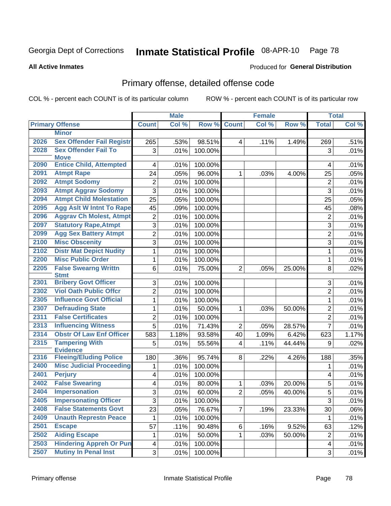#### Inmate Statistical Profile 08-APR-10 Page 78

#### **All Active Inmates**

#### Produced for General Distribution

# Primary offense, detailed offense code

COL % - percent each COUNT is of its particular column

|      |                                                  |                         | <b>Male</b>  |                   |                | <b>Female</b> |        |                | <b>Total</b> |
|------|--------------------------------------------------|-------------------------|--------------|-------------------|----------------|---------------|--------|----------------|--------------|
|      | <b>Primary Offense</b>                           | <b>Count</b>            | Col %        | Row %             | <b>Count</b>   | Col %         | Row %  | <b>Total</b>   | Col %        |
|      | <b>Minor</b>                                     |                         |              |                   |                |               |        |                |              |
| 2026 | <b>Sex Offender Fail Registr</b>                 | 265                     | .53%         | 98.51%            | 4              | .11%          | 1.49%  | 269            | .51%         |
| 2028 | <b>Sex Offender Fail To</b>                      | 3                       | .01%         | 100.00%           |                |               |        | 3              | .01%         |
|      | <b>Move</b>                                      |                         |              |                   |                |               |        |                |              |
| 2090 | <b>Entice Child, Attempted</b>                   | 4                       | .01%         | 100.00%           |                |               |        | 4              | .01%         |
| 2091 | <b>Atmpt Rape</b>                                | 24                      | .05%         | 96.00%            | 1              | .03%          | 4.00%  | 25             | .05%         |
| 2092 | <b>Atmpt Sodomy</b>                              | $\overline{2}$          | .01%         | 100.00%           |                |               |        | $\overline{2}$ | .01%         |
| 2093 | <b>Atmpt Aggrav Sodomy</b>                       | 3                       | .01%         | 100.00%           |                |               |        | 3              | .01%         |
| 2094 | <b>Atmpt Child Molestation</b>                   | 25                      | .05%         | 100.00%           |                |               |        | 25             | .05%         |
| 2095 | <b>Agg Aslt W Intnt To Rape</b>                  | 45                      | .09%         | 100.00%           |                |               |        | 45             | .08%         |
| 2096 | <b>Aggrav Ch Molest, Atmpt</b>                   | $\overline{2}$          | .01%         | 100.00%           |                |               |        | $\overline{2}$ | .01%         |
| 2097 | <b>Statutory Rape, Atmpt</b>                     | 3                       | .01%         | 100.00%           |                |               |        | 3              | .01%         |
| 2099 | <b>Agg Sex Battery Atmpt</b>                     | $\overline{2}$          | .01%         | 100.00%           |                |               |        | $\overline{2}$ | .01%         |
| 2100 | <b>Misc Obscenity</b>                            | $\overline{3}$          | .01%         | 100.00%           |                |               |        | 3              | .01%         |
| 2102 | <b>Distr Mat Depict Nudity</b>                   | $\mathbf{1}$            | .01%         | 100.00%           |                |               |        | 1              | .01%         |
| 2200 | <b>Misc Public Order</b>                         | $\mathbf{1}$            | .01%         | 100.00%           |                |               |        | 1              | .01%         |
| 2205 | <b>False Swearng Writtn</b>                      | 6                       | .01%         | 75.00%            | $\overline{2}$ | .05%          | 25.00% | 8              | .02%         |
|      | <b>Stmt</b>                                      |                         |              |                   |                |               |        |                |              |
| 2301 | <b>Bribery Govt Officer</b>                      | 3                       | .01%         | 100.00%           |                |               |        | 3              | .01%         |
| 2302 | <b>Viol Oath Public Offcr</b>                    | $\overline{2}$          | .01%         | 100.00%           |                |               |        | $\overline{2}$ | .01%         |
| 2305 | <b>Influence Govt Official</b>                   | $\mathbf{1}$            | .01%         | 100.00%           |                |               |        | $\mathbf{1}$   | .01%         |
| 2307 | <b>Defrauding State</b>                          | $\mathbf{1}$            | .01%         | 50.00%            | 1              | .03%          | 50.00% | $\overline{2}$ | .01%         |
| 2311 | <b>False Certificates</b>                        | $\overline{2}$          | .01%         | 100.00%           |                |               |        | $\overline{2}$ | .01%         |
| 2313 | <b>Influencing Witness</b>                       | $\overline{5}$          | .01%         | 71.43%            | $\overline{2}$ | .05%          | 28.57% | $\overline{7}$ | .01%         |
| 2314 | <b>Obstr Of Law Enf Officer</b>                  | 583                     | 1.18%        | 93.58%            | 40             | 1.09%         | 6.42%  | 623            | 1.17%        |
| 2315 | <b>Tampering With</b>                            | 5                       | .01%         | 55.56%            | 4              | .11%          | 44.44% | 9              | .02%         |
| 2316 | <b>Evidence</b><br><b>Fleeing/Eluding Police</b> | 180                     | .36%         | 95.74%            | 8              | .22%          | 4.26%  | 188            | .35%         |
| 2400 | <b>Misc Judicial Proceeding</b>                  | 1                       | .01%         | 100.00%           |                |               |        | 1              | .01%         |
| 2401 | <b>Perjury</b>                                   | $\overline{\mathbf{4}}$ | .01%         | 100.00%           |                |               |        | $\overline{4}$ | .01%         |
| 2402 | <b>False Swearing</b>                            | $\overline{\mathbf{4}}$ | .01%         | 80.00%            | 1              | .03%          | 20.00% | 5              | .01%         |
| 2404 | <b>Impersonation</b>                             | 3                       | .01%         | 60.00%            | $\overline{2}$ | .05%          | 40.00% | $\overline{5}$ | .01%         |
| 2405 | <b>Impersonating Officer</b>                     |                         |              |                   |                |               |        | 3              |              |
| 2408 | <b>False Statements Govt</b>                     | 3<br>23                 | .01%<br>.05% | 100.00%<br>76.67% | $\overline{7}$ |               | 23.33% | 30             | .01%<br>.06% |
| 2409 | <b>Unauth Represtn Peace</b>                     | 1                       | .01%         | 100.00%           |                | .19%          |        | 1              | .01%         |
| 2501 | <b>Escape</b>                                    | 57                      |              |                   |                |               |        |                |              |
| 2502 | <b>Aiding Escape</b>                             |                         | .11%         | 90.48%            | 6              | .16%          | 9.52%  | 63             | .12%         |
| 2503 | <b>Hindering Appreh Or Pun</b>                   | $\mathbf{1}$            | .01%         | 50.00%            | $\mathbf{1}$   | .03%          | 50.00% | $\overline{2}$ | .01%         |
|      |                                                  | $\overline{\mathbf{4}}$ | .01%         | 100.00%           |                |               |        | 4              | .01%         |
| 2507 | <b>Mutiny In Penal Inst</b>                      | 3 <sup>1</sup>          | .01%         | 100.00%           |                |               |        | 3              | .01%         |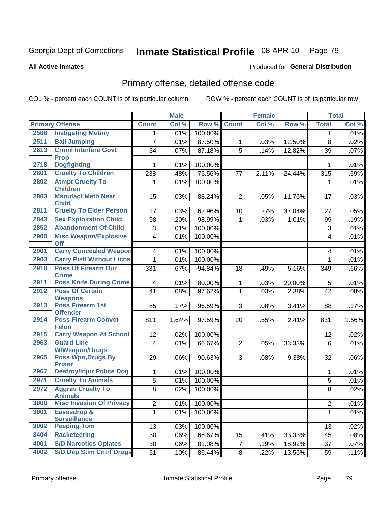#### Inmate Statistical Profile 08-APR-10 Page 79

#### **All Active Inmates**

# Produced for General Distribution

# Primary offense, detailed offense code

COL % - percent each COUNT is of its particular column

|      |                                               |                         | <b>Male</b> |         |                 | <b>Female</b> |        |                | <b>Total</b> |
|------|-----------------------------------------------|-------------------------|-------------|---------|-----------------|---------------|--------|----------------|--------------|
|      | <b>Primary Offense</b>                        | <b>Count</b>            | Col %       | Row %   | <b>Count</b>    | Col %         | Row %  | <b>Total</b>   | Col %        |
| 2508 | <b>Instigating Mutiny</b>                     | 1                       | .01%        | 100.00% |                 |               |        | 1              | .01%         |
| 2511 | <b>Bail Jumping</b>                           | $\overline{7}$          | .01%        | 87.50%  | $\mathbf{1}$    | .03%          | 12.50% | 8              | .02%         |
| 2613 | <b>Crmnl Interfere Govt</b><br><b>Prop</b>    | 34                      | .07%        | 87.18%  | 5               | .14%          | 12.82% | 39             | .07%         |
| 2718 | <b>Dogfighting</b>                            | 1                       | .01%        | 100.00% |                 |               |        | $\mathbf{1}$   | .01%         |
| 2801 | <b>Cruelty To Children</b>                    | 238                     | .48%        | 75.56%  | 77              | 2.11%         | 24.44% | 315            | .59%         |
| 2802 | <b>Atmpt Cruelty To</b><br><b>Children</b>    | 1                       | .01%        | 100.00% |                 |               |        | $\mathbf 1$    | .01%         |
| 2803 | <b>Manufact Meth Near</b><br><b>Child</b>     | 15                      | .03%        | 88.24%  | $\overline{2}$  | .05%          | 11.76% | 17             | .03%         |
| 2811 | <b>Cruelty To Elder Person</b>                | 17                      | .03%        | 62.96%  | 10 <sup>1</sup> | .27%          | 37.04% | 27             | .05%         |
| 2843 | <b>Sex Exploitation Child</b>                 | 98                      | .20%        | 98.99%  | 1               | .03%          | 1.01%  | 99             | .19%         |
| 2852 | <b>Abandonment Of Child</b>                   | 3                       | .01%        | 100.00% |                 |               |        | $\sqrt{3}$     | .01%         |
| 2900 | <b>Misc Weapon/Explosive</b><br><b>Off</b>    | $\overline{4}$          | .01%        | 100.00% |                 |               |        | 4              | .01%         |
| 2901 | <b>Carry Concealed Weapon</b>                 | $\overline{\mathbf{4}}$ | .01%        | 100.00% |                 |               |        | 4              | .01%         |
| 2903 | <b>Carry Pistl Without Licns</b>              | $\mathbf{1}$            | .01%        | 100.00% |                 |               |        | $\mathbf{1}$   | .01%         |
| 2910 | <b>Poss Of Firearm Dur</b><br><b>Crime</b>    | 331                     | .67%        | 94.84%  | 18              | .49%          | 5.16%  | 349            | .66%         |
| 2911 | <b>Poss Knife During Crime</b>                | $\overline{\mathbf{4}}$ | .01%        | 80.00%  | $\mathbf{1}$    | .03%          | 20.00% | 5              | .01%         |
| 2912 | <b>Poss Of Certain</b>                        | 41                      | .08%        | 97.62%  | $\mathbf{1}$    | .03%          | 2.38%  | 42             | .08%         |
|      | <b>Weapons</b>                                |                         |             |         |                 |               |        |                |              |
| 2913 | Poss Firearm 1st<br><b>Offender</b>           | 85                      | .17%        | 96.59%  | 3               | .08%          | 3.41%  | 88             | .17%         |
| 2914 | <b>Poss Firearm Convct</b><br><b>Felon</b>    | 811                     | 1.64%       | 97.59%  | 20              | .55%          | 2.41%  | 831            | 1.56%        |
| 2915 | <b>Carry Weapon At School</b>                 | 12                      | .02%        | 100.00% |                 |               |        | 12             | .02%         |
| 2963 | <b>Guard Line</b>                             | 4                       | .01%        | 66.67%  | $\overline{2}$  | .05%          | 33.33% | 6              | .01%         |
|      | <b>W/Weapon/Drugs</b>                         |                         |             |         |                 |               |        |                |              |
| 2965 | <b>Poss Wpn, Drugs By</b><br><b>Prisnr</b>    | 29                      | .06%        | 90.63%  | 3               | .08%          | 9.38%  | 32             | .06%         |
| 2967 | <b>Destroy/Injur Police Dog</b>               | $\mathbf{1}$            | .01%        | 100.00% |                 |               |        | 1              | .01%         |
| 2971 | <b>Cruelty To Animals</b>                     | 5                       | .01%        | 100.00% |                 |               |        | 5              | .01%         |
| 2972 | <b>Aggrav Cruelty To</b><br><b>Animals</b>    | 8                       | .02%        | 100.00% |                 |               |        | 8              | .02%         |
| 3000 | <b>Misc Invasion Of Privacy</b>               | $\overline{c}$          | .01%        | 100.00% |                 |               |        | $\overline{c}$ | .01%         |
| 3001 | <b>Eavesdrop &amp;</b><br><b>Surveillance</b> | $\mathbf{1}$            | .01%        | 100.00% |                 |               |        | $\mathbf 1$    | .01%         |
| 3002 | <b>Peeping Tom</b>                            | 13                      | .03%        | 100.00% |                 |               |        | 13             | .02%         |
| 3404 | <b>Racketeering</b>                           | 30                      | .06%        | 66.67%  | 15              | .41%          | 33.33% | 45             | .08%         |
| 4001 | <b>S/D Narcotics Opiates</b>                  | 30                      | .06%        | 81.08%  | $\overline{7}$  | .19%          | 18.92% | 37             | .07%         |
| 4002 | <b>S/D Dep Stim Cntrf Drugs</b>               | 51                      | .10%        | 86.44%  | 8               | .22%          | 13.56% | 59             | .11%         |
|      |                                               |                         |             |         |                 |               |        |                |              |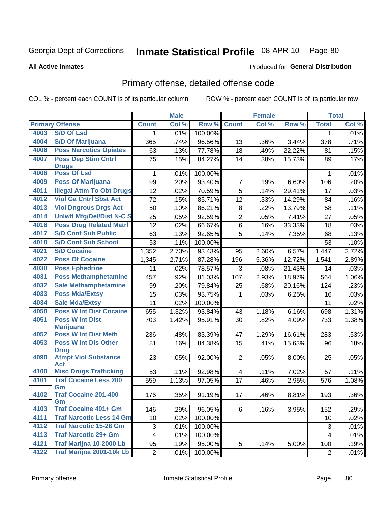**All Active Inmates** 

#### Inmate Statistical Profile 08-APR-10 Page 80

Produced for General Distribution

# Primary offense, detailed offense code

COL % - percent each COUNT is of its particular column

|      |                                            |                         | <b>Male</b>         |         |                | Female             |        |                         | <b>Total</b> |
|------|--------------------------------------------|-------------------------|---------------------|---------|----------------|--------------------|--------|-------------------------|--------------|
|      | <b>Primary Offense</b>                     | <b>Count</b>            | Col %               | Row %   | <b>Count</b>   | Col %              | Row %  | <b>Total</b>            | Col %        |
| 4003 | <b>S/D Of Lsd</b>                          | $\mathbf 1$             | .01%                | 100.00% |                |                    |        | $\mathbf 1$             | .01%         |
| 4004 | <b>S/D Of Marijuana</b>                    | 365                     | .74%                | 96.56%  | 13             | .36%               | 3.44%  | 378                     | .71%         |
| 4006 | <b>Poss Narcotics Opiates</b>              | 63                      | .13%                | 77.78%  | 18             | .49%               | 22.22% | 81                      | .15%         |
| 4007 | <b>Poss Dep Stim Cntrf</b>                 | 75                      | .15%                | 84.27%  | 14             | .38%               | 15.73% | 89                      | .17%         |
|      | <b>Drugs</b>                               |                         |                     |         |                |                    |        |                         |              |
| 4008 | <b>Poss Of Lsd</b>                         | 1                       | .01%                | 100.00% |                |                    |        | 1                       | .01%         |
| 4009 | <b>Poss Of Marijuana</b>                   | 99                      | .20%                | 93.40%  | $\overline{7}$ | .19%               | 6.60%  | 106                     | .20%         |
| 4011 | <b>Illegal Attm To Obt Drugs</b>           | 12                      | .02%                | 70.59%  | $\overline{5}$ | .14%               | 29.41% | 17                      | .03%         |
| 4012 | <b>Viol Ga Cntrl Sbst Act</b>              | 72                      | .15%                | 85.71%  | 12             | .33%               | 14.29% | 84                      | .16%         |
| 4013 | <b>Viol Dngrous Drgs Act</b>               | 50                      | .10%                | 86.21%  | 8              | .22%               | 13.79% | 58                      | .11%         |
| 4014 | <b>Uniwfl Mfg/Del/Dist N-C S</b>           | 25                      | .05%                | 92.59%  | $\overline{2}$ | .05%               | 7.41%  | 27                      | .05%         |
| 4016 | <b>Poss Drug Related Matri</b>             | 12                      | .02%                | 66.67%  | 6              | .16%               | 33.33% | 18                      | .03%         |
| 4017 | <b>S/D Cont Sub Public</b>                 | 63                      | .13%                | 92.65%  | 5              | .14%               | 7.35%  | 68                      | .13%         |
| 4018 | <b>S/D Cont Sub School</b>                 | 53                      | .11%                | 100.00% |                |                    |        | 53                      | .10%         |
| 4021 | <b>S/D Cocaine</b>                         | 1,352                   | 2.73%               | 93.43%  | 95             | 2.60%              | 6.57%  | 1,447                   | 2.72%        |
| 4022 | <b>Poss Of Cocaine</b>                     | 1,345                   | 2.71%               | 87.28%  | 196            | 5.36%              | 12.72% | 1,541                   | 2.89%        |
| 4030 | <b>Poss Ephedrine</b>                      | 11                      | .02%                | 78.57%  | 3              | .08%               | 21.43% | 14                      | .03%         |
| 4031 | <b>Poss Methamphetamine</b>                | 457                     | .92%                | 81.03%  | 107            | 2.93%              | 18.97% | 564                     | 1.06%        |
| 4032 | <b>Sale Methamphetamine</b>                | 99                      | .20%                | 79.84%  | 25             | .68%               | 20.16% | 124                     | .23%         |
| 4033 | <b>Poss Mda/Extsy</b>                      | 15                      | .03%                | 93.75%  | 1              | .03%               | 6.25%  | 16                      | .03%         |
| 4034 | <b>Sale Mda/Extsy</b>                      | 11                      | .02%                | 100.00% |                |                    |        | 11                      | .02%         |
| 4050 | <b>Poss W Int Dist Cocaine</b>             | 655                     | 1.32%               | 93.84%  | 43             | $\overline{1.18%}$ | 6.16%  | 698                     | 1.31%        |
| 4051 | <b>Poss W Int Dist</b>                     | 703                     | 1.42%               | 95.91%  | 30             | .82%               | 4.09%  | 733                     | 1.38%        |
|      | <b>Marijuana</b>                           |                         |                     |         |                |                    |        |                         |              |
| 4052 | <b>Poss W Int Dist Meth</b>                | 236                     | .48%                | 83.39%  | 47             | 1.29%              | 16.61% | 283                     | .53%         |
| 4053 | <b>Poss W Int Dis Other</b>                | 81                      | .16%                | 84.38%  | 15             | .41%               | 15.63% | 96                      | .18%         |
| 4090 | <b>Drug</b><br><b>Atmpt Viol Substance</b> | 23                      | .05%                | 92.00%  | $\overline{2}$ | .05%               | 8.00%  | 25                      | .05%         |
|      | <b>Act</b>                                 |                         |                     |         |                |                    |        |                         |              |
| 4100 | <b>Misc Drugs Trafficking</b>              | 53                      | .11%                | 92.98%  | 4              | .11%               | 7.02%  | 57                      | .11%         |
| 4101 | <b>Traf Cocaine Less 200</b>               | 559                     | $\overline{1.13\%}$ | 97.05%  | 17             | .46%               | 2.95%  | 576                     | 1.08%        |
|      | Gm                                         |                         |                     |         |                |                    |        |                         |              |
| 4102 | <b>Traf Cocaine 201-400</b>                | 176                     | .35%                | 91.19%  | 17             | .46%               | 8.81%  | 193                     | .36%         |
| 4103 | Gm<br><b>Traf Cocaine 401+ Gm</b>          | 146                     | .29%                | 96.05%  | 6              | .16%               | 3.95%  | 152                     | .29%         |
| 4111 | <b>Traf Narcotic Less 14 Gm</b>            | 10                      | .02%                | 100.00% |                |                    |        | 10                      | .02%         |
| 4112 | <b>Traf Narcotic 15-28 Gm</b>              | 3                       | .01%                | 100.00% |                |                    |        | 3                       | .01%         |
| 4113 | <b>Traf Narcotic 29+ Gm</b>                | $\overline{\mathbf{4}}$ | .01%                | 100.00% |                |                    |        | $\overline{\mathbf{4}}$ | .01%         |
| 4121 | <b>Traf Marijna 10-2000 Lb</b>             | 95                      |                     |         | 5              |                    |        |                         |              |
| 4122 | Traf Marijna 2001-10k Lb                   |                         | .19%                | 95.00%  |                | .14%               | 5.00%  | 100                     | .19%         |
|      |                                            | $\overline{2}$          | .01%                | 100.00% |                |                    |        | $\overline{2}$          | .01%         |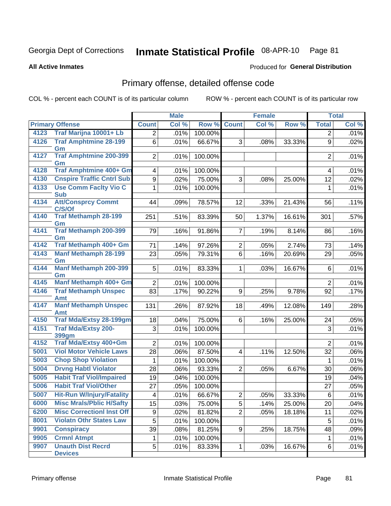#### Inmate Statistical Profile 08-APR-10 Page 81

**All Active Inmates** 

### **Produced for General Distribution**

# Primary offense, detailed offense code

COL % - percent each COUNT is of its particular column

|      |                                            |                         | <b>Male</b> |         | <b>Female</b>    |       | <b>Total</b> |                |       |
|------|--------------------------------------------|-------------------------|-------------|---------|------------------|-------|--------------|----------------|-------|
|      | <b>Primary Offense</b>                     | <b>Count</b>            | Col %       | Row %   | <b>Count</b>     | Col % | Row %        | <b>Total</b>   | Col % |
| 4123 | Traf Marijna 10001+ Lb                     | $\overline{2}$          | .01%        | 100.00% |                  |       |              | $\overline{2}$ | .01%  |
| 4126 | <b>Traf Amphtmine 28-199</b><br>Gm         | 6                       | .01%        | 66.67%  | 3                | .08%  | 33.33%       | 9              | .02%  |
| 4127 | <b>Traf Amphtmine 200-399</b><br>Gm        | 2                       | .01%        | 100.00% |                  |       |              | 2              | .01%  |
| 4128 | Traf Amphtmine 400+ Gm                     | $\overline{\mathbf{4}}$ | .01%        | 100.00% |                  |       |              | 4              | .01%  |
| 4130 | <b>Cnspire Traffic Cntrl Sub</b>           | 9                       | .02%        | 75.00%  | 3                | .08%  | 25.00%       | 12             | .02%  |
| 4133 | <b>Use Comm Facity Vio C</b><br><b>Sub</b> | $\mathbf{1}$            | .01%        | 100.00% |                  |       |              | 1              | .01%  |
| 4134 | <b>Att/Consprcy Commt</b><br>C/S/Of        | 44                      | .09%        | 78.57%  | 12               | .33%  | 21.43%       | 56             | .11%  |
| 4140 | <b>Traf Methamph 28-199</b><br>Gm          | 251                     | .51%        | 83.39%  | 50               | 1.37% | 16.61%       | 301            | .57%  |
| 4141 | Traf Methamph 200-399<br>Gm                | 79                      | .16%        | 91.86%  | $\overline{7}$   | .19%  | 8.14%        | 86             | .16%  |
| 4142 | Traf Methamph 400+ Gm                      | 71                      | .14%        | 97.26%  | $\overline{2}$   | .05%  | 2.74%        | 73             | .14%  |
| 4143 | <b>Manf Methamph 28-199</b><br>Gm          | 23                      | .05%        | 79.31%  | $6\phantom{1}$   | .16%  | 20.69%       | 29             | .05%  |
| 4144 | <b>Manf Methamph 200-399</b><br>Gm         | 5 <sup>1</sup>          | .01%        | 83.33%  | $\mathbf{1}$     | .03%  | 16.67%       | 6              | .01%  |
| 4145 | Manf Methamph 400+ Gm                      | $\overline{2}$          | .01%        | 100.00% |                  |       |              | 2              | .01%  |
| 4146 | <b>Traf Methamph Unspec</b><br><b>Amt</b>  | 83                      | .17%        | 90.22%  | $\boldsymbol{9}$ | .25%  | 9.78%        | 92             | .17%  |
| 4147 | <b>Manf Methamph Unspec</b><br><b>Amt</b>  | 131                     | .26%        | 87.92%  | 18               | .49%  | 12.08%       | 149            | .28%  |
| 4150 | <b>Traf Mda/Extsy 28-199gm</b>             | 18                      | .04%        | 75.00%  | 6                | .16%  | 25.00%       | 24             | .05%  |
| 4151 | <b>Traf Mda/Extsy 200-</b><br><b>399gm</b> | 3                       | .01%        | 100.00% |                  |       |              | 3              | .01%  |
| 4152 | Traf Mda/Extsy 400+Gm                      | $\overline{2}$          | .01%        | 100.00% |                  |       |              | $\overline{2}$ | .01%  |
| 5001 | <b>Viol Motor Vehicle Laws</b>             | 28                      | .06%        | 87.50%  | $\overline{4}$   | .11%  | 12.50%       | 32             | .06%  |
| 5003 | <b>Chop Shop Violation</b>                 | $\mathbf 1$             | .01%        | 100.00% |                  |       |              | $\mathbf{1}$   | .01%  |
| 5004 | <b>Drvng Habtl Violator</b>                | 28                      | .06%        | 93.33%  | $\overline{2}$   | .05%  | 6.67%        | 30             | .06%  |
| 5005 | <b>Habit Traf Viol/Impaired</b>            | 19                      | .04%        | 100.00% |                  |       |              | 19             | .04%  |
| 5006 | <b>Habit Traf Viol/Other</b>               | 27                      | .05%        | 100.00% |                  |       |              | 27             | .05%  |
| 5007 | <b>Hit-Run W/Injury/Fatality</b>           | $\overline{\mathbf{4}}$ | .01%        | 66.67%  | $\overline{2}$   | .05%  | 33.33%       | 6              | .01%  |
| 6000 | <b>Misc Mrals/Pblic H/Safty</b>            | 15                      | .03%        | 75.00%  | 5                | .14%  | 25.00%       | 20             | .04%  |
| 6200 | <b>Misc CorrectionI Inst Off</b>           | 9                       | .02%        | 81.82%  | $\overline{2}$   | .05%  | 18.18%       | 11             | .02%  |
| 8001 | <b>Violatn Othr States Law</b>             | 5                       | .01%        | 100.00% |                  |       |              | 5              | .01%  |
| 9901 | <b>Conspiracy</b>                          | 39                      | .08%        | 81.25%  | 9                | .25%  | 18.75%       | 48             | .09%  |
| 9905 | <b>Crmnl Atmpt</b>                         | 1                       | .01%        | 100.00% |                  |       |              | 1              | .01%  |
| 9907 | <b>Unauth Dist Recrd</b><br><b>Devices</b> | 5                       | .01%        | 83.33%  | 1                | .03%  | 16.67%       | 6              | .01%  |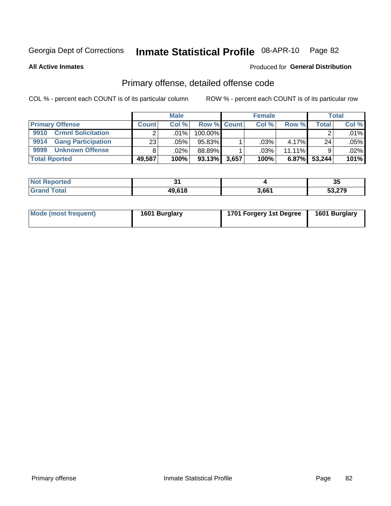#### Inmate Statistical Profile 08-APR-10 Page 82

**All Active Inmates** 

#### Produced for General Distribution

# Primary offense, detailed offense code

COL % - percent each COUNT is of its particular column

|                                   |              | <b>Male</b> |                    |       | <b>Female</b> |           |        | <b>Total</b> |
|-----------------------------------|--------------|-------------|--------------------|-------|---------------|-----------|--------|--------------|
| <b>Primary Offense</b>            | <b>Count</b> | Col%        | <b>Row % Count</b> |       | Col %         | Row %     | Total  | Col %        |
| <b>Crmnl Solicitation</b><br>9910 |              | ا %01.      | 100.00%            |       |               |           |        | .01%         |
| <b>Gang Participation</b><br>9914 | 23           | .05%        | 95.83%             |       | .03%          | 4.17%     | 24     | .05%         |
| 9999<br><b>Unknown Offense</b>    |              | .02%        | 88.89%             |       | $.03\%$       | $11.11\%$ |        | $.02\%$      |
| <b>Total Rported</b>              | 49,587       | 100%        | 93.13%             | 3,657 | 100%          | 6.87%     | 53,244 | 101%         |

| $'$ No <sub>1</sub><br><b>Reported</b> | . .    |       | 21<br>ູບປ                |
|----------------------------------------|--------|-------|--------------------------|
| <b>Total</b>                           | 49,618 | 3.661 | 53.279<br>JJ. <i>lij</i> |

| Mode (most frequent) | 1601 Burglary | 1701 Forgery 1st Degree | 1601 Burglary |
|----------------------|---------------|-------------------------|---------------|
|----------------------|---------------|-------------------------|---------------|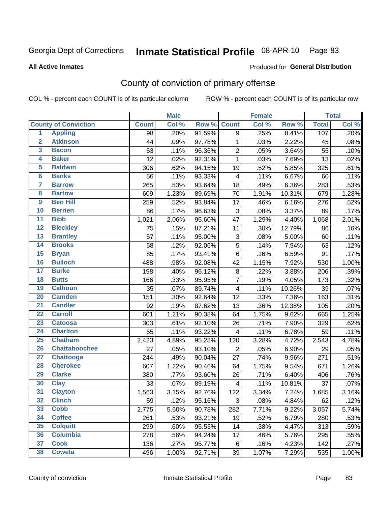# Inmate Statistical Profile 08-APR-10 Page 83

**All Active Inmates** 

#### Produced for General Distribution

# County of conviction of primary offense

COL % - percent each COUNT is of its particular column

|                         |                             |                 | <b>Male</b> |        |                           | <b>Female</b> |        |              | <b>Total</b> |
|-------------------------|-----------------------------|-----------------|-------------|--------|---------------------------|---------------|--------|--------------|--------------|
|                         | <b>County of Conviction</b> | <b>Count</b>    | Col %       | Row %  | <b>Count</b>              | Col %         | Row %  | <b>Total</b> | Col %        |
| $\overline{1}$          | <b>Appling</b>              | 98              | .20%        | 91.59% | 9                         | .25%          | 8.41%  | 107          | .20%         |
| $\overline{2}$          | <b>Atkinson</b>             | 44              | .09%        | 97.78% | 1                         | .03%          | 2.22%  | 45           | .08%         |
| $\overline{\mathbf{3}}$ | <b>Bacon</b>                | 53              | .11%        | 96.36% | $\overline{2}$            | .05%          | 3.64%  | 55           | .10%         |
| 4                       | <b>Baker</b>                | 12              | .02%        | 92.31% | $\mathbf{1}$              | .03%          | 7.69%  | 13           | .02%         |
| 5                       | <b>Baldwin</b>              | 306             | .62%        | 94.15% | 19                        | .52%          | 5.85%  | 325          | .61%         |
| $6\overline{6}$         | <b>Banks</b>                | 56              | .11%        | 93.33% | 4                         | .11%          | 6.67%  | 60           | .11%         |
| 7                       | <b>Barrow</b>               | 265             | .53%        | 93.64% | 18                        | .49%          | 6.36%  | 283          | .53%         |
| 8                       | <b>Bartow</b>               | 609             | 1.23%       | 89.69% | 70                        | 1.91%         | 10.31% | 679          | 1.28%        |
| $\overline{9}$          | <b>Ben Hill</b>             | 259             | .52%        | 93.84% | 17                        | .46%          | 6.16%  | 276          | .52%         |
| 10                      | <b>Berrien</b>              | 86              | .17%        | 96.63% | $\ensuremath{\mathsf{3}}$ | .08%          | 3.37%  | 89           | .17%         |
| $\overline{11}$         | <b>Bibb</b>                 | 1,021           | 2.06%       | 95.60% | 47                        | 1.29%         | 4.40%  | 1,068        | 2.01%        |
| $\overline{12}$         | <b>Bleckley</b>             | 75              | .15%        | 87.21% | 11                        | .30%          | 12.79% | 86           | .16%         |
| 13                      | <b>Brantley</b>             | $\overline{57}$ | .11%        | 95.00% | $\sqrt{3}$                | .08%          | 5.00%  | 60           | .11%         |
| $\overline{14}$         | <b>Brooks</b>               | 58              | .12%        | 92.06% | 5                         | .14%          | 7.94%  | 63           | .12%         |
| $\overline{15}$         | <b>Bryan</b>                | 85              | .17%        | 93.41% | 6                         | .16%          | 6.59%  | 91           | .17%         |
| 16                      | <b>Bulloch</b>              | 488             | .98%        | 92.08% | 42                        | 1.15%         | 7.92%  | 530          | 1.00%        |
| $\overline{17}$         | <b>Burke</b>                | 198             | .40%        | 96.12% | 8                         | .22%          | 3.88%  | 206          | .39%         |
| 18                      | <b>Butts</b>                | 166             | .33%        | 95.95% | $\overline{7}$            | .19%          | 4.05%  | 173          | .32%         |
| 19                      | <b>Calhoun</b>              | 35              | .07%        | 89.74% | 4                         | .11%          | 10.26% | 39           | .07%         |
| 20                      | <b>Camden</b>               | 151             | .30%        | 92.64% | 12                        | .33%          | 7.36%  | 163          | .31%         |
| $\overline{21}$         | <b>Candler</b>              | 92              | .19%        | 87.62% | 13                        | .36%          | 12.38% | 105          | .20%         |
| $\overline{22}$         | <b>Carroll</b>              | 601             | 1.21%       | 90.38% | 64                        | 1.75%         | 9.62%  | 665          | 1.25%        |
| 23                      | <b>Catoosa</b>              | 303             | .61%        | 92.10% | 26                        | .71%          | 7.90%  | 329          | .62%         |
| 24                      | <b>Charlton</b>             | 55              | .11%        | 93.22% | $\overline{\mathbf{4}}$   | .11%          | 6.78%  | 59           | .11%         |
| 25                      | <b>Chatham</b>              | 2,423           | 4.89%       | 95.28% | 120                       | 3.28%         | 4.72%  | 2,543        | 4.78%        |
| 26                      | <b>Chattahoochee</b>        | 27              | .05%        | 93.10% | $\overline{2}$            | .05%          | 6.90%  | 29           | .05%         |
| $\overline{27}$         | <b>Chattooga</b>            | 244             | .49%        | 90.04% | 27                        | .74%          | 9.96%  | 271          | .51%         |
| 28                      | <b>Cherokee</b>             | 607             | 1.22%       | 90.46% | 64                        | 1.75%         | 9.54%  | 671          | 1.26%        |
| 29                      | <b>Clarke</b>               | 380             | .77%        | 93.60% | 26                        | .71%          | 6.40%  | 406          | .76%         |
| 30                      | <b>Clay</b>                 | 33              | .07%        | 89.19% | 4                         | .11%          | 10.81% | 37           | .07%         |
| $\overline{31}$         | <b>Clayton</b>              | 1,563           | 3.15%       | 92.76% | 122                       | 3.34%         | 7.24%  | 1,685        | 3.16%        |
| 32                      | <b>Clinch</b>               | 59              | .12%        | 95.16% | 3                         | .08%          | 4.84%  | 62           | .12%         |
| 33                      | <b>Cobb</b>                 | 2,775           | 5.60%       | 90.78% | 282                       | 7.71%         | 9.22%  | 3,057        | 5.74%        |
| 34                      | <b>Coffee</b>               | 261             | .53%        | 93.21% | 19                        | .52%          | 6.79%  | 280          | .53%         |
| 35                      | <b>Colquitt</b>             | 299             | .60%        | 95.53% | 14                        | .38%          | 4.47%  | 313          | .59%         |
| 36                      | <b>Columbia</b>             | 278             | .56%        | 94.24% | 17                        | .46%          | 5.76%  | 295          | .55%         |
| 37                      | <b>Cook</b>                 | 136             | .27%        | 95.77% | 6                         | .16%          | 4.23%  | 142          | .27%         |
| 38                      | <b>Coweta</b>               | 496             | 1.00%       | 92.71% | 39                        | 1.07%         | 7.29%  | 535          | 1.00%        |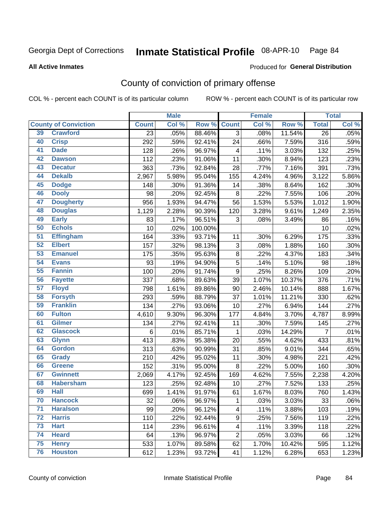# Inmate Statistical Profile 08-APR-10 Page 84

**All Active Inmates** 

#### Produced for General Distribution

# County of conviction of primary offense

COL % - percent each COUNT is of its particular column

|                 |                             |                 | <b>Male</b> |         |                         | <b>Female</b> |        |                 | <b>Total</b> |
|-----------------|-----------------------------|-----------------|-------------|---------|-------------------------|---------------|--------|-----------------|--------------|
|                 | <b>County of Conviction</b> | <b>Count</b>    | Col %       | Row %   | <b>Count</b>            | Col %         | Row %  | <b>Total</b>    | Col %        |
| 39              | <b>Crawford</b>             | $\overline{23}$ | .05%        | 88.46%  | 3                       | .08%          | 11.54% | $\overline{26}$ | .05%         |
| 40              | <b>Crisp</b>                | 292             | .59%        | 92.41%  | 24                      | .66%          | 7.59%  | 316             | .59%         |
| 41              | <b>Dade</b>                 | 128             | .26%        | 96.97%  | $\overline{\mathbf{4}}$ | .11%          | 3.03%  | 132             | .25%         |
| 42              | <b>Dawson</b>               | 112             | .23%        | 91.06%  | 11                      | .30%          | 8.94%  | 123             | .23%         |
| 43              | <b>Decatur</b>              | 363             | .73%        | 92.84%  | 28                      | .77%          | 7.16%  | 391             | .73%         |
| 44              | <b>Dekalb</b>               | 2,967           | 5.98%       | 95.04%  | 155                     | 4.24%         | 4.96%  | 3,122           | 5.86%        |
| 45              | <b>Dodge</b>                | 148             | .30%        | 91.36%  | 14                      | .38%          | 8.64%  | 162             | .30%         |
| 46              | <b>Dooly</b>                | 98              | .20%        | 92.45%  | 8                       | .22%          | 7.55%  | 106             | .20%         |
| 47              | <b>Dougherty</b>            | 956             | 1.93%       | 94.47%  | 56                      | 1.53%         | 5.53%  | 1,012           | 1.90%        |
| 48              | <b>Douglas</b>              | 1,129           | 2.28%       | 90.39%  | 120                     | 3.28%         | 9.61%  | 1,249           | 2.35%        |
| 49              | <b>Early</b>                | 83              | .17%        | 96.51%  | 3                       | .08%          | 3.49%  | 86              | .16%         |
| 50              | <b>Echols</b>               | 10              | .02%        | 100.00% |                         |               |        | 10              | .02%         |
| $\overline{51}$ | <b>Effingham</b>            | 164             | .33%        | 93.71%  | 11                      | .30%          | 6.29%  | 175             | .33%         |
| 52              | <b>Elbert</b>               | 157             | .32%        | 98.13%  | 3                       | .08%          | 1.88%  | 160             | .30%         |
| 53              | <b>Emanuel</b>              | 175             | .35%        | 95.63%  | $\bf 8$                 | .22%          | 4.37%  | 183             | .34%         |
| 54              | <b>Evans</b>                | 93              | .19%        | 94.90%  | 5                       | .14%          | 5.10%  | 98              | .18%         |
| 55              | <b>Fannin</b>               | 100             | .20%        | 91.74%  | $\boldsymbol{9}$        | .25%          | 8.26%  | 109             | .20%         |
| 56              | <b>Fayette</b>              | 337             | .68%        | 89.63%  | 39                      | 1.07%         | 10.37% | 376             | .71%         |
| $\overline{57}$ | <b>Floyd</b>                | 798             | 1.61%       | 89.86%  | 90                      | 2.46%         | 10.14% | 888             | 1.67%        |
| 58              | <b>Forsyth</b>              | 293             | .59%        | 88.79%  | 37                      | 1.01%         | 11.21% | 330             | .62%         |
| 59              | <b>Franklin</b>             | 134             | .27%        | 93.06%  | 10                      | .27%          | 6.94%  | 144             | .27%         |
| 60              | <b>Fulton</b>               | 4,610           | 9.30%       | 96.30%  | 177                     | 4.84%         | 3.70%  | 4,787           | 8.99%        |
| 61              | Gilmer                      | 134             | .27%        | 92.41%  | 11                      | .30%          | 7.59%  | 145             | .27%         |
| 62              | <b>Glascock</b>             | 6               | .01%        | 85.71%  | 1                       | .03%          | 14.29% | $\overline{7}$  | .01%         |
| 63              | <b>Glynn</b>                | 413             | .83%        | 95.38%  | 20                      | .55%          | 4.62%  | 433             | .81%         |
| 64              | <b>Gordon</b>               | 313             | .63%        | 90.99%  | 31                      | .85%          | 9.01%  | 344             | .65%         |
| 65              | <b>Grady</b>                | 210             | .42%        | 95.02%  | 11                      | .30%          | 4.98%  | 221             | .42%         |
| 66              | <b>Greene</b>               | 152             | .31%        | 95.00%  | $\,8\,$                 | .22%          | 5.00%  | 160             | .30%         |
| 67              | <b>Gwinnett</b>             | 2,069           | 4.17%       | 92.45%  | 169                     | 4.62%         | 7.55%  | 2,238           | 4.20%        |
| 68              | <b>Habersham</b>            | 123             | .25%        | 92.48%  | 10                      | .27%          | 7.52%  | 133             | .25%         |
| 69              | <b>Hall</b>                 | 699             | 1.41%       | 91.97%  | 61                      | 1.67%         | 8.03%  | 760             | 1.43%        |
| 70              | <b>Hancock</b>              | 32              | .06%        | 96.97%  | $\mathbf{1}$            | .03%          | 3.03%  | 33              | .06%         |
| $\overline{71}$ | <b>Haralson</b>             | 99              | .20%        | 96.12%  | 4                       | .11%          | 3.88%  | 103             | .19%         |
| 72              | <b>Harris</b>               | 110             | .22%        | 92.44%  | 9                       | .25%          | 7.56%  | 119             | .22%         |
| 73              | <b>Hart</b>                 | 114             | .23%        | 96.61%  | 4                       | .11%          | 3.39%  | 118             | .22%         |
| 74              | <b>Heard</b>                | 64              | .13%        | 96.97%  | $\overline{2}$          | .05%          | 3.03%  | 66              | .12%         |
| 75              | <b>Henry</b>                | 533             | 1.07%       | 89.58%  | 62                      | 1.70%         | 10.42% | 595             | 1.12%        |
| 76              | <b>Houston</b>              | 612             | 1.23%       | 93.72%  | 41                      | 1.12%         | 6.28%  | 653             | 1.23%        |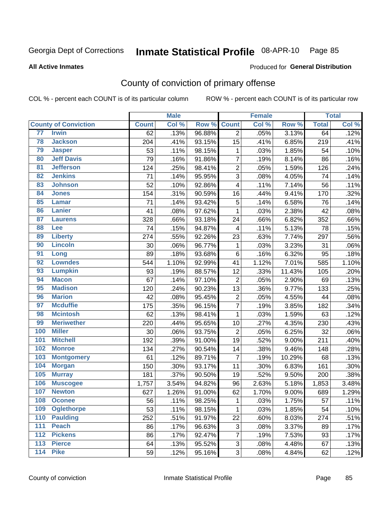# Inmate Statistical Profile 08-APR-10 Page 85

#### **All Active Inmates**

### Produced for General Distribution

# County of conviction of primary offense

COL % - percent each COUNT is of its particular column

|                                     |              | <b>Male</b> |        |                | <b>Female</b> |        |              | <b>Total</b> |
|-------------------------------------|--------------|-------------|--------|----------------|---------------|--------|--------------|--------------|
| <b>County of Conviction</b>         | <b>Count</b> | Col %       | Row %  | <b>Count</b>   | Col %         | Row %  | <b>Total</b> | Col %        |
| 77<br><b>Irwin</b>                  | 62           | .13%        | 96.88% | $\overline{2}$ | .05%          | 3.13%  | 64           | .12%         |
| 78<br><b>Jackson</b>                | 204          | .41%        | 93.15% | 15             | .41%          | 6.85%  | 219          | .41%         |
| 79<br><b>Jasper</b>                 | 53           | .11%        | 98.15% | 1              | .03%          | 1.85%  | 54           | .10%         |
| <b>Jeff Davis</b><br>80             | 79           | .16%        | 91.86% | 7              | .19%          | 8.14%  | 86           | .16%         |
| $\overline{81}$<br><b>Jefferson</b> | 124          | .25%        | 98.41% | $\overline{2}$ | .05%          | 1.59%  | 126          | .24%         |
| <b>Jenkins</b><br>82                | 71           | .14%        | 95.95% | $\overline{3}$ | .08%          | 4.05%  | 74           | .14%         |
| 83<br><b>Johnson</b>                | 52           | .10%        | 92.86% | 4              | .11%          | 7.14%  | 56           | .11%         |
| 84<br><b>Jones</b>                  | 154          | .31%        | 90.59% | 16             | .44%          | 9.41%  | 170          | .32%         |
| 85<br><b>Lamar</b>                  | 71           | .14%        | 93.42% | 5              | .14%          | 6.58%  | 76           | .14%         |
| 86<br><b>Lanier</b>                 | 41           | .08%        | 97.62% | 1              | .03%          | 2.38%  | 42           | .08%         |
| 87<br><b>Laurens</b>                | 328          | .66%        | 93.18% | 24             | .66%          | 6.82%  | 352          | .66%         |
| 88<br>Lee                           | 74           | .15%        | 94.87% | 4              | .11%          | 5.13%  | 78           | .15%         |
| 89<br><b>Liberty</b>                | 274          | .55%        | 92.26% | 23             | .63%          | 7.74%  | 297          | .56%         |
| <b>Lincoln</b><br>90                | 30           | .06%        | 96.77% | 1              | .03%          | 3.23%  | 31           | .06%         |
| 91<br>Long                          | 89           | .18%        | 93.68% | 6              | .16%          | 6.32%  | 95           | .18%         |
| <b>Lowndes</b><br>92                | 544          | 1.10%       | 92.99% | 41             | 1.12%         | 7.01%  | 585          | 1.10%        |
| 93<br><b>Lumpkin</b>                | 93           | .19%        | 88.57% | 12             | .33%          | 11.43% | 105          | .20%         |
| 94<br><b>Macon</b>                  | 67           | .14%        | 97.10% | $\overline{2}$ | .05%          | 2.90%  | 69           | .13%         |
| <b>Madison</b><br>95                | 120          | .24%        | 90.23% | 13             | .36%          | 9.77%  | 133          | .25%         |
| <b>Marion</b><br>96                 | 42           | .08%        | 95.45% | $\overline{2}$ | .05%          | 4.55%  | 44           | .08%         |
| 97<br><b>Mcduffie</b>               | 175          | .35%        | 96.15% | $\overline{7}$ | .19%          | 3.85%  | 182          | .34%         |
| 98<br><b>Mcintosh</b>               | 62           | .13%        | 98.41% | $\mathbf{1}$   | .03%          | 1.59%  | 63           | .12%         |
| 99<br><b>Meriwether</b>             | 220          | .44%        | 95.65% | 10             | .27%          | 4.35%  | 230          | .43%         |
| 100<br><b>Miller</b>                | 30           | .06%        | 93.75% | $\overline{2}$ | .05%          | 6.25%  | 32           | .06%         |
| 101<br><b>Mitchell</b>              | 192          | .39%        | 91.00% | 19             | .52%          | 9.00%  | 211          | .40%         |
| 102<br><b>Monroe</b>                | 134          | .27%        | 90.54% | 14             | .38%          | 9.46%  | 148          | .28%         |
| 103<br><b>Montgomery</b>            | 61           | .12%        | 89.71% | $\overline{7}$ | .19%          | 10.29% | 68           | .13%         |
| 104<br><b>Morgan</b>                | 150          | .30%        | 93.17% | 11             | .30%          | 6.83%  | 161          | .30%         |
| 105<br><b>Murray</b>                | 181          | .37%        | 90.50% | 19             | .52%          | 9.50%  | 200          | .38%         |
| 106<br><b>Muscogee</b>              | 1,757        | 3.54%       | 94.82% | 96             | 2.63%         | 5.18%  | 1,853        | 3.48%        |
| 107<br><b>Newton</b>                | 627          | 1.26%       | 91.00% | 62             | 1.70%         | 9.00%  | 689          | 1.29%        |
| 108<br><b>Oconee</b>                | 56           | .11%        | 98.25% | 1              | .03%          | 1.75%  | 57           | .11%         |
| 109<br><b>Oglethorpe</b>            | 53           | .11%        | 98.15% | $\mathbf{1}$   | .03%          | 1.85%  | 54           | .10%         |
| <b>Paulding</b><br>110              | 252          | .51%        | 91.97% | 22             | .60%          | 8.03%  | 274          | .51%         |
| 111<br><b>Peach</b>                 | 86           | .17%        | 96.63% | 3              | .08%          | 3.37%  | 89           | .17%         |
| <b>Pickens</b><br>112               | 86           | .17%        | 92.47% | 7              | .19%          | 7.53%  | 93           | .17%         |
| 113<br><b>Pierce</b>                | 64           | .13%        | 95.52% | 3              | .08%          | 4.48%  | 67           | .13%         |
| <b>Pike</b><br>$\frac{114}{114}$    | 59           | .12%        | 95.16% | 3              | .08%          | 4.84%  | 62           | .12%         |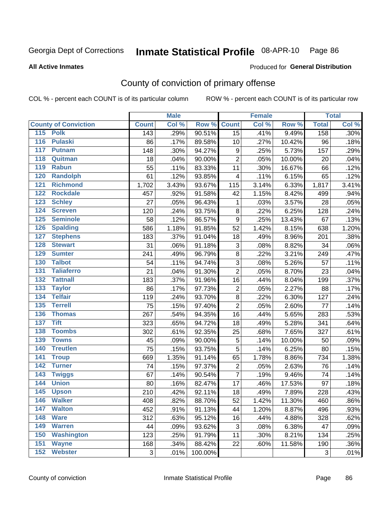# Inmate Statistical Profile 08-APR-10 Page 86

#### **All Active Inmates**

### Produced for General Distribution

# County of conviction of primary offense

COL % - percent each COUNT is of its particular column

|                                    |              | <b>Male</b> |         |                         | <b>Female</b> |        |              | <b>Total</b> |
|------------------------------------|--------------|-------------|---------|-------------------------|---------------|--------|--------------|--------------|
| <b>County of Conviction</b>        | <b>Count</b> | Col %       | Row %   | <b>Count</b>            | Col %         | Row %  | <b>Total</b> | Col %        |
| 115 Polk                           | 143          | .29%        | 90.51%  | 15                      | .41%          | 9.49%  | 158          | .30%         |
| <b>Pulaski</b><br>116              | 86           | .17%        | 89.58%  | 10                      | .27%          | 10.42% | 96           | .18%         |
| 117<br><b>Putnam</b>               | 148          | .30%        | 94.27%  | $\boldsymbol{9}$        | .25%          | 5.73%  | 157          | .29%         |
| 118<br>Quitman                     | 18           | .04%        | 90.00%  | $\overline{2}$          | .05%          | 10.00% | 20           | .04%         |
| 119<br><b>Rabun</b>                | 55           | .11%        | 83.33%  | 11                      | .30%          | 16.67% | 66           | .12%         |
| 120<br><b>Randolph</b>             | 61           | .12%        | 93.85%  | $\overline{\mathbf{4}}$ | .11%          | 6.15%  | 65           | .12%         |
| 121<br><b>Richmond</b>             | 1,702        | 3.43%       | 93.67%  | 115                     | 3.14%         | 6.33%  | 1,817        | 3.41%        |
| 122<br><b>Rockdale</b>             | 457          | .92%        | 91.58%  | 42                      | 1.15%         | 8.42%  | 499          | .94%         |
| 123<br><b>Schley</b>               | 27           | .05%        | 96.43%  | $\mathbf 1$             | .03%          | 3.57%  | 28           | .05%         |
| $\overline{124}$<br><b>Screven</b> | 120          | .24%        | 93.75%  | $\bf 8$                 | .22%          | 6.25%  | 128          | .24%         |
| 125<br><b>Seminole</b>             | 58           | .12%        | 86.57%  | $\mathsf g$             | .25%          | 13.43% | 67           | .13%         |
| <b>Spalding</b><br>126             | 586          | 1.18%       | 91.85%  | 52                      | 1.42%         | 8.15%  | 638          | 1.20%        |
| 127<br><b>Stephens</b>             | 183          | .37%        | 91.04%  | 18                      | .49%          | 8.96%  | 201          | .38%         |
| 128<br><b>Stewart</b>              | 31           | .06%        | 91.18%  | 3                       | .08%          | 8.82%  | 34           | .06%         |
| 129<br><b>Sumter</b>               | 241          | .49%        | 96.79%  | $\bf 8$                 | .22%          | 3.21%  | 249          | .47%         |
| 130<br><b>Talbot</b>               | 54           | .11%        | 94.74%  | 3                       | .08%          | 5.26%  | 57           | .11%         |
| 131<br><b>Taliaferro</b>           | 21           | .04%        | 91.30%  | $\overline{2}$          | .05%          | 8.70%  | 23           | .04%         |
| 132<br><b>Tattnall</b>             | 183          | .37%        | 91.96%  | 16                      | .44%          | 8.04%  | 199          | .37%         |
| 133<br><b>Taylor</b>               | 86           | .17%        | 97.73%  | $\overline{c}$          | .05%          | 2.27%  | 88           | .17%         |
| <b>Telfair</b><br>134              | 119          | .24%        | 93.70%  | $\bf 8$                 | .22%          | 6.30%  | 127          | .24%         |
| 135<br><b>Terrell</b>              | 75           | .15%        | 97.40%  | $\overline{2}$          | .05%          | 2.60%  | 77           | .14%         |
| 136<br><b>Thomas</b>               | 267          | .54%        | 94.35%  | 16                      | .44%          | 5.65%  | 283          | .53%         |
| 137<br><b>Tift</b>                 | 323          | .65%        | 94.72%  | 18                      | .49%          | 5.28%  | 341          | .64%         |
| <b>Toombs</b><br>138               | 302          | .61%        | 92.35%  | 25                      | .68%          | 7.65%  | 327          | .61%         |
| 139<br><b>Towns</b>                | 45           | .09%        | 90.00%  | $\sqrt{5}$              | .14%          | 10.00% | 50           | .09%         |
| 140<br><b>Treutlen</b>             | 75           | .15%        | 93.75%  | 5                       | .14%          | 6.25%  | 80           | .15%         |
| 141<br><b>Troup</b>                | 669          | 1.35%       | 91.14%  | 65                      | 1.78%         | 8.86%  | 734          | 1.38%        |
| 142<br><b>Turner</b>               | 74           | .15%        | 97.37%  | 2                       | .05%          | 2.63%  | 76           | .14%         |
| 143<br><b>Twiggs</b>               | 67           | .14%        | 90.54%  | $\overline{7}$          | .19%          | 9.46%  | 74           | .14%         |
| 144<br><b>Union</b>                | 80           | .16%        | 82.47%  | 17                      | .46%          | 17.53% | 97           | .18%         |
| 145<br><b>Upson</b>                | 210          | .42%        | 92.11%  | 18                      | .49%          | 7.89%  | 228          | .43%         |
| <b>Walker</b><br>146               | 408          | .82%        | 88.70%  | 52                      | 1.42%         | 11.30% | 460          | $.86\%$      |
| <b>Walton</b><br>147               | 452          | .91%        | 91.13%  | 44                      | 1.20%         | 8.87%  | 496          | .93%         |
| 148<br><b>Ware</b>                 | 312          | .63%        | 95.12%  | 16                      | .44%          | 4.88%  | 328          | .62%         |
| 149<br><b>Warren</b>               | 44           | .09%        | 93.62%  | 3                       | .08%          | 6.38%  | 47           | .09%         |
| 150<br><b>Washington</b>           | 123          | .25%        | 91.79%  | 11                      | .30%          | 8.21%  | 134          | .25%         |
| 151<br><b>Wayne</b>                | 168          | .34%        | 88.42%  | 22                      | .60%          | 11.58% | 190          | .36%         |
| <b>Webster</b><br>152              | 3            | .01%        | 100.00% |                         |               |        | 3            | .01%         |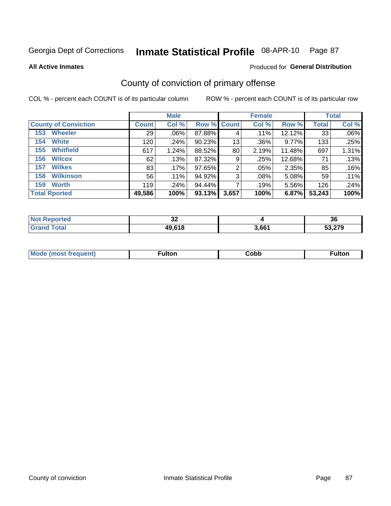# Inmate Statistical Profile 08-APR-10 Page 87

#### **All Active Inmates**

### Produced for General Distribution

# County of conviction of primary offense

COL % - percent each COUNT is of its particular column

|                             |              | <b>Male</b> |                    |       | <b>Female</b> |        |              | <b>Total</b> |
|-----------------------------|--------------|-------------|--------------------|-------|---------------|--------|--------------|--------------|
| <b>County of Conviction</b> | <b>Count</b> | Col %       | <b>Row % Count</b> |       | Col %         | Row %  | <b>Total</b> | Col %        |
| <b>Wheeler</b><br>153       | 29           | $.06\%$     | 87.88%             | 4     | $.11\%$       | 12.12% | 33           | .06%         |
| <b>White</b><br>154         | 120          | .24%        | 90.23%             | 13    | .36%          | 9.77%  | 133          | .25%         |
| <b>Whitfield</b><br>155     | 617          | 1.24%       | 88.52%             | 80    | 2.19%         | 11.48% | 697          | 1.31%        |
| <b>Wilcox</b><br>156        | 62           | .13%        | 87.32%             | 9     | .25%          | 12.68% | 71           | .13%         |
| <b>Wilkes</b><br>157        | 83           | .17%        | 97.65%             | 2     | .05%          | 2.35%  | 85           | .16%         |
| <b>Wilkinson</b><br>158     | 56           | .11%        | 94.92%             | 3     | .08%          | 5.08%  | 59           | .11%         |
| <b>Worth</b><br>159         | 119          | .24%        | 94.44%             |       | .19%          | 5.56%  | 126          | .24%         |
| <b>Total Rported</b>        | 49,586       | 100%        | 93.13%             | 3,657 | 100%          | 6.87%  | 53,243       | 100%         |

| eported?<br>Nt | $\sim$<br>32 |       | 36     |
|----------------|--------------|-------|--------|
| <b>Fotal</b>   | 49,618       | 3,661 | 53,279 |

| <b>Mode</b><br>---<br>luent)<br>nost tren | ™ulton | ;obb | Fulto |
|-------------------------------------------|--------|------|-------|
|                                           |        |      |       |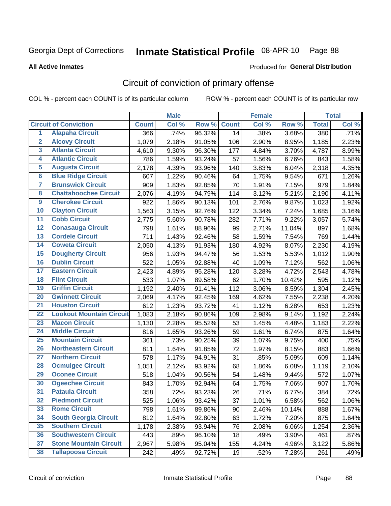# Inmate Statistical Profile 08-APR-10 Page 88

**All Active Inmates** 

### **Produced for General Distribution**

# Circuit of conviction of primary offense

COL % - percent each COUNT is of its particular column

|                 |                                 |              | <b>Male</b> |        |              | <b>Female</b> |        |              | <b>Total</b> |
|-----------------|---------------------------------|--------------|-------------|--------|--------------|---------------|--------|--------------|--------------|
|                 | <b>Circuit of Conviction</b>    | <b>Count</b> | Col %       | Row %  | <b>Count</b> | Col %         | Row %  | <b>Total</b> | Col %        |
| $\overline{1}$  | <b>Alapaha Circuit</b>          | 366          | .74%        | 96.32% | 14           | .38%          | 3.68%  | 380          | .71%         |
| $\overline{2}$  | <b>Alcovy Circuit</b>           | 1,079        | 2.18%       | 91.05% | 106          | 2.90%         | 8.95%  | 1,185        | 2.23%        |
| 3               | <b>Atlanta Circuit</b>          | 4,610        | 9.30%       | 96.30% | 177          | 4.84%         | 3.70%  | 4,787        | 8.99%        |
| 4               | <b>Atlantic Circuit</b>         | 786          | 1.59%       | 93.24% | 57           | 1.56%         | 6.76%  | 843          | 1.58%        |
| 5               | <b>Augusta Circuit</b>          | 2,178        | 4.39%       | 93.96% | 140          | 3.83%         | 6.04%  | 2,318        | 4.35%        |
| $6\phantom{a}$  | <b>Blue Ridge Circuit</b>       | 607          | 1.22%       | 90.46% | 64           | 1.75%         | 9.54%  | 671          | 1.26%        |
| 7               | <b>Brunswick Circuit</b>        | 909          | 1.83%       | 92.85% | 70           | 1.91%         | 7.15%  | 979          | 1.84%        |
| 8               | <b>Chattahoochee Circuit</b>    | 2,076        | 4.19%       | 94.79% | 114          | 3.12%         | 5.21%  | 2,190        | 4.11%        |
| $\overline{9}$  | <b>Cherokee Circuit</b>         | 922          | 1.86%       | 90.13% | 101          | 2.76%         | 9.87%  | 1,023        | 1.92%        |
| 10              | <b>Clayton Circuit</b>          | 1,563        | 3.15%       | 92.76% | 122          | 3.34%         | 7.24%  | 1,685        | 3.16%        |
| 11              | <b>Cobb Circuit</b>             | 2,775        | 5.60%       | 90.78% | 282          | 7.71%         | 9.22%  | 3,057        | 5.74%        |
| $\overline{12}$ | <b>Conasauga Circuit</b>        | 798          | 1.61%       | 88.96% | 99           | 2.71%         | 11.04% | 897          | 1.68%        |
| $\overline{13}$ | <b>Cordele Circuit</b>          | 711          | 1.43%       | 92.46% | 58           | 1.59%         | 7.54%  | 769          | 1.44%        |
| $\overline{14}$ | <b>Coweta Circuit</b>           | 2,050        | 4.13%       | 91.93% | 180          | 4.92%         | 8.07%  | 2,230        | 4.19%        |
| 15              | <b>Dougherty Circuit</b>        | 956          | 1.93%       | 94.47% | 56           | 1.53%         | 5.53%  | 1,012        | 1.90%        |
| 16              | <b>Dublin Circuit</b>           | 522          | 1.05%       | 92.88% | 40           | 1.09%         | 7.12%  | 562          | 1.06%        |
| $\overline{17}$ | <b>Eastern Circuit</b>          | 2,423        | 4.89%       | 95.28% | 120          | 3.28%         | 4.72%  | 2,543        | 4.78%        |
| 18              | <b>Flint Circuit</b>            | 533          | 1.07%       | 89.58% | 62           | 1.70%         | 10.42% | 595          | 1.12%        |
| 19              | <b>Griffin Circuit</b>          | 1,192        | 2.40%       | 91.41% | 112          | 3.06%         | 8.59%  | 1,304        | 2.45%        |
| 20              | <b>Gwinnett Circuit</b>         | 2,069        | 4.17%       | 92.45% | 169          | 4.62%         | 7.55%  | 2,238        | 4.20%        |
| $\overline{21}$ | <b>Houston Circuit</b>          | 612          | 1.23%       | 93.72% | 41           | 1.12%         | 6.28%  | 653          | 1.23%        |
| $\overline{22}$ | <b>Lookout Mountain Circuit</b> | 1,083        | 2.18%       | 90.86% | 109          | 2.98%         | 9.14%  | 1,192        | 2.24%        |
| 23              | <b>Macon Circuit</b>            | 1,130        | 2.28%       | 95.52% | 53           | 1.45%         | 4.48%  | 1,183        | 2.22%        |
| $\overline{24}$ | <b>Middle Circuit</b>           | 816          | 1.65%       | 93.26% | 59           | 1.61%         | 6.74%  | 875          | 1.64%        |
| 25              | <b>Mountain Circuit</b>         | 361          | .73%        | 90.25% | 39           | 1.07%         | 9.75%  | 400          | .75%         |
| 26              | <b>Northeastern Circuit</b>     | 811          | 1.64%       | 91.85% | 72           | 1.97%         | 8.15%  | 883          | 1.66%        |
| 27              | <b>Northern Circuit</b>         | 578          | 1.17%       | 94.91% | 31           | .85%          | 5.09%  | 609          | 1.14%        |
| 28              | <b>Ocmulgee Circuit</b>         | 1,051        | 2.12%       | 93.92% | 68           | 1.86%         | 6.08%  | 1,119        | 2.10%        |
| 29              | <b>Oconee Circuit</b>           | 518          | 1.04%       | 90.56% | 54           | 1.48%         | 9.44%  | 572          | 1.07%        |
| 30              | <b>Ogeechee Circuit</b>         | 843          | 1.70%       | 92.94% | 64           | 1.75%         | 7.06%  | 907          | 1.70%        |
| $\overline{31}$ | <b>Pataula Circuit</b>          | 358          | .72%        | 93.23% | 26           | .71%          | 6.77%  | 384          | .72%         |
| 32              | <b>Piedmont Circuit</b>         | 525          | 1.06%       | 93.42% | 37           | 1.01%         | 6.58%  | 562          | 1.06%        |
| 33              | <b>Rome Circuit</b>             | 798          | 1.61%       | 89.86% | 90           | 2.46%         | 10.14% | 888          | 1.67%        |
| 34              | <b>South Georgia Circuit</b>    | 812          | 1.64%       | 92.80% | 63           | 1.72%         | 7.20%  | 875          | 1.64%        |
| 35              | <b>Southern Circuit</b>         | 1,178        | 2.38%       | 93.94% | 76           | 2.08%         | 6.06%  | 1,254        | 2.36%        |
| 36              | <b>Southwestern Circuit</b>     | 443          | .89%        | 96.10% | 18           | .49%          | 3.90%  | 461          | .87%         |
| 37              | <b>Stone Mountain Circuit</b>   | 2,967        | 5.98%       | 95.04% | 155          | 4.24%         | 4.96%  | 3,122        | 5.86%        |
| 38              | <b>Tallapoosa Circuit</b>       | 242          | .49%        | 92.72% | 19           | .52%          | 7.28%  | 261          | .49%         |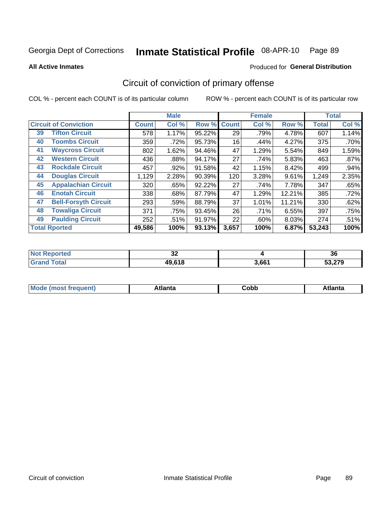#### Inmate Statistical Profile 08-APR-10 Page 89

**All Active Inmates** 

### Produced for General Distribution

# Circuit of conviction of primary offense

COL % - percent each COUNT is of its particular column

|                                   |              | <b>Male</b> |        |              | <b>Female</b> |        |              | <b>Total</b> |
|-----------------------------------|--------------|-------------|--------|--------------|---------------|--------|--------------|--------------|
| <b>Circuit of Conviction</b>      | <b>Count</b> | Col %       | Row %  | <b>Count</b> | Col %         | Row %  | <b>Total</b> | Col %        |
| <b>Tifton Circuit</b><br>39       | 578          | 1.17%       | 95.22% | 29           | .79%          | 4.78%  | 607          | 1.14%        |
| <b>Toombs Circuit</b><br>40       | 359          | .72%        | 95.73% | 16           | .44%          | 4.27%  | 375          | .70%         |
| <b>Waycross Circuit</b><br>41     | 802          | 1.62%       | 94.46% | 47           | 1.29%         | 5.54%  | 849          | 1.59%        |
| <b>Western Circuit</b><br>42      | 436          | .88%        | 94.17% | 27           | .74%          | 5.83%  | 463          | $.87\%$      |
| <b>Rockdale Circuit</b><br>43     | 457          | .92%        | 91.58% | 42           | 1.15%         | 8.42%  | 499          | .94%         |
| <b>Douglas Circuit</b><br>44      | 1,129        | 2.28%       | 90.39% | 120          | 3.28%         | 9.61%  | 1,249        | 2.35%        |
| <b>Appalachian Circuit</b><br>45  | 320          | .65%        | 92.22% | 27           | .74%          | 7.78%  | 347          | .65%         |
| <b>Enotah Circuit</b><br>46       | 338          | .68%        | 87.79% | 47           | 1.29%         | 12.21% | 385          | .72%         |
| 47<br><b>Bell-Forsyth Circuit</b> | 293          | .59%        | 88.79% | 37           | 1.01%         | 11.21% | 330          | .62%         |
| <b>Towaliga Circuit</b><br>48     | 371          | .75%        | 93.45% | 26           | .71%          | 6.55%  | 397          | .75%         |
| <b>Paulding Circuit</b><br>49     | 252          | .51%        | 91.97% | 22           | .60%          | 8.03%  | 274          | .51%         |
| <b>Total Rported</b>              | 49,586       | 100%        | 93.13% | 3,657        | 100%          | 6.87%  | 53,243       | 100%         |

| rted       | $\sim$                    |       | 00              |
|------------|---------------------------|-------|-----------------|
| <b>Not</b> | ◡▵                        |       | ಀ               |
| $\sim$     | <b>10 612</b><br>19.V I O | 3,661 | ^~^<br>วง.z เ ฯ |

| M<br>- - -<br>.<br>.<br>⊂opp<br>нс |
|------------------------------------|
|------------------------------------|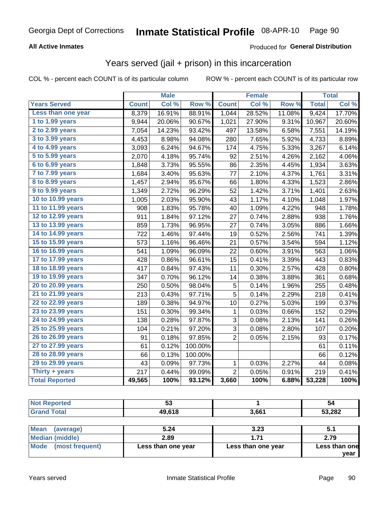### **All Active Inmates**

### Produced for General Distribution

### Years served (jail + prison) in this incarceration

COL % - percent each COUNT is of its particular column

|                              |              | <b>Male</b> |         |                | <b>Female</b> |                  |              | <b>Total</b> |
|------------------------------|--------------|-------------|---------|----------------|---------------|------------------|--------------|--------------|
| <b>Years Served</b>          | <b>Count</b> | Col %       | Row %   | <b>Count</b>   | Col %         | Row <sup>%</sup> | <b>Total</b> | Col %        |
| Less than one year           | 8,379        | 16.91%      | 88.91%  | 1,044          | 28.52%        | 11.08%           | 9,424        | 17.70%       |
| 1 to 1.99 years              | 9,944        | 20.06%      | 90.67%  | 1,021          | 27.90%        | 9.31%            | 10,967       | 20.60%       |
| 2 to 2.99 years              | 7,054        | 14.23%      | 93.42%  | 497            | 13.58%        | 6.58%            | 7,551        | 14.19%       |
| $3$ to $3.99$ years          | 4,453        | 8.98%       | 94.08%  | 280            | 7.65%         | 5.92%            | 4,733        | 8.89%        |
| $\overline{4}$ to 4.99 years | 3,093        | 6.24%       | 94.67%  | 174            | 4.75%         | 5.33%            | 3,267        | 6.14%        |
| $\overline{5}$ to 5.99 years | 2,070        | 4.18%       | 95.74%  | 92             | 2.51%         | 4.26%            | 2,162        | 4.06%        |
| $6$ to $6.99$ years          | 1,848        | 3.73%       | 95.55%  | 86             | 2.35%         | 4.45%            | 1,934        | 3.63%        |
| 7 to 7.99 years              | 1,684        | 3.40%       | 95.63%  | 77             | 2.10%         | 4.37%            | 1,761        | 3.31%        |
| 8 to 8.99 years              | 1,457        | 2.94%       | 95.67%  | 66             | 1.80%         | 4.33%            | 1,523        | 2.86%        |
| 9 to 9.99 years              | 1,349        | 2.72%       | 96.29%  | 52             | 1.42%         | 3.71%            | 1,401        | 2.63%        |
| 10 to 10.99 years            | 1,005        | 2.03%       | 95.90%  | 43             | 1.17%         | 4.10%            | 1,048        | 1.97%        |
| 11 to 11.99 years            | 908          | 1.83%       | 95.78%  | 40             | 1.09%         | 4.22%            | 948          | 1.78%        |
| 12 to 12.99 years            | 911          | 1.84%       | 97.12%  | 27             | 0.74%         | 2.88%            | 938          | 1.76%        |
| 13 to 13.99 years            | 859          | 1.73%       | 96.95%  | 27             | 0.74%         | 3.05%            | 886          | 1.66%        |
| 14 to 14.99 years            | 722          | 1.46%       | 97.44%  | 19             | 0.52%         | 2.56%            | 741          | 1.39%        |
| 15 to 15.99 years            | 573          | 1.16%       | 96.46%  | 21             | 0.57%         | 3.54%            | 594          | 1.12%        |
| 16 to 16.99 years            | 541          | 1.09%       | 96.09%  | 22             | 0.60%         | 3.91%            | 563          | 1.06%        |
| 17 to 17.99 years            | 428          | 0.86%       | 96.61%  | 15             | 0.41%         | 3.39%            | 443          | 0.83%        |
| 18 to 18.99 years            | 417          | 0.84%       | 97.43%  | 11             | 0.30%         | 2.57%            | 428          | 0.80%        |
| 19 to 19.99 years            | 347          | 0.70%       | 96.12%  | 14             | 0.38%         | 3.88%            | 361          | 0.68%        |
| 20 to 20.99 years            | 250          | 0.50%       | 98.04%  | 5              | 0.14%         | 1.96%            | 255          | 0.48%        |
| 21 to 21.99 years            | 213          | 0.43%       | 97.71%  | 5              | 0.14%         | 2.29%            | 218          | 0.41%        |
| 22 to 22.99 years            | 189          | 0.38%       | 94.97%  | 10             | 0.27%         | 5.03%            | 199          | 0.37%        |
| 23 to 23.99 years            | 151          | 0.30%       | 99.34%  | 1              | 0.03%         | 0.66%            | 152          | 0.29%        |
| 24 to 24.99 years            | 138          | 0.28%       | 97.87%  | 3              | 0.08%         | 2.13%            | 141          | 0.26%        |
| 25 to 25.99 years            | 104          | 0.21%       | 97.20%  | $\overline{3}$ | 0.08%         | 2.80%            | 107          | 0.20%        |
| 26 to 26.99 years            | 91           | 0.18%       | 97.85%  | $\overline{2}$ | 0.05%         | 2.15%            | 93           | 0.17%        |
| 27 to 27.99 years            | 61           | 0.12%       | 100.00% |                |               |                  | 61           | 0.11%        |
| 28 to 28.99 years            | 66           | 0.13%       | 100.00% |                |               |                  | 66           | 0.12%        |
| 29 to 29.99 years            | 43           | 0.09%       | 97.73%  | $\mathbf{1}$   | 0.03%         | 2.27%            | 44           | 0.08%        |
| Thirty + years               | 217          | 0.44%       | 99.09%  | $\overline{2}$ | 0.05%         | 0.91%            | 219          | 0.41%        |
| <b>Total Reported</b>        | 49,565       | 100%        | 93.12%  | 3,660          | 100%          | 6.88%            | 53,228       | 100%         |

| <b>Not Reported</b>    | 53                 |                    | 54            |
|------------------------|--------------------|--------------------|---------------|
| <b>Grand Total</b>     | 49.618             | 3,661              | 53,282        |
|                        |                    |                    |               |
| Mean<br>(average)      | 5.24               | 3.23               | 5.1           |
| <b>Median (middle)</b> | 2.89               | 1.71               | 2.79          |
| Mode (most frequent)   | Less than one year | Less than one year | Less than one |
|                        |                    |                    | vear          |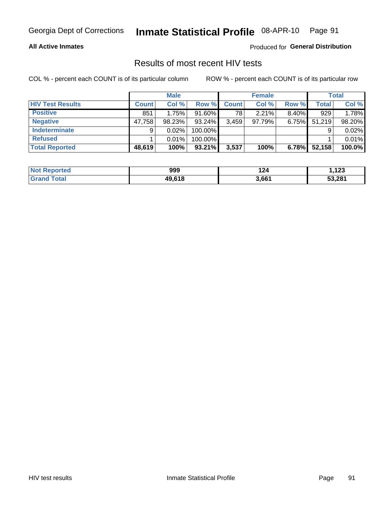# Inmate Statistical Profile 08-APR-10 Page 91

### **All Active Inmates**

Produced for General Distribution

### Results of most recent HIV tests

COL % - percent each COUNT is of its particular column

|                         |              | <b>Male</b> |           |              | <b>Female</b> |          |              | <b>Total</b> |
|-------------------------|--------------|-------------|-----------|--------------|---------------|----------|--------------|--------------|
| <b>HIV Test Results</b> | <b>Count</b> | Col %       | Row %I    | <b>Count</b> | Col %         | Row %    | <b>Total</b> | Col %        |
| <b>Positive</b>         | 851          | 1.75%       | 91.60%    | 78           | 2.21%         | $8.40\%$ | 929          | 1.78%        |
| <b>Negative</b>         | 47,758       | 98.23%      | $93.24\%$ | 3,459        | 97.79%        | 6.75%    | 51,219       | 98.20%       |
| Indeterminate           | 9            | 0.02%       | 100.00%   |              |               |          |              | 0.02%        |
| <b>Refused</b>          |              | 0.01%       | 100.00%   |              |               |          |              | 0.01%        |
| <b>Total Reported</b>   | 48,619       | 100%        | $93.21\%$ | 3,537        | 100%          | 6.78%    | 52,158       | 100.0%       |

| <b>Not Reported</b> | 999    | 124   | ,123   |
|---------------------|--------|-------|--------|
| <b>Grand Total</b>  | 49.618 | 3,661 | 53,281 |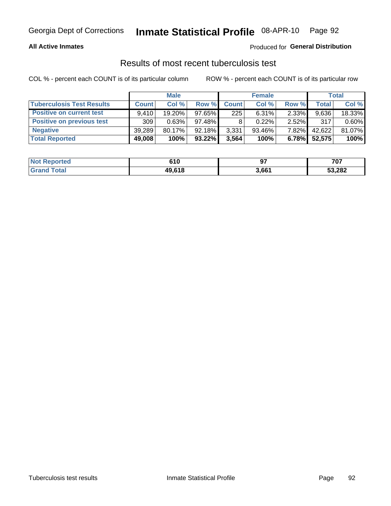#### Inmate Statistical Profile 08-APR-10 Page 92

### **All Active Inmates**

### Produced for General Distribution

### Results of most recent tuberculosis test

COL % - percent each COUNT is of its particular column

|                                  | <b>Male</b>  |        | <b>Female</b> |              |           | Total    |              |        |
|----------------------------------|--------------|--------|---------------|--------------|-----------|----------|--------------|--------|
| <b>Tuberculosis Test Results</b> | <b>Count</b> | Col %  | Row %         | <b>Count</b> | Col %     | Row %    | <b>Total</b> | Col %  |
| <b>Positive on current test</b>  | 9.410        | 19.20% | 97.65%        | 225          | 6.31%     | $2.33\%$ | 9,636        | 18.33% |
| <b>Positive on previous test</b> | 309          | 0.63%  | 97.48%        |              | 0.22%     | $2.52\%$ | 317          | 0.60%  |
| <b>Negative</b>                  | 39.289       | 80.17% | $92.18\%$     | 3,331        | $93.46\%$ | $7.82\%$ | 42,622       | 81.07% |
| <b>Total Reported</b>            | 49,008       | 100%   | $93.22\%$     | 3,564        | 100%      | 6.78%    | 52,575       | 100%   |

| <b>Not Reported</b>     | 610    | ~-<br>J. | 707    |
|-------------------------|--------|----------|--------|
| <b>c</b> otal<br>. Grar | 49,618 | 3,661    | 53,282 |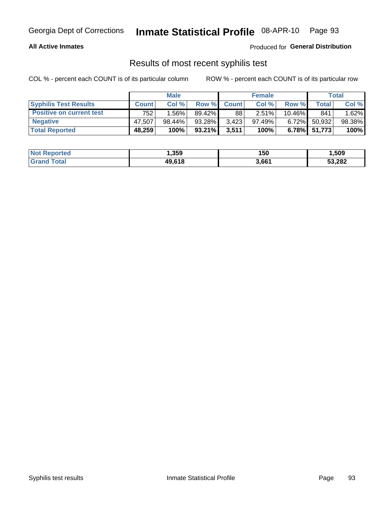# Georgia Dept of Corrections **Inmate Statistical Profile** 08-APR-10 Page 93

### **All Active Inmates**

Produced for **General Distribution**

### Results of most recent syphilis test

COL % - percent each COUNT is of its particular column ROW % - percent each COUNT is of its particular row

|                                 | <b>Male</b>  |           |           | <b>Female</b> |          |           | Total        |        |
|---------------------------------|--------------|-----------|-----------|---------------|----------|-----------|--------------|--------|
| <b>Syphilis Test Results</b>    | <b>Count</b> | Col%      | Row %     | <b>Count</b>  | Col %    | Row %     | Total I      | Col %  |
| <b>Positive on current test</b> | 752          | $1.56\%$  | 89.42%    | 88            | $2.51\%$ | $10.46\%$ | 841          | 1.62%  |
| <b>Negative</b>                 | 47.507       | $98.44\%$ | 93.28%    | 3,423         | 97.49%   | $6.72\%$  | 50,932       | 98.38% |
| <b>Total Reported</b>           | 48,259       | 100%      | $93.21\%$ | 3,511         | 100%     |           | 6.78% 51,773 | 100%   |

| <b>Not Reported</b> | 359, ا | 150   | 1,509  |
|---------------------|--------|-------|--------|
| <b>Grand Total</b>  | 49,618 | 3,661 | 53,282 |